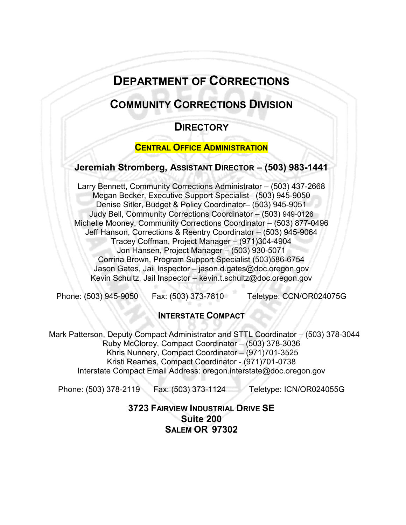# **DEPARTMENT OF CORRECTIONS**

# **COMMUNITY CORRECTIONS DIVISION**

# **DIRECTORY**

### **CENTRAL OFFICE ADMINISTRATION**

# **Jeremiah Stromberg, ASSISTANT DIRECTOR – (503) 983-1441**

Larry Bennett, Community Corrections Administrator – (503) 437-2668 Megan Becker, Executive Support Specialist– (503) 945-9050 Denise Sitler, Budget & Policy Coordinator– (503) 945-9051 Judy Bell, Community Corrections Coordinator – (503) 949-0126 Michelle Mooney, Community Corrections Coordinator – (503) 877-0496 Jeff Hanson, Corrections & Reentry Coordinator – (503) 945-9064 Tracey Coffman, Project Manager – (971)304-4904 Jon Hansen, Project Manager – (503) 930-5071 Corrina Brown, Program Support Specialist (503)586-6754 Jason Gates, Jail Inspector – jason.d.gates@doc.oregon.gov Kevin Schultz, Jail Inspector – kevin.t.schultz@doc.oregon.gov

Phone: (503) 945-9050 Fax: (503) 373-7810 Teletype: CCN/OR024075G

## **INTERSTATE COMPACT**

Mark Patterson, Deputy Compact Administrator and STTL Coordinator – (503) 378-3044 Ruby McClorey, Compact Coordinator – (503) 378-3036 Khris Nunnery, Compact Coordinator – (971)701-3525 Kristi Reames, Compact Coordinator - (971)701-0738 Interstate Compact Email Address: oregon.interstate@doc.oregon.gov

Phone: (503) 378-2119 Fax: (503) 373-1124 Teletype: ICN/OR024055G

**3723 FAIRVIEW INDUSTRIAL DRIVE SE Suite 200 SALEM OR 97302**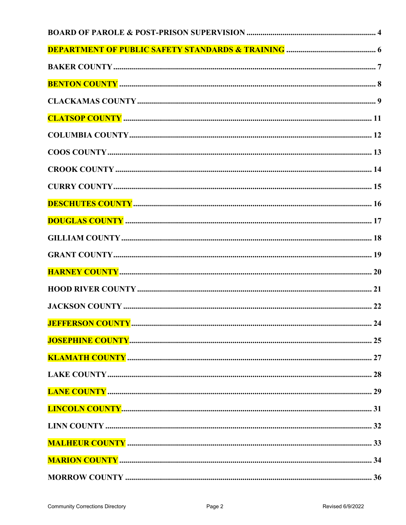| <b>JEFFERSON COUNTY </b> | .24 |
|--------------------------|-----|
|                          |     |
|                          |     |
|                          |     |
|                          |     |
|                          |     |
|                          |     |
|                          |     |
|                          |     |
|                          |     |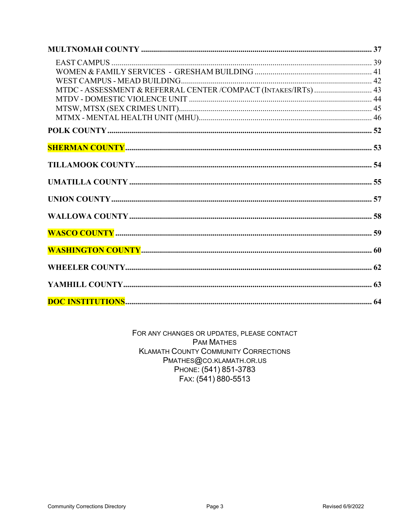| MTDC - ASSESSMENT & REFERRAL CENTER /COMPACT (INTAKES/IRTS)  43 |  |
|-----------------------------------------------------------------|--|
|                                                                 |  |
|                                                                 |  |
|                                                                 |  |
|                                                                 |  |
|                                                                 |  |
|                                                                 |  |
|                                                                 |  |
|                                                                 |  |
|                                                                 |  |
|                                                                 |  |
|                                                                 |  |
|                                                                 |  |
|                                                                 |  |
|                                                                 |  |

FOR ANY CHANGES OR UPDATES, PLEASE CONTACT **PAM MATHES KLAMATH COUNTY COMMUNITY CORRECTIONS** PMATHES@CO.KLAMATH.OR.US PHONE: (541) 851-3783 FAX: (541) 880-5513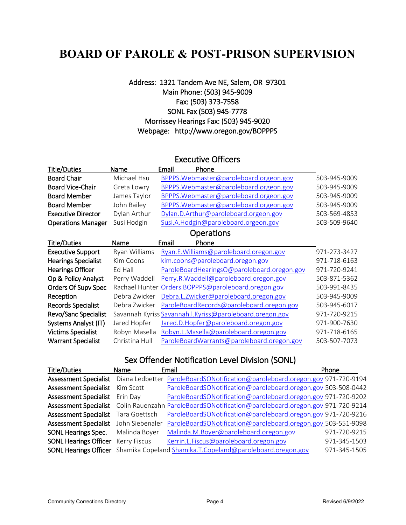# <span id="page-3-0"></span>**BOARD OF PAROLE & POST-PRISON SUPERVISION**

### Address: 1321 Tandem Ave NE, Salem, OR 97301 Main Phone: (503) 945-9009 Fax: (503) 373-7558 SONL Fax (503) 945-7778 Morrissey Hearings Fax: (503) 945-9020 Webpage: http://www.oregon.gov/BOPPPS

### Executive Officers

| Title/Duties               | Name           | Phone<br>Email                                             |              |
|----------------------------|----------------|------------------------------------------------------------|--------------|
| <b>Board Chair</b>         | Michael Hsu    | BPPPS. Webmaster@paroleboard.orgeon.gov                    | 503-945-9009 |
| <b>Board Vice-Chair</b>    | Greta Lowry    | BPPPS. Webmaster@paroleboard.orgeon.gov                    | 503-945-9009 |
| <b>Board Member</b>        | James Taylor   | BPPPS. Webmaster@paroleboard.orgeon.gov                    | 503-945-9009 |
| <b>Board Member</b>        | John Bailey    | BPPPS. Webmaster@paroleboard.orgeon.gov                    | 503-945-9009 |
| <b>Executive Director</b>  | Dylan Arthur   | Dylan.D.Arthur@paroleboard.orgeon.gov                      | 503-569-4853 |
| <b>Operations Manager</b>  | Susi Hodgin    | Susi.A.Hodgin@paroleboard.orgeon.gov                       | 503-509-9640 |
| <b>Operations</b>          |                |                                                            |              |
| <b>Title/Duties</b>        | Name           | Email<br>Phone                                             |              |
| <b>Executive Support</b>   | Ryan Williams  | Ryan.E.Williams@paroleboard.oregon.gov                     | 971-273-3427 |
| <b>Hearings Specialist</b> | Kim Coons      | kim.coons@paroleboard.oregon.gov                           | 971-718-6163 |
| <b>Hearings Officer</b>    | Ed Hall        | ParoleBoardHearingsO@paroleboard.oregon.gov                | 971-720-9241 |
| Op & Policy Analyst        | Perry Waddell  | Perry.R.Waddell@paroleboard.oregon.gov                     | 503-871-5362 |
| Orders Of Supv Spec        | Rachael Hunter | Orders.BOPPPS@paroleboard.oregon.gov                       | 503-991-8435 |
| Reception                  | Debra Zwicker  | Debra.L.Zwicker@paroleboard.oregon.gov                     | 503-945-9009 |
| <b>Records Specialist</b>  | Debra Zwicker  | ParoleBoardRecords@paroleboard.oregon.gov                  | 503-945-6017 |
| Revo/Sanc Specialist       |                | Savannah Kyriss Savannah. I. Kyriss@paroleboard.oregon.gov | 971-720-9215 |
| Systems Analyst (IT)       | Jared Hopfer   | Jared.D.Hopfer@paroleboard.oregon.gov                      | 971-900-7630 |
| <b>Victims Specialist</b>  | Robyn Masella  | Robyn.L.Masella@paroleboard.oregon.gov                     | 971-718-6165 |
| <b>Warrant Specialist</b>  | Christina Hull | ParoleBoardWarrants@paroleboard.oregon.gov                 | 503-507-7073 |

# Sex Offender Notification Level Division (SONL)

| <b>Title/Duties</b>          | Name            | Email                                                                            | Phone        |
|------------------------------|-----------------|----------------------------------------------------------------------------------|--------------|
| <b>Assessment Specialist</b> | Diana Ledbetter | ParoleBoardSONotification@paroleboard.oregon.gov 971-720-9194                    |              |
| <b>Assessment Specialist</b> | Kim Scott       | ParoleBoardSONotification@paroleboard.oregon.gov 503-508-0442                    |              |
| <b>Assessment Specialist</b> | Erin Dav        | ParoleBoardSONotification@paroleboard.oregon.gov 971-720-9202                    |              |
| <b>Assessment Specialist</b> |                 | Colin Rauenzahn ParoleBoardSONotification@paroleboard.oregon.gov 971-720-9214    |              |
| <b>Assessment Specialist</b> | Tara Goettsch   | ParoleBoardSONotification@paroleboard.oregon.gov 971-720-9216                    |              |
| <b>Assessment Specialist</b> | John Siebenaler | ParoleBoardSONotification@paroleboard.oregon.gov 503-551-9098                    |              |
| <b>SONL Hearings Spec.</b>   | Malinda Boyer   | Malinda.M.Boyer@paroleboard.oregon.gov                                           | 971-720-9215 |
| <b>SONL Hearings Officer</b> | Kerry Fiscus    | Kerrin.L.Fiscus@paroleboard.oregon.gov                                           | 971-345-1503 |
|                              |                 | SONL Hearings Officer Shamika Copeland Shamika.T.Copeland@paroleboard.oregon.gov | 971-345-1505 |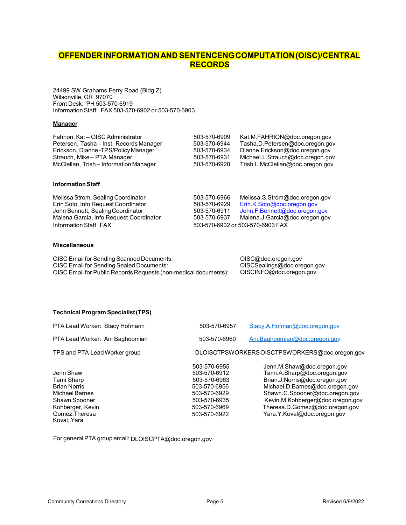### **OFFENDERINFORMATIONAND SENTENCENGCOMPUTATION(OISC)/CENTRAL RECORDS**

24499 SW Grahams Ferry Road (Bldg Z) Wilsonville, OR 97070 Front Desk: PH 503-570-6919 InformationStaff: FAX 503-570-6902 or 503-570-6903

#### **Manager**

| Fahrion, Kat - OISC Administrator      | 503-570-6909 | Kat.M.FAHRION@doc.oregon.gov     |
|----------------------------------------|--------------|----------------------------------|
| Petersen, Tasha-Inst. Records Manager  | 503-570-6944 | Tasha.D.Petersen@doc.oregon.gov  |
| Erickson, Dianne-TPS/Policy Manager    | 503-570-6934 | Dianne.Erickson@doc.oregon.gov   |
| Strauch, Mike - PTA Manager            | 503-570-6931 | Michael.L.Strauch@doc.oregon.gov |
| McClellan, Trish - Information Manager | 503-570-6920 | Trish.L.McClellan@doc.oregon.gov |

#### **Information Staff**

| Melissa Strom, Sealing Coordinator      | 503-570-6966 | Melissa.S.Strom@doc.oregon.gov   |
|-----------------------------------------|--------------|----------------------------------|
| Erin Soto, Info Request Coordinator     | 503-570-6929 | Erin.K.Soto@doc.oregon.gov       |
| John Bennett, Sealing Coordinator       | 503-570-6911 | John.F.Bennett@doc.oregon.gov    |
| Malena Garcia, Info Request Coordinator | 503-570-6937 | Malena.J.Garcia@doc.oregon.gov   |
| Information Staff FAX                   |              | 503-570-6902 or 503-570-6903 FAX |

#### **Miscellaneous**

| OISC Email for Sending Scanned Documents:                       | OISC@doc.oregon.gov         |
|-----------------------------------------------------------------|-----------------------------|
| OISC Email for Sending Sealed Documents:                        | OISCSealings@doc.oregon.gov |
| OISC Email for Public Records Requests (non-medical documents): | OISCINFO@doc.oregon.gov     |

#### **TechnicalProgram Specialist(TPS)**

| PTA Lead Worker: Stacy Hofmann                                                                                                         | 503-570-6957                                                                                                                 | Stacy.A.Hofman@doc.oregon.gov                                                                                                                                                                                                                                        |
|----------------------------------------------------------------------------------------------------------------------------------------|------------------------------------------------------------------------------------------------------------------------------|----------------------------------------------------------------------------------------------------------------------------------------------------------------------------------------------------------------------------------------------------------------------|
| PTA Lead Worker: Ani Baghoomian                                                                                                        | 503-570-6960                                                                                                                 | Ani.Baghoomian@doc.oregon.gov                                                                                                                                                                                                                                        |
| TPS and PTA Lead Worker group                                                                                                          |                                                                                                                              | DLOISCTPSWORKERSOISCTPSWORKERS@doc.oregon.gov                                                                                                                                                                                                                        |
| Jenn Shaw<br>Tami Sharp<br><b>Brian Norris</b><br>Michael Barnes<br>Shawn Spooner<br>Kohberger, Kevin<br>Gomez, Theresa<br>Koval, Yara | 503-570-6955<br>503-570-6912<br>503-570-6963<br>503-570-6956<br>503-570-6929<br>503-570-6935<br>503-570-6969<br>503-570-6922 | Jenn.M.Shaw@doc.oregon.gov<br>Tami.A.Sharp@doc.oregon.gov<br>Brian.J.Norris@doc.oregon.gov<br>Michael.D.Barnes@doc.oregon.gov<br>Shawn.C.Spooner@doc.oregon.gov<br>Kevin.M.Kohberger@doc.oregon.gov<br>Theresa.D.Gomez@doc.oregon.gov<br>Yara.Y.Koval@doc.oregon.gov |

For general PTA group email: DLOISCPTA@doc.oregon.gov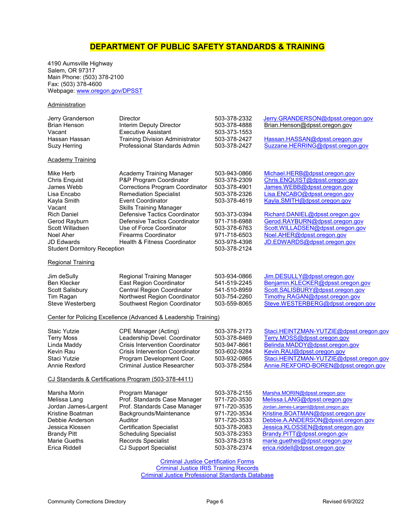### **DEPARTMENT OF PUBLIC SAFETY STANDARDS & TRAINING**

<span id="page-5-0"></span>4190 Aumsville Highway Salem, OR 97317 Main Phone: (503) 378-2100 Fax: (503) 378-4600 Webpage: www.oregon.gov/DPSST

#### **Administration**

| Jerry Granderson<br><b>Brian Henson</b><br>Vacant<br>Hassan Hassan<br>Suzy Herring<br>Academy Training                                                                                                      | <b>Director</b><br>Interim Deputy Director<br><b>Executive Assistant</b><br><b>Training Division Administrator</b><br>Professional Standards Admin                                                                                                                                                                                                            | 503-378-2332<br>503-378-4888<br>503-373-1553<br>503-378-2427<br>503-378-2427                                                                                                 | Jerry.GRANDERSON@dpsst.oregon.gov<br>Brian.Henson@dpsst.oregon.gov<br>Hassan.HASSAN@dpsst.oregon.gov<br>Suzzane.HERRING@dpsst.oregon.gov                                                                                                                                                                                             |
|-------------------------------------------------------------------------------------------------------------------------------------------------------------------------------------------------------------|---------------------------------------------------------------------------------------------------------------------------------------------------------------------------------------------------------------------------------------------------------------------------------------------------------------------------------------------------------------|------------------------------------------------------------------------------------------------------------------------------------------------------------------------------|--------------------------------------------------------------------------------------------------------------------------------------------------------------------------------------------------------------------------------------------------------------------------------------------------------------------------------------|
| Mike Herb<br>Chris Enquist<br>James Webb<br>Lisa Encabo<br>Kayla Smith<br>Vacant<br><b>Rich Daniel</b><br>Gerod Rayburn<br>Scott Willadsen<br>Noel Aher<br>JD Edwards<br><b>Student Dormitory Reception</b> | Academy Training Manager<br>P&P Program Coordinator<br><b>Corrections Program Coordinator</b><br><b>Remediation Specialist</b><br><b>Event Coordinator</b><br>Skills Training Manager<br>Defensive Tactics Coordinator<br>Defensive Tactics Coordinator<br>Use of Force Coordinator<br><b>Firearms Coordinator</b><br><b>Health &amp; Fitness Coordinator</b> | 503-943-0866<br>503-378-2309<br>503-378-4901<br>503-378-2326<br>503-378-4619<br>503-373-0394<br>971-718-6988<br>503-378-6763<br>971-718-6503<br>503-978-4398<br>503-378-2124 | Michael.HERB@dpsst.oregon.gov<br>Chris.ENQUIST@dpsst.oregon.gov<br>James.WEBB@dpsst.oregon.gov<br>Lisa.ENCABO@dpsst.oregon.gov<br>Kayla.SMITH@dpsst.oregon.gov<br>Richard.DANIEL@dpsst.oregon.gov<br>Gerod.RAYBURN@dpsst.oregon.gov<br>Scott.WILLADSEN@dpsst.oregon.gov<br>Noel.AHER@dpsst.oregon.gov<br>JD.EDWARDS@dpsst.oregon.gov |
| <u>Regional Training</u><br>Jim deSully<br>Ben Klecker<br>Scott Salisbury<br>Tim Ragan<br>Steve Westerberg                                                                                                  | Regional Training Manager<br>East Region Coordinator<br><b>Central Region Coordinator</b><br>Northwest Region Coordinator<br>Southwest Region Coordinator                                                                                                                                                                                                     | 503-934-0866<br>541-519-2245<br>541-510-8959<br>503-754-2260<br>503-559-8065                                                                                                 | Jim.DESULLY@dpsst.oregon.gov<br>Benjamin.KLECKER@dpsst.oregon.gov<br>Scott.SALISBURY@dpsst.oregon.gov<br>Timothy.RAGAN@dpsst.oregon.gov<br>Steve.WESTERBERG@dpsst.oregon.gov                                                                                                                                                         |
| Staic Yutzie<br><b>Terry Moss</b><br>Linda Maddy<br>Kevin Rau<br>Staci Yutzie<br>Annie Rexford                                                                                                              | Center for Policing Excellence (Advanced & Leadership Training)<br>CPE Manager (Acting)<br>Leadership Devel. Coordinator<br><b>Crisis Intervention Coordinator</b><br><b>Crisis Intervention Coordinator</b><br>Program Development Coor.<br><b>Criminal Justice Researcher</b><br>CJ Standards & Certifications Program (503-378-4411)                       | 503-378-2173<br>503-378-8469<br>503-947-8661<br>503-602-9284<br>503-932-0865<br>503-378-2584                                                                                 | Staci.HEINTZMAN-YUTZIE@dpsst.oregon.gov<br>Terry.MOSS@dpsst.oregon.gov<br>Belinda.MADDY@dpsst.oregon.gov<br>Kevin.RAU@dpsst.oregon.gov<br>Staci.HEINTZMAN-YUTZIE@dpsst.oregon.gov<br>Annie.REXFORD-BOREN@dpsst.oregon.gov                                                                                                            |
| Marsha Morin<br>Melissa Lang<br>Jordan James-Largent<br>Kristine Boatman<br>Debbie Anderson<br>Jessica Klossen<br>Brandy Pitt<br>Marie Gueths<br>Erica Riddell                                              | Program Manager<br>Prof. Standards Case Manager<br>Prof. Standards Case Manager<br>Backgrounds/Maintenance<br>Auditor<br><b>Certification Specialist</b><br><b>Scheduling Specialist</b><br><b>Records Specialist</b><br><b>CJ Support Specialist</b>                                                                                                         | 503-378-2155<br>971-720-3530<br>971-720-3535<br>971-720-3534<br>971-720-3533<br>503-378-2083<br>503-378-2353<br>503-378-2318<br>503-378-2374                                 | Marsha.MORIN@dpsst.oregon.gov<br>Melissa.LANG@dpsst.oregon.gov<br>Jordan.James-Largent@dpsst.oregon.gov<br>Kristine.BOATMAN@dpsst.oregon.gov<br>Debbie.A.ANDERSON@dpsst.oregon.gov<br>Jessica.KLOSSEN@dpsst.oregon.gov<br>Brandy.PITT@dpsst.oregon.gov<br>marie.guethes@dpsst.oregon.gov<br>erica.riddell@dpsst.oregon.gov           |

[Criminal Justice Certification Forms](https://www.oregon.gov/dpsst/CJ/Pages/CJForms.aspx) [Criminal Justice IRIS Training Records](https://www.bpl-orsnapshot.net/PublicInquiry_CJ/EmployeeSearch.aspx) [Criminal Justice Professional Standards Database](https://www.oregon.gov/dpsst/CJ/pages/cases.aspx)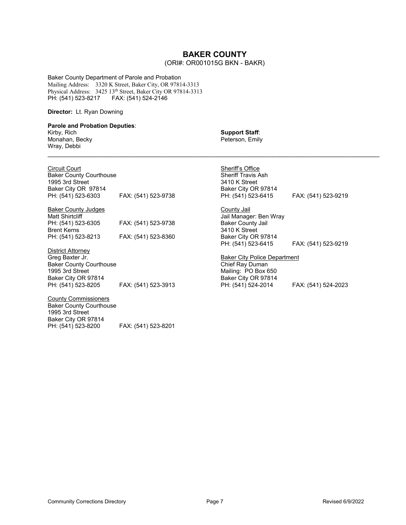### **BAKER COUNTY**

#### (ORI#: OR001015G BKN - BAKR)

<span id="page-6-0"></span>Baker County Department of Parole and Probation Mailing Address: 3320 K Street, Baker City, OR 97814-3313 Physical Address: 3425 13th Street, Baker City OR 97814-3313 PH: (541) 523-8217 FAX: (541) 524-2146

#### **Director:** Lt. Ryan Downing

Baker County Courthouse

PH: (541) 523-8200 FAX: (541) 523-8201

1995 3rd Street Baker City OR 97814

#### **Parole and Probation Deputies**: Kirby, Rich

Monahan, Becky Wray, Debbi

| <b>Support Staff:</b> |
|-----------------------|
| Peterson, Emily       |

| <b>Circuit Court</b>           |                     | Sheriff's Office                    |                     |
|--------------------------------|---------------------|-------------------------------------|---------------------|
| <b>Baker County Courthouse</b> |                     | <b>Sheriff Travis Ash</b>           |                     |
| 1995 3rd Street                |                     | 3410 K Street                       |                     |
| Baker City OR 97814            |                     | Baker City OR 97814                 |                     |
| PH: (541) 523-6303             | FAX: (541) 523-9738 | PH: (541) 523-6415                  | FAX: (541) 523-9219 |
| <b>Baker County Judges</b>     |                     | County Jail                         |                     |
| <b>Matt Shirtcliff</b>         |                     | Jail Manager: Ben Wray              |                     |
| PH: (541) 523-6305             | FAX: (541) 523-9738 | <b>Baker County Jail</b>            |                     |
| <b>Brent Kerns</b>             |                     | 3410 K Street                       |                     |
| PH: (541) 523-8213             | FAX: (541) 523-8360 | Baker City OR 97814                 |                     |
|                                |                     | PH: (541) 523-6415                  | FAX: (541) 523-9219 |
| District Attorney              |                     |                                     |                     |
| Greg Baxter Jr.                |                     | <b>Baker City Police Department</b> |                     |
| <b>Baker County Courthouse</b> |                     | Chief Ray Duman                     |                     |
| 1995 3rd Street                |                     | Mailing: PO Box 650                 |                     |
| Baker City OR 97814            |                     | Baker City OR 97814                 |                     |
| PH: (541) 523-8205             | FAX: (541) 523-3913 | PH: (541) 524-2014                  | FAX: (541) 524-2023 |
| <b>County Commissioners</b>    |                     |                                     |                     |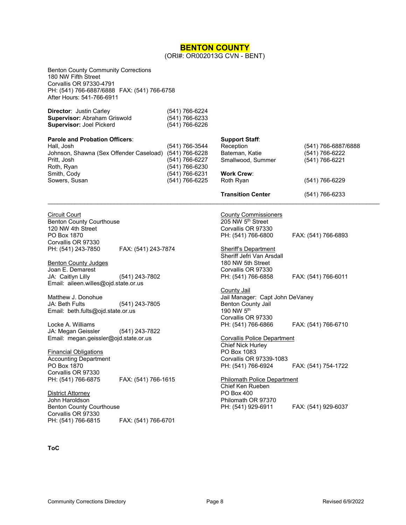#### **BENTON COUNTY** (ORI#: OR002013G CVN - BENT)

<span id="page-7-0"></span>Benton County Community Corrections 180 NW Fifth Street Corvallis OR 97330-4791 PH: (541) 766-6887/6888 FAX: (541) 766-6758 After Hours: 541-766-6911

| <b>Director: Justin Carley</b>      | (541) 766-6224 |
|-------------------------------------|----------------|
| <b>Supervisor: Abraham Griswold</b> | (541) 766-6233 |
| <b>Supervisor: Joel Pickerd</b>     | (541) 766-6226 |

| <b>Parole and Probation Officers:</b>   |                | <b>Support Staff:</b>    |                     |
|-----------------------------------------|----------------|--------------------------|---------------------|
| Hall, Josh                              | (541) 766-3544 | Reception                | (541) 766-6887/6888 |
| Johnson, Shawna (Sex Offender Caseload) | (541) 766-6228 | Bateman, Katie           | (541) 766-6222      |
| Pritt, Josh                             | (541) 766-6227 | Smallwood, Summer        | (541) 766-6221      |
| Roth, Ryan                              | (541) 766-6230 |                          |                     |
| Smith, Cody                             | (541) 766-6231 | <b>Work Crew:</b>        |                     |
| Sowers, Susan                           | (541) 766-6225 | Roth Ryan                | (541) 766-6229      |
|                                         |                | <b>Transition Center</b> | (541) 766-6233      |

 $\mathcal{L}_\mathcal{L} = \{ \mathcal{L}_\mathcal{L} = \{ \mathcal{L}_\mathcal{L} = \{ \mathcal{L}_\mathcal{L} = \{ \mathcal{L}_\mathcal{L} = \{ \mathcal{L}_\mathcal{L} = \{ \mathcal{L}_\mathcal{L} = \{ \mathcal{L}_\mathcal{L} = \{ \mathcal{L}_\mathcal{L} = \{ \mathcal{L}_\mathcal{L} = \{ \mathcal{L}_\mathcal{L} = \{ \mathcal{L}_\mathcal{L} = \{ \mathcal{L}_\mathcal{L} = \{ \mathcal{L}_\mathcal{L} = \{ \mathcal{L}_\mathcal{$ 

Circuit Court Benton County Courthouse 120 NW 4th Street PO Box 1870 Corvallis OR 97330 PH: (541) 243-7850 FAX: (541) 243-7874

Benton County Judges Joan E. Demarest JA: Caitlyn Lilly (541) 243-7802 Email: [aileen.willes@ojd.state.or.us](mailto:aileen.willes@ojd.state.or.us)

Matthew J. Donohue JA: Beth Fults (541) 243-7805 Email: beth.fults@ojd.state.or.us

Locke A. Williams JA: Megan Geissler (541) 243-7822 Email: [megan.geissler@ojd.state.or.us](mailto:megan.geissler@ojd.state.or.us)

Financial Obligations Accounting Department PO Box 1870 Corvallis OR 97330 PH: (541) 766-6875 FAX: (541) 766-1615

John Haroldson Benton County Courthouse Corvallis OR 97330 FAX: (541) 766-6701

#### **ToC**

District Attorney

County Commissioners 205 NW 5<sup>th</sup> Street Corvallis OR 97330 PH: (541) 766-6800 FAX: (541) 766-6893

**Sheriff's Department** Sheriff Jefri Van Arsdall 180 NW 5th Street Corvallis OR 97330<br>PH: (541) 766-6858

FAX: (541) 766-6011

County Jail Jail Manager: Capt John DeVaney Benton County Jail 190 NW 5th Corvallis OR 97330<br>PH: (541) 766-6866 FAX: (541) 766-6710

Corvallis Police Department Chief Nick Hurley PO Box 1083 Corvallis OR 97339-1083 PH: (541) 766-6924 FAX: (541) 754-1722

Philomath Police Department Chief Ken Rueben PO Box 400 Philomath OR 97370 PH: (541) 929-6911 FAX: (541) 929-6037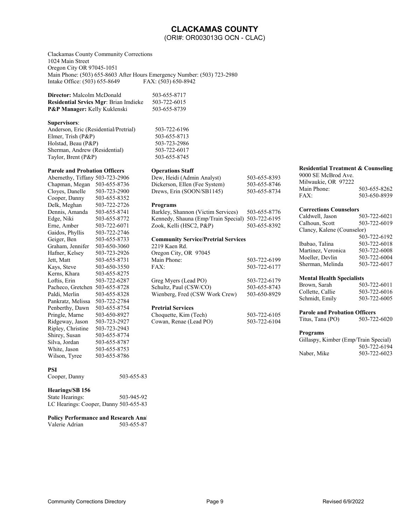### **CLACKAMAS COUNTY**

(ORI#: OR003013G OCN - CLAC)

<span id="page-8-0"></span>Clackamas County Community Corrections 1024 Main Street Oregon City OR 97045-1051 Main Phone: (503) 655-8603 After Hours Emergency Number: (503) 723-2980<br>Intake Office: (503) 655-8649 FAX: (503) 650-8942 Intake Office: (503) 655-8649

| <b>Director:</b> Malcolm McDonald            | 503-655-8717 |
|----------------------------------------------|--------------|
| <b>Residential Srvics Mgr: Brian Imdieke</b> | 503-722-6015 |
| <b>P&amp;P Manager:</b> Kelly Kuklenski      | 503-655-8739 |

#### **Supervisors**:

Anderson, Eric (Residential/Pretrial) 503-722-6196 Elmer, Trish (P&P) 503-655-8713 Holstad, Beau (P&P) 503-723-2986 Sherman, Andrew (Residential) 503-722-6017 Taylor, Brent (P&P) 503-655-8745

#### **Parole and Probation Officers**

| Abernethy, Tiffany | 503-723-2906 |
|--------------------|--------------|
| Chapman, Megan     | 503-655-8736 |
| Cloyes, Danelle    | 503-723-2900 |
| Cooper, Danny      | 503-655-8352 |
| Delk, Meghan       | 503-722-2726 |
| Dennis, Amanda     | 503-655-8741 |
| Edge, Niki         | 503-655-8772 |
| Erne, Amber        | 503-722-6071 |
| Gaidos, Phyllis    | 503-722-2746 |
| Geiger, Ben        | 503-655-8733 |
| Graham, Jennifer   | 503-650-3060 |
| Hafner, Kelsey     | 503-723-2926 |
| Jett, Matt         | 503-655-8731 |
| Kays, Steve        | 503-650-3550 |
| Kerns, Khara       | 503-655-8275 |
| Loftis, Erin       | 503-722-6287 |
| Pacheco, Gretchen  | 503-655-8728 |
| Paldi, Merlin      | 503-655-8328 |
| Pankratz, Melissa  | 503-722-2784 |
| Penberthy, Dawn    | 503-655-8754 |
| Pringle, Marne     | 503-650-8927 |
| Ridgeway, Jason    | 503-723-2927 |
| Ripley, Christine  | 503-723-2943 |
| Shirey, Susan      | 503-655-8774 |
| Silva, Jordan      | 503-655-8787 |
| White, Jason       | 503-655-8753 |
| Wilson, Tyree      | 503-655-8786 |
|                    |              |

**PSI** 

Cooper, Danny 503-655-83

#### **Hearings/SB 156**

| State Hearings:                       | 503-945-92 |
|---------------------------------------|------------|
| LC Hearings: Cooper, Danny 503-655-83 |            |

**Policy Performance and Research Anal<br>Valerie Adrian 503-655-87** Valerie Adrian

| <b>Operations Staff</b> |  |
|-------------------------|--|
|-------------------------|--|

| Dew, Heidi (Admin Analyst)    | 503-655-8393 |
|-------------------------------|--------------|
| Dickerson, Ellen (Fee System) | 503-655-8746 |
| Drews, Erin (SOON/SB1145)     | 503-655-8734 |

#### **Programs**

Barkley, Shannon (Victim Services) 503-655-8776 Kennedy, Shauna (Emp/Train Special) 503-722-6195 Zook, Kelli (HSC2, P&P) 503-655-8392

#### **Community Service/Pretrial Services**

2219 Kaen Rd. Oregon City, OR 97045 Main Phone: 503-722-6199 FAX: 503-722-6177 Greg Myers (Lead PO) 503-722-6179<br>Schultz, Paul (CSW/CO) 503-655-8743 Schultz, Paul (CSW/CO) Wienberg, Fred (CSW Work Crew) 503-650-8929

#### **Pretrial Services**

| Choquette, Kim (Tech)  | 503-722-6105 |
|------------------------|--------------|
| Cowan, Renae (Lead PO) | 503-722-6104 |

#### **Residential Treatment & Counseling**

| 9000 SE McBrod Ave.<br>Milwaukie, OR 97222 |              |
|--------------------------------------------|--------------|
| Main Phone:                                | 503-655-8262 |
| FAX:                                       | 503-650-8939 |

#### **Corrections Counselors**

| Caldwell, Jason            | 503-722-6021 |
|----------------------------|--------------|
| Calhoun, Scott             | 503-722-6019 |
| Clancy, Kalene (Counselor) |              |
|                            | 503-722-6192 |
| Ibabao, Talina             | 503-722-6018 |
| Martinez, Veronica         | 503-722-6008 |
| Moeller, Devlin            | 503-722-6004 |
| Sherman, Melinda           | 503-722-6017 |
|                            |              |

#### **Mental Health Specialists**

| 503-722-6011 |
|--------------|
| 503-722-6016 |
| 503-722-6005 |
|              |

#### **Parole and Probation Officers**

| Titus, Tana (PO) | 503-722-6020 |
|------------------|--------------|
|------------------|--------------|

#### **Programs**

| Gillaspy, Kimber (Emp/Train Special) |              |
|--------------------------------------|--------------|
|                                      | 503-722-6194 |
| Naber, Mike                          | 503-722-6023 |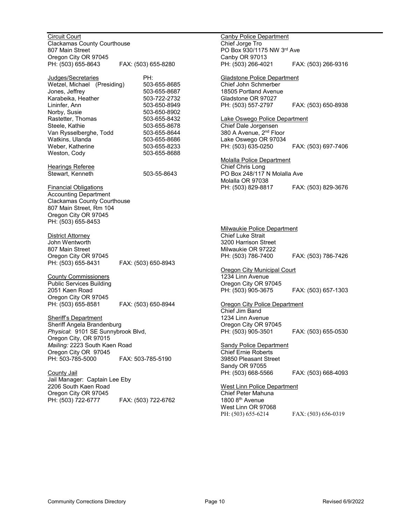Circuit Court Clackamas County Courthouse 807 Main Street Oregon City OR 97045<br>PH: (503) 655-8643 FAX: (503) 655-8280

<u>Judges/Secretaries</u> PH:<br>Wetzel Michael (Presiding) 503-655-8685 Wetzel, Michael (Presiding) 503-655-8685<br>Jones. Jeffrev 503-655-8687 Jones, Jeffrey 1988 1991 1992-050-655-8687<br>Karabeika. Heather 1992-0732 Karabeika, Heather<br>Lininfer. Ann 503-650-8949 Norby, Susie 503-650-8902 Rastetter, Thomas 503-655-8432 Steele, Kathie 503-655-8678 Van Rysselberghe, Todd 503-655-8644 Watkins, Ulanda 503-655-8686 Weber, Katherine 503-655-8233 Weston, Cody 603-655-8688

Hearings Referee Stewart, Kenneth 503-55-8643

Financial Obligations Accounting Department Clackamas County Courthouse 807 Main Street, Rm 104 Oregon City OR 97045 PH: (503) 655-8453

District Attorney John Wentworth 807 Main Street Oregon City OR 97045<br>PH: (503) 655-8431 FAX: (503) 650-8943

County Commissioners Public Services Building 2051 Kaen Road Oregon City OR 97045<br>PH: (503) 655-8581 PH: (503) 655-8581 FAX: (503) 650-8944

Sheriff's Department Sheriff Angela Brandenburg *Physical*: 9101 SE Sunnybrook Blvd, Oregon City, OR 97015 *Mailing:* 2223 South Kaen Road Oregon City OR 97045<br>PH: 503-785-5000 PH: 503-785-5000 FAX: 503-785-5190

County Jail Jail Manager: Captain Lee Eby 2206 South Kaen Road Oregon City OR 97045<br>PH: (503) 722-6777 FAX: (503) 722-6762

Canby Police Department Chief Jorge Tro PO Box 930/1175 NW 3rd Ave Canby OR 97013<br>PH: (503) 266-4021 PH: (503) 266-4021 FAX: (503) 266-9316 Gladstone Police Department Chief John Schmerber 18505 Portland Avenue Gladstone OR 97027 PH: (503) 557-2797 FAX: (503) 650-8938 Lake Oswego Police Department Chief Dale Jorgensen 380 A Avenue, 2<sup>nd</sup> Floor Lake Oswego OR 97034 PH: (503) 635-0250 FAX: (503) 697-7406 Molalla Police Department Chief Chris Long PO Box 248/117 N Molalla Ave Molalla OR 97038 PH: (503) 829-8817 FAX: (503) 829-3676 Milwaukie Police Department Chief Luke Strait 3200 Harrison Street Milwaukie OR 97222<br>PH: (503) 786-7400 PH: (503) 786-7400 FAX: (503) 786-7426 **Oregon City Municipal Court** 1234 Linn Avenue Oregon City OR 97045 PH: (503) 905-3675 FAX: (503) 657-1303 Oregon City Police Department Chief Jim Band 1234 Linn Avenue Oregon City OR 97045<br>PH: (503) 905-3501 FAX: (503) 655-0530 **Sandy Police Department** Chief Ernie Roberts 39850 Pleasant Street Sandy OR 97055<br>PH: (503) 668-5566 FAX: (503) 668-4093 West Linn Police Department Chief Peter Mahuna 1800 8th Avenue West Linn OR 97068

PH: (503) 655-6214 FAX: (503) 656-0319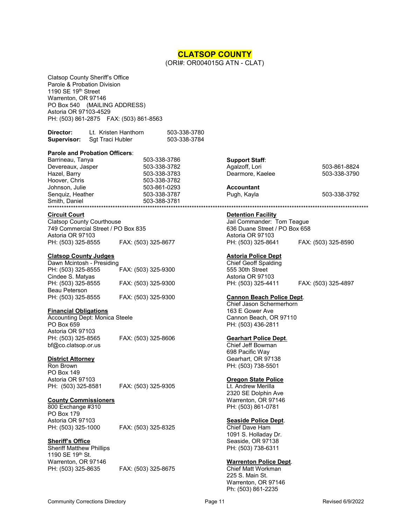### **CLATSOP COUNTY**

(ORI#: OR004015G ATN - CLAT)

<span id="page-10-0"></span>Clatsop County Sheriff's Office Parole & Probation Division 1190 SE 19<sup>th</sup> Street Warrenton, OR 97146 PO Box 540 (MAILING ADDRESS) Astoria OR 97103-4529 PH: (503) 861-2875 FAX: (503) 861-8563

| Director:   | Lt. Kristen Hanthorn | 503-338-3780 |
|-------------|----------------------|--------------|
| Supervisor: | Sgt Traci Hubler     | 503-338-3784 |

#### **Parole and Probation Officers**:

| Barrineau, Tanya  | 503-338-3786 | <b>Support Staff:</b> |              |
|-------------------|--------------|-----------------------|--------------|
| Devereaux, Jasper | 503-338-3782 | Agalzoff, Lori        | 503-861-8824 |
| Hazel, Barry      | 503-338-3783 | Dearmore, Kaelee      | 503-338-3790 |
| Hoover, Chris     | 503-338-3782 |                       |              |
| Johnson, Julie    | 503-861-0293 | <b>Accountant</b>     |              |
| Senguiz, Heather  | 503-338-3787 | Pugh, Kayla           | 503-338-3792 |
| Smith, Daniel     | 503-388-3781 |                       |              |
|                   |              |                       |              |

#### **Circuit Court**

Clatsop County Courthouse 749 Commercial Street / PO Box 835 Astoria OR 97103 PH: (503) 325-8555 FAX: (503) 325-8677

#### **Clatsop County Judges**

Dawn Mcintosh - Presiding PH: (503) 325-8555 FAX: (503) 325-9300 Cindee S. Matyas<br>PH: (503) 325-8555 PH: (503) 325-8555 FAX: (503) 325-9300 Beau Peterson PH: (503) 325-8555 FAX: (503) 325-9300

#### **Financial Obligations**

Accounting Dept: Monica Steele PO Box 659 Astoria OR 97103 PH: (503) 325-8565 FAX: (503) 325-8606 bf@co.clatsop.or.us

#### **District Attorney**

Ron Brown PO Box 149 Astoria OR 97103

PH: (503) 325-8581 FAX: (503) 325-9305

#### **County Commissioners**

800 Exchange #310 PO Box 179 Astoria OR 97103<br>PH: (503) 325-1000

FAX: (503) 325-8325

#### **Sheriff's Office**

Sheriff Matthew Phillips 1190 SE 19th St. Warrenton, OR 97146 PH: (503) 325-8635 FAX: (503) 325-8675

#### **Support Staff**:

#### **Detention Facility**

Jail Commander: Tom Teague 636 Duane Street / PO Box 658 Astoria OR 97103 PH: (503) 325-8641 FAX: (503) 325-8590

#### **Astoria Police Dept**

Chief Geoff Spalding 555 30th Street Astoria OR 97103<br>PH: (503) 325-4411

PH: (503) 325-4411 FAX: (503) 325-4897

#### **Cannon Beach Police Dept**.

Chief Jason Schermerhorn 163 E Gower Ave Cannon Beach, OR 97110 PH: (503) 436-2811

#### **Gearhart Police Dept**.

Chief Jeff Bowman 698 Pacific Way Gearhart, OR 97138 PH: (503) 738-5501

#### **Oregon State Police**

Lt. Andrew Merilla 2320 SE Dolphin Ave Warrenton, OR 97146 PH: (503) 861-0781

#### **Seaside Police Dept**.

Chief Dave Ham 1091 S. Holladay Dr. Seaside, OR 97138 PH: (503) 738-6311

#### **Warrenton Police Dept**.

Chief Matt Workman 225 S. Main St. Warrenton, OR 97146 Ph: (503) 861-2235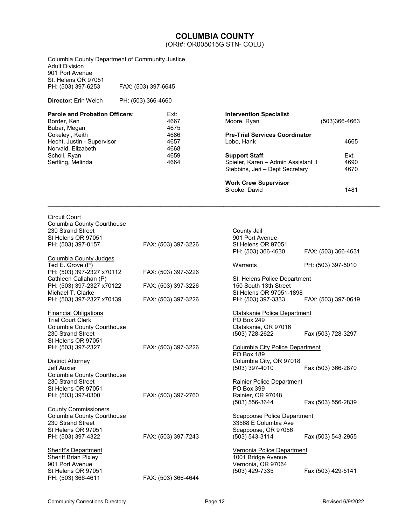### **COLUMBIA COUNTY**

(ORI#: OR005015G STN- COLU)

<span id="page-11-0"></span>

| Columbia County Department of Community Justice<br>Adult Division<br>901 Port Avenue                                       |                     |                                            |                                                                                                               |                                           |
|----------------------------------------------------------------------------------------------------------------------------|---------------------|--------------------------------------------|---------------------------------------------------------------------------------------------------------------|-------------------------------------------|
| St. Helens OR 97051<br>PH: (503) 397-6253                                                                                  | FAX: (503) 397-6645 |                                            |                                                                                                               |                                           |
| Director: Erin Welch                                                                                                       | PH: (503) 366-4660  |                                            |                                                                                                               |                                           |
| Parole and Probation Officers:<br>Border, Ken<br>Bubar, Megan                                                              |                     | Ext:<br>4667<br>4675                       | <b>Intervention Specialist</b><br>Moore, Ryan                                                                 | $(503)366 - 4663$                         |
| Cokeley,, Keith<br>Hecht, Justin - Supervisor<br>Norvald, Elizabeth                                                        |                     | 4686<br>4657<br>4668                       | <b>Pre-Trial Services Coordinator</b><br>Lobo, Hank                                                           | 4665                                      |
| Scholl, Ryan<br>Serfling, Melinda                                                                                          |                     | 4659<br>4664                               | <b>Support Staff:</b><br>Spieler, Karen - Admin Assistant II<br>Stebbins, Jeri - Dept Secretary               | Ext:<br>4690<br>4670                      |
|                                                                                                                            |                     |                                            | <b>Work Crew Supervisor</b><br>Brooke, David                                                                  | 1481                                      |
| Circuit Court<br>Columbia County Courthouse<br>230 Strand Street<br>St Helens OR 97051<br>PH: (503) 397-0157               |                     | FAX: (503) 397-3226                        | County Jail<br>901 Port Avenue<br>St Helens OR 97051                                                          |                                           |
| <b>Columbia County Judges</b><br>Ted E. Grove (P)                                                                          |                     |                                            | PH: (503) 366-4630<br>Warrants                                                                                | FAX: (503) 366-4631<br>PH: (503) 397-5010 |
| PH: (503) 397-2327 x70112                                                                                                  |                     | FAX: (503) 397-3226                        |                                                                                                               |                                           |
| Cathleen Callahan (P)<br>PH: (503) 397-2327 x70122<br>Michael T. Clarke<br>PH: (503) 397-2327 x70139                       |                     | FAX: (503) 397-3226<br>FAX: (503) 397-3226 | <b>St. Helens Police Department</b><br>150 South 13th Street<br>St Helens OR 97051-1898<br>PH: (503) 397-3333 | FAX: (503) 397-0619                       |
| Financial Obligations<br>Trial Court Clerk<br>Columbia County Courthouse<br>230 Strand Street                              |                     |                                            | <b>Clatskanie Police Department</b><br>PO Box 249<br>Clatskanie, OR 97016<br>(503) 728-2622                   | Fax (503) 728-3297                        |
| St Helens OR 97051<br>PH: (503) 397-2327<br>District Attorney<br>Jeff Auxier                                               |                     | FAX: (503) 397-3226                        | Columbia City Police Department<br>PO Box 189<br>Columbia City, OR 97018<br>(503) 397-4010                    |                                           |
| Columbia County Courthouse<br>230 Strand Street<br>St Helens OR 97051<br>PH: (503) 397-0300                                |                     | FAX: (503) 397-2760                        | <b>Rainier Police Department</b><br>PO Box 399<br>Rainier, OR 97048<br>(503) 556-3644                         | Fax (503) 366-2870<br>Fax (503) 556-2839  |
| <b>County Commissioners</b><br>Columbia County Courthouse<br>230 Strand Street<br>St Helens OR 97051<br>PH: (503) 397-4322 |                     | FAX: (503) 397-7243                        | <b>Scappoose Police Department</b><br>33568 E Columbia Ave<br>Scappoose, OR 97056<br>$(503) 543 - 3114$       | Fax (503) 543-2955                        |
| <u>Sheriff's Department</u><br>Sheriff Brian Pixley<br>901 Port Avenue<br>St Helens OR 97051<br>PH: (503) 366-4611         |                     | FAX: (503) 366-4644                        | <b>Vernonia Police Department</b><br>1001 Bridge Avenue<br>Vernonia, OR 97064<br>(503) 429-7335               | Fax (503) 429-5141                        |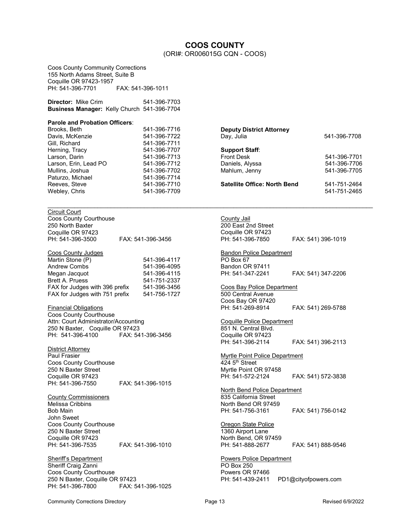# **COOS COUNTY**

(ORI#: OR006015G CQN - COOS)

<span id="page-12-0"></span>Coos County Community Corrections 155 North Adams Street, Suite B Coquille OR 97423-1957 PH: 541-396-7701 FAX: 541-396-1011

| <b>Director:</b> Mike Crim | 541-396-7703                                |  |
|----------------------------|---------------------------------------------|--|
|                            | Business Manager: Kelly Church 541-396-7704 |  |

#### **Parole and Probation Officers**:

| Brooks, Beth           | 541-396-7716 | <b>Deputy District Attorney</b>             |              |
|------------------------|--------------|---------------------------------------------|--------------|
| Davis, McKenzie        | 541-396-7722 | Day, Julia                                  | 541-396-7708 |
| Gill, Richard          | 541-396-7711 |                                             |              |
| Herning, Tracy         | 541-396-7707 | <b>Support Staff:</b>                       |              |
| Larson, Darin          | 541-396-7713 | <b>Front Desk</b>                           | 541-396-7701 |
| Larson, Erin, Lead PO  | 541-396-7712 | Daniels, Alyssa                             | 541-396-7706 |
| Mullins, Joshua        | 541-396-7702 | Mahlum, Jenny                               | 541-396-7705 |
| Paturzo, Michael       | 541-396-7714 |                                             |              |
| Reeves, Steve          | 541-396-7710 | <b>Satellite Office: North Bend</b>         | 541-751-2464 |
| Webley, Chris          | 541-396-7709 |                                             | 541-751-2465 |
| Circuit Court          |              |                                             |              |
| Coon County Courthouse |              | $C_{\text{doub}}$ $\mathbf{I}_{\text{dil}}$ |              |

| FAX: 541-396-3456 |
|-------------------|
|                   |

#### Coos County Judges

| Martin Stone (P)               | 541-396-4117 |
|--------------------------------|--------------|
| <b>Andrew Combs</b>            | 541-396-4095 |
| Megan Jacquot                  | 541-396-4115 |
| <b>Brett A. Pruess</b>         | 541-751-2337 |
| FAX for Judges with 396 prefix | 541-396-3456 |
| FAX for Judges with 751 prefix | 541-756-1727 |

Financial Obligations Coos County Courthouse Attn: Court Administrator/Accounting 250 N Baxter, Coquille OR 97423 FAX: 541-396-3456

District Attorney Paul Frasier Coos County Courthouse 250 N Baxter Street Coquille OR 97423 PH: 541-396-7550 FAX: 541-396-1015

County Commissioners Melissa Cribbins Bob Main John Sweet Coos County Courthouse 250 N Baxter Street Coquille OR 97423 PH: 541-396-7535 FAX: 541-396-1010

**Sheriff's Department** Sheriff Craig Zanni Coos County Courthouse 250 N Baxter, Coquille OR 97423 PH: 541-396-7800

**County Jail** 200 East 2nd Street Coquille OR 97423 FAX: 541) 396-1019 **Bandon Police Department** PO Box 67 Bandon OR 97411<br>PH: 541-347-2241 FAX: 541) 347-2206 Coos Bay Police Department 500 Central Avenue Coos Bay OR 97420<br>PH: 541-269-8914 FAX: 541) 269-5788 Coquille Police Department 851 N. Central Blvd. Coquille OR 97423 FAX: 541) 396-2113 Myrtle Point Police Department  $424.5$ <sup>th</sup> Street Myrtle Point OR 97458 FAX: 541) 572-3838 North Bend Police Department 835 California Street North Bend OR 97459<br>PH: 541-756-3161 FAX: 541) 756-0142 **Oregon State Police** 1360 Airport Lane North Bend, OR 97459<br>PH: 541-888-2677

FAX: 541) 888-9546 Powers Police Department PO Box 250 Powers OR 97466

PH: 541-439-2411 PD1@cityofpowers.com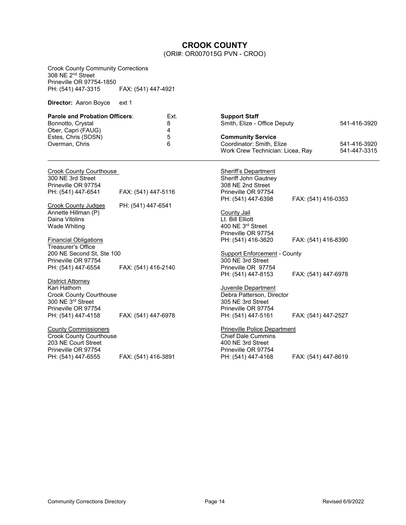# **CROOK COUNTY**

(ORI#: OR007015G PVN - CROO)

<span id="page-13-0"></span>

| <b>Crook County Community Corrections</b><br>308 NE 2 <sup>nd</sup> Street<br>Prineville OR 97754-1850                                |                     |                |                                                                                                                                    |                     |                              |
|---------------------------------------------------------------------------------------------------------------------------------------|---------------------|----------------|------------------------------------------------------------------------------------------------------------------------------------|---------------------|------------------------------|
| PH: (541) 447-3315                                                                                                                    | FAX: (541) 447-4921 |                |                                                                                                                                    |                     |                              |
| Director: Aaron Boyce                                                                                                                 | ext 1               |                |                                                                                                                                    |                     |                              |
| <b>Parole and Probation Officers:</b><br>Bonnotto, Crystal<br>Ober, Capri (FAUG)                                                      |                     | Ext.<br>8<br>4 | <b>Support Staff</b><br>Smith, Elize - Office Deputy                                                                               |                     | 541-416-3920                 |
| Estes, Chris (SOSN)<br>Overman, Chris                                                                                                 |                     | 5<br>6         | <b>Community Service</b><br>Coordinator: Smith, Elize<br>Work Crew Technician: Licea, Ray                                          |                     | 541-416-3920<br>541-447-3315 |
| <b>Crook County Courthouse</b><br>300 NE 3rd Street<br>Prineville OR 97754                                                            |                     |                | <b>Sheriff's Department</b><br>Sheriff John Gautney<br>308 NE 2nd Street                                                           |                     |                              |
| PH: (541) 447-6541                                                                                                                    | FAX: (541) 447-5116 |                | Prineville OR 97754<br>PH: (541) 447-6398                                                                                          | FAX: (541) 416-0353 |                              |
| <b>Crook County Judges</b><br>Annette Hillman (P)<br>Daina Vitolins<br>Wade Whiting<br><b>Financial Obligations</b>                   | PH: (541) 447-6541  |                | County Jail<br>Lt. Bill Elliott<br>400 NE 3rd Street<br>Prineville OR 97754<br>PH: (541) 416-3620                                  | FAX: (541) 416-8390 |                              |
| Treasurer's Office<br>200 NE Second St, Ste 100<br>Prineville OR 97754                                                                |                     |                | <b>Support Enforcement - County</b><br>300 NE 3rd Street                                                                           |                     |                              |
| PH: (541) 447-6554                                                                                                                    | FAX: (541) 416-2140 |                | Prineville OR 97754<br>PH: (541) 447-8153                                                                                          | FAX: (541) 447-6978 |                              |
| District Attorney<br>Kari Hathorn<br><b>Crook County Courthouse</b><br>300 NE 3rd Street<br>Prineville OR 97754<br>PH: (541) 447-4158 | FAX: (541) 447-6978 |                | Juvenile Department<br>Debra Patterson, Director<br>305 NE 3rd Street<br>Prineville OR 97754<br>PH: (541) 447-5161                 | FAX: (541) 447-2527 |                              |
| <b>County Commissioners</b><br><b>Crook County Courthouse</b><br>203 NE Court Street<br>Prineville OR 97754<br>PH: (541) 447-6555     | FAX: (541) 416-3891 |                | <b>Prineville Police Department</b><br><b>Chief Dale Cummins</b><br>400 NE 3rd Street<br>Prineville OR 97754<br>PH: (541) 447-4168 | FAX: (541) 447-8619 |                              |
|                                                                                                                                       |                     |                |                                                                                                                                    |                     |                              |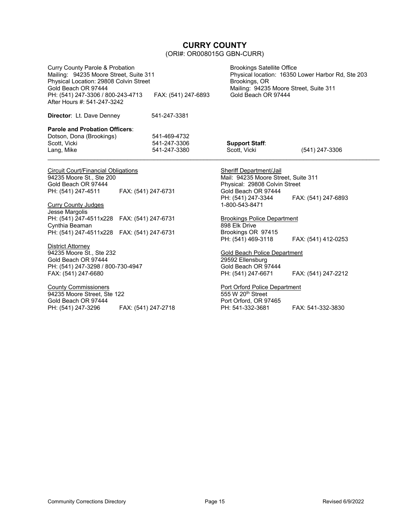# **CURRY COUNTY**

(ORI#: OR008015G GBN-CURR)

<span id="page-14-0"></span>

| <b>Curry County Parole &amp; Probation</b><br>Mailing: 94235 Moore Street, Suite 311<br>Physical Location: 29808 Colvin Street                                                             |                                                                                      | <b>Brookings Satellite Office</b><br>Physical location: 16350 Lower Harbor Rd, Ste 203<br>Brookings, OR                                                               |                     |
|--------------------------------------------------------------------------------------------------------------------------------------------------------------------------------------------|--------------------------------------------------------------------------------------|-----------------------------------------------------------------------------------------------------------------------------------------------------------------------|---------------------|
| Gold Beach OR 97444<br>PH: (541) 247-3306 / 800-243-4713<br>After Hours #: 541-247-3242                                                                                                    | Mailing: 94235 Moore Street, Suite 311<br>Gold Beach OR 97444<br>FAX: (541) 247-6893 |                                                                                                                                                                       |                     |
| Director: Lt. Dave Denney                                                                                                                                                                  | 541-247-3381                                                                         |                                                                                                                                                                       |                     |
| Parole and Probation Officers:<br>Dotson, Dona (Brookings)<br>Scott, Vicki<br>Lang, Mike                                                                                                   | 541-469-4732<br>541-247-3306<br>541-247-3380                                         | <b>Support Staff:</b><br>Scott, Vicki                                                                                                                                 | (541) 247-3306      |
| <b>Circuit Court/Financial Obligations</b><br>94235 Moore St., Ste 200<br>Gold Beach OR 97444<br>PH: (541) 247-4511<br>FAX: (541) 247-6731<br><b>Curry County Judges</b><br>Jesse Margolis |                                                                                      | <b>Sheriff Department/Jail</b><br>Mail: 94235 Moore Street, Suite 311<br>Physical: 29808 Colvin Street<br>Gold Beach OR 97444<br>PH: (541) 247-3344<br>1-800-543-8471 | FAX: (541) 247-6893 |
| PH: (541) 247-4511x228 FAX: (541) 247-6731<br>Cynthia Beaman<br>PH: (541) 247-4511x228  FAX: (541) 247-6731                                                                                |                                                                                      | <b>Brookings Police Department</b><br>898 Elk Drive<br>Brookings OR 97415<br>PH: (541) 469-3118                                                                       | FAX: (541) 412-0253 |
| District Attorney<br>94235 Moore St., Ste 232<br>Gold Beach OR 97444<br>PH: (541) 247-3298 / 800-730-4947<br>FAX: (541) 247-6680                                                           |                                                                                      | <b>Gold Beach Police Department</b><br>29592 Ellensburg<br>Gold Beach OR 97444<br>PH: (541) 247-6671                                                                  | FAX: (541) 247-2212 |
| <b>County Commissioners</b><br>94235 Moore Street, Ste 122                                                                                                                                 |                                                                                      | Port Orford Police Department<br>555 W 20 <sup>th</sup> Street                                                                                                        |                     |

94235 Moore Street, Ste 122 Gold Beach OR 97444<br>PH: (541) 247-3296 PH: (541) 247-3296 FAX: (541) 247-2718

Port Orford, OR 97465 PH: 541-332-3681 FAX: 541-332-3830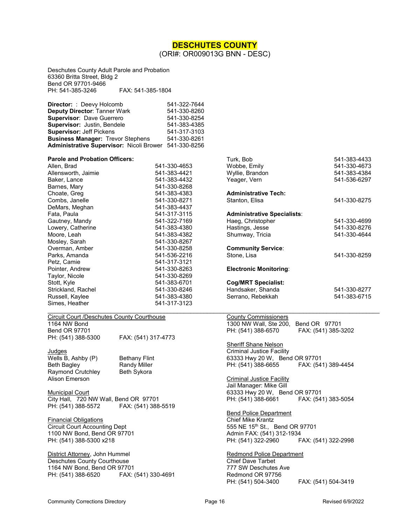### **DESCHUTES COUNTY**

(ORI#: OR009013G BNN - DESC)

<span id="page-15-0"></span>Deschutes County Adult Parole and Probation 63360 Britta Street, Bldg 2 Bend OR 97701-9466<br>PH: 541-385-3246 FAX: 541-385-1804

| <b>Director:</b> : Deevy Holcomb                      | 541-322-7644 |
|-------------------------------------------------------|--------------|
| <b>Deputy Director: Tanner Wark</b>                   | 541-330-8260 |
| Supervisor: Dave Guerrero                             | 541-330-8254 |
| Supervisor: Justin, Bendele                           | 541-383-4385 |
| <b>Supervisor: Jeff Pickens</b>                       | 541-317-3103 |
| <b>Business Manager: Trevor Stephens</b>              | 541-330-8261 |
| Administrative Supervisor: Nicoli Brower 541-330-8256 |              |

| <b>Parole and Probation Officers:</b> |              |
|---------------------------------------|--------------|
| Allen, Brad                           | 541-330-4653 |
| Allensworth, Jaimie                   | 541-383-4421 |
| Baker, Lance                          | 541-383-4432 |
| Barnes, Mary                          | 541-330-8268 |
| Choate, Greg                          | 541-383-4383 |
| Combs, Janelle                        | 541-330-8271 |
| DeMars, Meghan                        | 541-383-4437 |
| Fata, Paula                           | 541-317-3115 |
| Gautney, Mandy                        | 541-322-7169 |
| Lowery, Catherine                     | 541-383-4380 |
| Moore, Leah                           | 541-383-4382 |
| Mosley, Sarah                         | 541-330-8267 |
| Overman, Amber                        | 541-330-8258 |
| Parks, Amanda                         | 541-536-2216 |
| Petz, Camie                           | 541-317-3121 |
| Pointer, Andrew                       | 541-330-8263 |
| Taylor, Nicole                        | 541-330-8269 |
| Stott, Kyle                           | 541-383-6701 |
| Strickland, Rachel                    | 541-330-8246 |
| Russell, Kaylee                       | 541-383-4380 |
| Simes, Heather                        | 541-317-3123 |

| Circuit Court /Deschutes County Courthouse |                     |
|--------------------------------------------|---------------------|
| 1164 NW Bond                               |                     |
| Bend OR 97701                              |                     |
| PH: (541) 388-5300                         | FAX: (541) 317-4773 |

Judges Wells B, Ashby (P) Bethany Flint<br>Beth Bagley Beth Bandy Miller Beth Bagley **Randy Miller<br>Raymond Crutchley** Beth Sykora Raymond Crutchley Alison Emerson

**Municipal Court** City Hall, 720 NW Wall, Bend OR 97701 PH: (541) 388-5572 FAX: (541) 388-5519

Financial Obligations Circuit Court Accounting Dept 1100 NW Bond, Bend OR 97701 PH: (541) 388-5300 x218

District Attorney, John Hummel Deschutes County Courthouse 1164 NW Bond, Bend OR 97701<br>PH: (541) 388-6520 FAX: (541) 330-4691 PH: (541) 388-6520

| <b>Parole and Probation Officers:</b> |              | Turk, Bob                          | 541-383-4433 |
|---------------------------------------|--------------|------------------------------------|--------------|
| Allen, Brad                           | 541-330-4653 | Wobbe, Emily                       | 541-330-4673 |
| Allensworth, Jaimie                   | 541-383-4421 | Wyllie, Brandon                    | 541-383-4384 |
| Baker, Lance                          | 541-383-4432 | Yeager, Vern                       | 541-536-6297 |
| Barnes, Mary                          | 541-330-8268 |                                    |              |
| Choate, Greg                          | 541-383-4383 | <b>Administrative Tech:</b>        |              |
| Combs, Janelle                        | 541-330-8271 | Stanton, Elisa                     | 541-330-8275 |
| DeMars, Meghan                        | 541-383-4437 |                                    |              |
| Fata, Paula                           | 541-317-3115 | <b>Administrative Specialists:</b> |              |
| Gautney, Mandy                        | 541-322-7169 | Haeg, Christopher                  | 541-330-4699 |
| Lowery, Catherine                     | 541-383-4380 | Hastings, Jesse                    | 541-330-8276 |
| Moore, Leah                           | 541-383-4382 | Shumway, Tricia                    | 541-330-4644 |
| Mosley, Sarah                         | 541-330-8267 |                                    |              |
| Overman, Amber                        | 541-330-8258 | <b>Community Service:</b>          |              |
| Parks, Amanda                         | 541-536-2216 | Stone, Lisa                        | 541-330-8259 |
| Petz, Camie                           | 541-317-3121 |                                    |              |
| Pointer, Andrew                       | 541-330-8263 | <b>Electronic Monitoring:</b>      |              |
| Taylor, Nicole                        | 541-330-8269 |                                    |              |
| Stott, Kyle                           | 541-383-6701 | <b>Cog/MRT Specialist:</b>         |              |
| Strickland, Rachel                    | 541-330-8246 | Handsaker, Shanda                  | 541-330-8277 |
| Russell, Kaylee                       | 541-383-4380 | Serrano, Rebekkah                  | 541-383-6715 |
| Simes, Heather                        | 541-317-3123 |                                    |              |

County Commissioners 1300 NW Wall, Ste 200, Bend OR 97701 PH: (541) 388-6570 FAX: (541) 385-3202

Sheriff Shane Nelson Criminal Justice Facility 63333 Hwy 20 W, Bend OR 97701 FAX: (541) 389-4454

Criminal Justice Facility Jail Manager: Mike Gill 63333 Hwy 20 W, Bend OR 97701 FAX: (541) 383-5054

Bend Police Department Chief Mike Krantz 555 NE 15th St., Bend OR 97701 Admin FAX: (541) 312-1934 PH: (541) 322-2960 FAX: (541) 322-2998

Redmond Police Department Chief Dave Tarbet 777 SW Deschutes Ave Redmond OR 97756<br>PH: (541) 504-3400 FAX: (541) 504-3419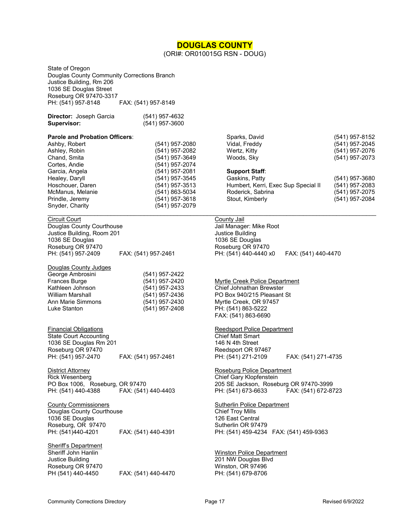### **DOUGLAS COUNTY**

(ORI#: OR010015G RSN - DOUG)

<span id="page-16-0"></span>State of Oregon Douglas County Community Corrections Branch Justice Building, Rm 206 1036 SE Douglas Street Roseburg OR 97470-3317 PH: (541) 957-8148 FAX: (541) 957-8149

| (541) 957-4632 |
|----------------|
| (541) 957-3600 |
|                |

# **Parole and Probation Officers**:

Ashley, Robin (541) 957-2082 Chand, Smita<br>
Cortes, Andie (541) 957-2074 Cortes, Andie (541) 957-2074 Healey, Daryll (541) 957-3545 Hoschouer, Daren (541) 957-3513 McManus, Melanie (541) 863-5034 Prindle, Jeremy (541) 957-3618 Snyder, Charity (541) 957-2079

Douglas County Courthouse **County Counting County Counting**<br>
Justice Building, Room 201 Justice Building, Room 201 1036 SE Douglas 1036 SE Douglas Roseburg OR 97470 **Roseburg OR 97470** Roseburg OR 97470

Douglas County Judges George Ambrosini (541) 957-2422 Kathleen Johnson (541) 957-2433 Chief Johnathan Brewster Ann Marie Simmons (541) 957-2430 Myrtle Creek, OR 97457<br>
Luke Stanton (541) 957-2408 PH: (541) 863-5222

Financial Obligations<br>
State Court Accounting<br>
State Court Accounting<br>
State Court Accounting State Court Accounting Chief Matt Smart 1036 SE Douglas Rm 201 1036 SE Douglas Rm 201 Roseburg OR 97470 **Roseburg OR 97467** Reedsport OR 97467

Rick Wesenberg **Chief Gary Klopfenstein** PO Box 1006, Roseburg, OR 97470 205 SE Jackson, Roseburg OR 97470-3999 PH: (541) 440-4388 FAX: (541) 440-4403 PH: (541) 673-6633 FAX: (541) 672-8723

County Commissioners **Sutherlin Police Department** County Commissioners Sutherlin Police Department Douglas County Courthouse Chief Troy Mills 1036 SE Douglas 1036 SE Douglas 126 East Central Roseburg, OR 97470 Sutherlin OR 97479 PH: (541)440-4201 FAX: (541) 440-4391 PH: (541) 459-4234 FAX: (541) 459-9363

Sheriff's Department Sheriff John Hanlin Winston Police Department Justice Building 201 NW Douglas Blvd Roseburg OR 97470 Winston, OR 97496

(541) 957-2080 (541) 957-2081

 $\mathcal{L}_\mathcal{L} = \{ \mathcal{L}_\mathcal{L} = \{ \mathcal{L}_\mathcal{L} = \{ \mathcal{L}_\mathcal{L} = \{ \mathcal{L}_\mathcal{L} = \{ \mathcal{L}_\mathcal{L} = \{ \mathcal{L}_\mathcal{L} = \{ \mathcal{L}_\mathcal{L} = \{ \mathcal{L}_\mathcal{L} = \{ \mathcal{L}_\mathcal{L} = \{ \mathcal{L}_\mathcal{L} = \{ \mathcal{L}_\mathcal{L} = \{ \mathcal{L}_\mathcal{L} = \{ \mathcal{L}_\mathcal{L} = \{ \mathcal{L}_\mathcal{$ Circuit Court County Jail PH: (541) 957-2409 FAX: (541) 957-2461 PH: (541) 440-4440 x0 FAX: (541) 440-4470

Sparks, David (541) 957-8152 Vidal, Freddy (541) 957-2045 Wertz, Kitty (541) 957-2076 Woods, Sky (541) 957-2073

Humbert, Kerri, Exec Sup Special II (541) 957-2083 Roderick, Sabrina (541) 957-2075 Stout, Kimberly (541) 957-2084

(541) 957-3680

Frances Burge (541) 957-2420 Myrtle Creek Police Department William Marshall (541) 957-2436 PO Box 940/215 Pleasant St Luke Stanton (541) 957-2408 PH: (541) 863-5222 FAX: (541) 863-6690

**Support Staff**:

PH: (541) 957-2470 FAX: (541) 957-2461 PH: (541) 271-2109 FAX: (541) 271-4735

District Attorney **Roseburg Police Department** 

PH: (541) 679-8706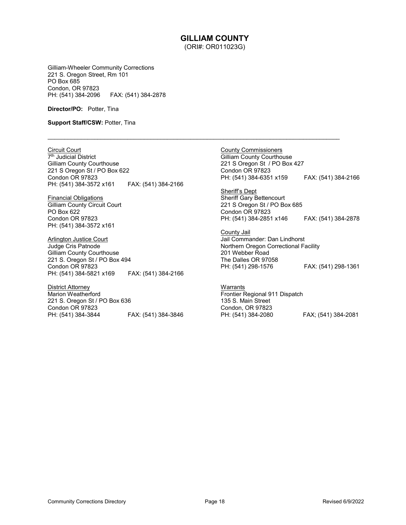#### **GILLIAM COUNTY** (ORI#: OR011023G)

 $\mathcal{L}_\mathcal{L} = \{ \mathcal{L}_\mathcal{L} = \{ \mathcal{L}_\mathcal{L} = \{ \mathcal{L}_\mathcal{L} = \{ \mathcal{L}_\mathcal{L} = \{ \mathcal{L}_\mathcal{L} = \{ \mathcal{L}_\mathcal{L} = \{ \mathcal{L}_\mathcal{L} = \{ \mathcal{L}_\mathcal{L} = \{ \mathcal{L}_\mathcal{L} = \{ \mathcal{L}_\mathcal{L} = \{ \mathcal{L}_\mathcal{L} = \{ \mathcal{L}_\mathcal{L} = \{ \mathcal{L}_\mathcal{L} = \{ \mathcal{L}_\mathcal{$ 

<span id="page-17-0"></span>Gilliam-Wheeler Community Corrections 221 S. Oregon Street, Rm 101 PO Box 685 Condon, OR 97823<br>PH: (541) 384-2096 FAX: (541) 384-2878

**Director/PO:** Potter, Tina

**Support Staff/CSW: Potter, Tina** 

Circuit Court 7<sup>th</sup> Judicial District Gilliam County Courthouse 221 S Oregon St / PO Box 622 Condon OR 97823 PH: (541) 384-3572 x161 FAX: (541) 384-2166

Financial Obligations Gilliam County Circuit Court PO Box 622 Condon OR 97823 PH: (541) 384-3572 x161

Arlington Justice Court Judge Cris Patnode Gilliam County Courthouse 221 S. Oregon St / PO Box 494 Condon OR 97823 PH: (541) 384-5821 x169 FAX: (541) 384-2166

District Attorney Marion Weatherford 221 S. Oregon St / PO Box 636 Condon OR 97823<br>PH: (541) 384-3844 PH: (541) 384-3844 FAX: (541) 384-3846 County Commissioners Gilliam County Courthouse 221 S Oregon St / PO Box 427 Condon OR 97823 PH: (541) 384-6351 x159 FAX: (541) 384-2166

Sheriff's Dept Sheriff Gary Bettencourt 221 S Oregon St / PO Box 685 Condon OR 97823 PH: (541) 384-2851 x146 FAX: (541) 384-2878

County Jail Jail Commander: Dan Lindhorst Northern Oregon Correctional Facility 201 Webber Road The Dalles OR 97058<br>PH: (541) 298-1576 PH: (541) 298-1576 FAX: (541) 298-1361

**Warrants** Frontier Regional 911 Dispatch 135 S. Main Street Condon, OR 97823<br>PH: (541) 384-2080 PH: (541) 384-2080 FAX; (541) 384-2081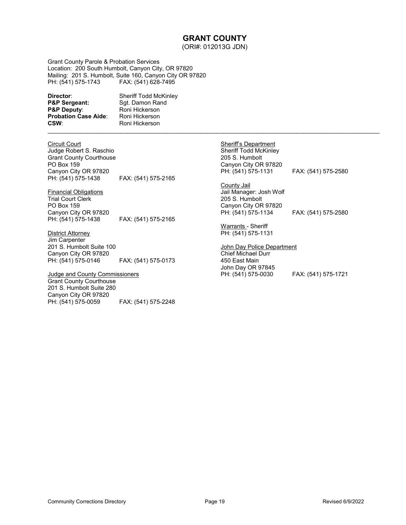### **GRANT COUNTY**

(ORI#: 012013G JDN)

\_\_\_\_\_\_\_\_\_\_\_\_\_\_\_\_\_\_\_\_\_\_\_\_\_\_\_\_\_\_\_\_\_\_\_\_\_\_\_\_\_\_\_\_\_\_\_\_\_\_\_\_\_\_\_\_\_\_\_\_\_\_\_\_\_\_\_\_\_\_\_\_\_\_\_\_\_\_\_\_\_\_\_\_\_\_\_\_\_\_\_\_\_\_\_\_\_\_\_\_

<span id="page-18-0"></span>Grant County Parole & Probation Services Location: 200 South Humbolt, Canyon City, OR 97820 Mailing: 201 S. Humbolt, Suite 160, Canyon City OR 97820 PH: (541) 575-1743 FAX: (541) 628-7495

**Director:** Sheriff Todd McKinley<br> **P&P Sergeant:** Sgt. Damon Rand **P&P Sergeant:** Sgt. Damon Rand<br> **P&P Deputy**: Roni Hickerson **Probation Case Aide:**<br>CSW:

**Roni Hickerson**<br>Roni Hickerson **CSW**: Roni Hickerson

Circuit Court

Judge Robert S. Raschio Grant County Courthouse PO Box 159 Canyon City OR 97820<br>PH: (541) 575-1438 FAX: (541) 575-2165

Financial Obligations Trial Court Clerk PO Box 159 Canyon City OR 97820

FAX: (541) 575-2165

### District Attorney

Jim Carpenter 201 S. Humbolt Suite 100 Canyon City OR 97820 PH: (541) 575-0146 FAX: (541) 575-0173

#### Judge and County Commissioners

Grant County Courthouse 201 S. Humbolt Suite 280 Canyon City OR 97820<br>PH: (541) 575-0059 FAX: (541) 575-2248 Sheriff's Department Sheriff Todd McKinley 205 S. Humbolt Canyon City OR 97820<br>PH: (541) 575-1131

County Jail Jail Manager: Josh Wolf 205 S. Humbolt Canyon City OR 97820 PH: (541) 575-1134 FAX: (541) 575-2580

Warrants - Sheriff PH: (541) 575-1131

John Day Police Department Chief Michael Durr 450 East Main John Day OR 97845 PH: (541) 575-0030 FAX: (541) 575-1721

FAX: (541) 575-2580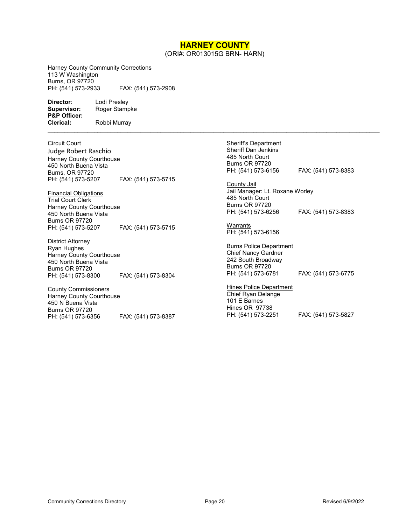# **HARNEY COUNTY**

(ORI#: OR013015G BRN- HARN)

 $\mathcal{L}_\mathcal{L} = \{ \mathcal{L}_\mathcal{L}, \mathcal{L}_\mathcal{L}, \mathcal{L}_\mathcal{L}, \mathcal{L}_\mathcal{L}, \mathcal{L}_\mathcal{L}, \mathcal{L}_\mathcal{L}, \mathcal{L}_\mathcal{L}, \mathcal{L}_\mathcal{L}, \mathcal{L}_\mathcal{L}, \mathcal{L}_\mathcal{L}, \mathcal{L}_\mathcal{L}, \mathcal{L}_\mathcal{L}, \mathcal{L}_\mathcal{L}, \mathcal{L}_\mathcal{L}, \mathcal{L}_\mathcal{L}, \mathcal{L}_\mathcal{L}, \mathcal{L}_\mathcal{L}, \$ 

<span id="page-19-0"></span>Harney County Community Corrections 113 W Washington Burns, OR 97720<br>PH: (541) 573-2933

PH: (541) 573-2933 FAX: (541) 573-2908

**Director:** Lodi Presley<br> **Supervisor:** Roger Stamp **P&P Officer:**

Roger Stampke **Clerical:** Robbi Murray

Circuit Court

Judge Robert Raschio Harney County Courthouse 450 North Buena Vista Burns, OR 97720<br>PH: (541) 573-5207 FAX: (541) 573-5715

Financial Obligations Trial Court Clerk Harney County Courthouse 450 North Buena Vista Burns OR 97720<br>PH: (541) 573-5207 PH: (541) 573-5207 FAX: (541) 573-5715

District Attorney Ryan Hughes Harney County Courthouse 450 North Buena Vista Burns OR 97720 PH: (541) 573-8300 FAX: (541) 573-8304

County Commissioners Harney County Courthouse 450 N Buena Vista Burns OR 97720<br>PH: (541) 573-6356 PH: (541) 573-6356 FAX: (541) 573-8387

Sheriff's Department Sheriff Dan Jenkins 485 North Court Burns OR 97720<br>PH: (541) 573-6156

PH: (541) 573-6156 FAX: (541) 573-8383

**County Jail** Jail Manager: Lt. Roxane Worley 485 North Court Burns OR 97720<br>PH: (541) 573-6256 PH: (541) 573-6256 FAX: (541) 573-8383

**Warrants** PH: (541) 573-6156

Burns Police Department Chief Nancy Gardner 242 South Broadway Burns OR 97720<br>PH: (541) 573-6781 FAX: (541) 573-6775

**Hines Police Department** Chief Ryan Delange 101 E Barnes Hines OR 97738<br>PH: (541) 573-2251 FAX: (541) 573-5827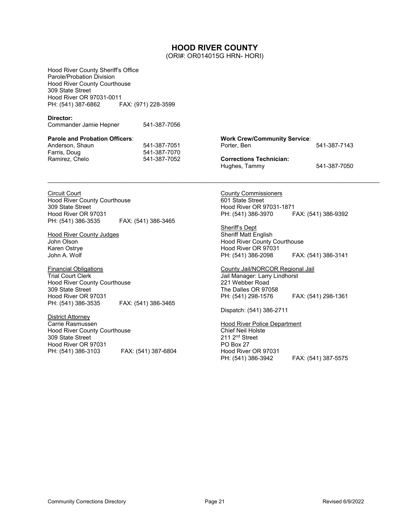### **HOOD RIVER COUNTY**

(ORI#: OR014015G HRN- HORI)

<span id="page-20-0"></span>Hood River County Sheriff's Office Parole/Probation Division Hood River County Courthouse 309 State Street Hood River OR 97031-0011 PH: (541) 387-6862 FAX: (971) 228-3599 **Director:**  Commander Jamie Hepner541-387-7056 **Parole and Probation Officers**: Anderson, Shaun 541-387-7051<br>Farris, Doug 541-387-7070 541-387-7070 Ramirez, Chelo 541-387-7052 **Work Crew/Community Service**: 541-387-7143 **Corrections Technician:**  Hughes, Tammy 541-387-7050  $\ldots$  . The contribution of the contribution of the contribution of the contribution of the contribution of the contribution of the contribution of the contribution of the contribution of the contribution of the contribut Circuit Court Hood River County Courthouse 309 State Street Hood River OR 97031 PH: (541) 386-3535 FAX: (541) 386-3465 Hood River County Judges John Olson Karen Ostrye John A. Wolf Financial Obligations Trial Court Clerk Hood River County Courthouse 309 State Street Hood River OR 97031<br>PH: (541) 386-3535 FAX: (541) 386-3465 District Attorney Carrie Rasmussen Hood River County Courthouse 309 State Street Hood River OR 97031 PH: (541) 386-3103 FAX: (541) 387-6804 County Commissioners 601 State Street Hood River OR 97031-1871 PH: (541) 386-3970 FAX: (541) 386-9392 Sheriff's Dept Sheriff Matt English Hood River County Courthouse Hood River OR 97031 PH: (541) 386-2098 FAX: (541) 386-3141 County Jail/NORCOR Regional Jail Jail Manager: Larry Lindhorst 221 Webber Road The Dalles OR 97058 PH: (541) 298-1576 FAX: (541) 298-1361 Dispatch: (541) 386-2711 Hood River Police Department Chief Neil Holste 211 2nd Street PO Box 27 Hood River OR 97031 PH: (541) 386-3942 FAX: (541) 387-5575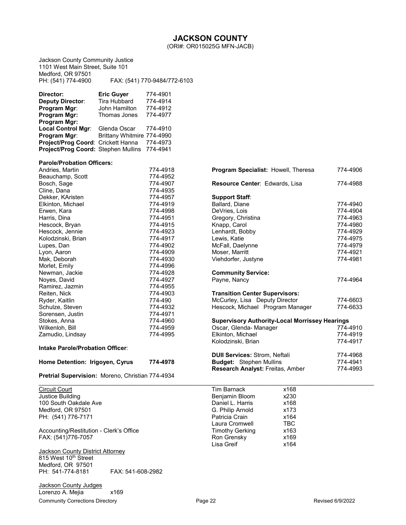(ORI#: OR015025G MFN-JACB)

<span id="page-21-0"></span>Jackson County Community Justice 1101 West Main Street, Suite 101 Medford, OR 97501 PH: (541) 774-4900 FAX: (541) 770-9484/772-6103 **Director: Eric Guyer** 774-4901<br>**Deputy Director:** Tira Hubbard 774-4914 **Deputy Director:** Tira Hubbard 774-4914<br>**Program Mgr:** John Hamilton 774-4912 **John Hamilton Program Mgr:** Thomas Jones 774-4977 **Program Mgr:** Local Control Mgr: Glenda Oscar 774-4910 **Program Mgr:** Brittany Whitmire 774-4990<br>**Project/Prog Coord:** Crickett Hanna 774-4973 **Project/Prog Coord: Crickett Hanna Project/Prog Coord:** Stephen Mullins 774-4941 **Parole/Probation Officers:** Andries, Martin 774-4918 Beauchamp, Scott 774-4952 Bosch, Sage 774-4907 Cline, Dana 774-4935 Dekker, KAristen 774-4957 Elkinton, Michael 774-4919 Erwen, Kara 774-4998 Harris, Dina 774-4951 Hescock, Bryan 774-4915 Hescock, Jennie 774-4923 Kolodzinski, Brian Lupes, Dan 774-4902 Lyon, Aaron 774-4909 Mak, Deborah 774-4930 Morlet, Emily Newman, Jackie 774-4928 Noyes, David 774-4927 Ramirez, Jazmin 774-4955 Reiten, Nick 1990<br>Ryder, Kaitlin 1990 - 1991 - 1992<br>T74-490 Ryder, Kaitlin 1988 (1998)<br>Schulze, Steven 1988 (1974-4932) Schulze, Steven 1988 (Schulze, Steven 1988)<br>Sorensen, Justin 1988 (Steven 1988) Sorensen, Justin 774-4971 Stokes, Anna 774-4960 Wilkenloh, Bill 1990<br>Zamudio, Lindsay 1980 - 774-4995 Zamudio, Lindsay **Intake Parole/Probation Officer**: **Home Detention: Irigoyen, Cyrus 774-4978 Pretrial Supervision:** Moreno, Christian 774-4934 **Research Analyst: Freitas, Amber**  $\mathcal{L}_\mathcal{L} = \{ \mathcal{L}_\mathcal{L} = \{ \mathcal{L}_\mathcal{L} = \{ \mathcal{L}_\mathcal{L} = \{ \mathcal{L}_\mathcal{L} = \{ \mathcal{L}_\mathcal{L} = \{ \mathcal{L}_\mathcal{L} = \{ \mathcal{L}_\mathcal{L} = \{ \mathcal{L}_\mathcal{L} = \{ \mathcal{L}_\mathcal{L} = \{ \mathcal{L}_\mathcal{L} = \{ \mathcal{L}_\mathcal{L} = \{ \mathcal{L}_\mathcal{L} = \{ \mathcal{L}_\mathcal{L} = \{ \mathcal{L}_\mathcal{$ Circuit Court Justice Building 100 South Oakdale Ave Medford, OR 97501 PH: (541) 776-7171 Accounting/Restitution - Clerk's Office FAX: (541)776-7057 Jackson County District Attorney 815 West 10th Street Medford, OR 97501<br>PH: 541-774-8181 FAX: 541-608-2982

Community Corrections Directory **Community Corrections Directory Page 22** Revised 6/9/2022 Jackson County Judges Lorenzo A. Mejia x169

| <b>Program Specialist: Howell, Theresa</b>            | 774-4906 |
|-------------------------------------------------------|----------|
| Resource Center: Edwards, Lisa                        | 774-4988 |
| <b>Support Staff:</b>                                 |          |
| Ballard, Diane                                        | 774-4940 |
| DeVries, Lois                                         | 774-4904 |
| Gregory, Christina                                    | 774-4963 |
| Knapp, Carol                                          | 774-4980 |
| Lenhardt, Bobby                                       | 774-4929 |
| Lewis, Katie                                          | 774-4975 |
| McFall, Daelynne                                      | 774-4979 |
| Moser, Marritt                                        | 774-4921 |
| Viehdorfer, Justyne                                   | 774-4981 |
| <b>Community Service:</b>                             |          |
| Payne, Nancy                                          | 774-4964 |
| <b>Transition Center Supervisors:</b>                 |          |
| McCurley, Lisa Deputy Director                        | 774-6603 |
| Hescock, Michael Program Manager                      | 774-6633 |
| <b>Supervisory Authority-Local Morrissey Hearings</b> |          |
| Oscar, Glenda- Manager                                | 774-4910 |
| Elkinton, Michael                                     | 774-4919 |
| Kolodzinski, Brian                                    | 774-4917 |
| <b>DUII Services: Strom, Neftali</b>                  | 774-4968 |
| <b>Budget: Stephen Mullins</b>                        | 774-4941 |
| <b>Research Analyst: Freitas, Amber</b>               | 774-4993 |

| <b>Tim Barnack</b>     | x168       |  |
|------------------------|------------|--|
| Benjamin Bloom         | x230       |  |
| Daniel L. Harris       | x168       |  |
| G. Philip Arnold       | x173       |  |
| Patricia Crain         | x164       |  |
| Laura Cromwell         | <b>TBC</b> |  |
| <b>Timothy Gerking</b> | x163       |  |
| Ron Grensky            | x169       |  |
| Lisa Greif             | x164       |  |
|                        |            |  |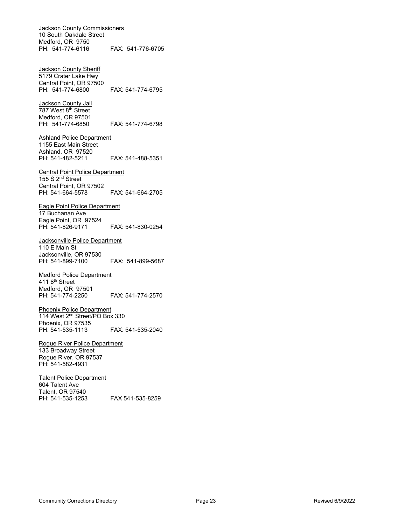Jackson County Commissioners 10 South Oakdale Street Medford, OR 9750 PH: 541-774-6116 FAX: 541-776-6705

Jackson County Sheriff 5179 Crater Lake Hwy Central Point, OR 97500 PH: 541-774-6800 FAX: 541-774-6795

Jackson County Jail 787 West 8<sup>th</sup> Street Medford, OR 97501<br>PH: 541-774-6850 FAX: 541-774-6798

Ashland Police Department 1155 East Main Street Ashland, OR 97520 PH: 541-482-5211 FAX: 541-488-5351

Central Point Police Department 155 S 2<sup>nd</sup> Street Central Point, OR 97502 PH: 541-664-5578 FAX: 541-664-2705

Eagle Point Police Department 17 Buchanan Ave Eagle Point, OR 97524 PH: 541-826-9171 FAX: 541-830-0254

Jacksonville Police Department 110 E Main St Jacksonville, OR 97530 PH: 541-899-7100 FAX: 541-899-5687

Medford Police Department 411 8<sup>th</sup> Street Medford, OR 97501 PH: 541-774-2250 FAX: 541-774-2570

Phoenix Police Department 114 West 2<sup>nd</sup> Street/PO Box 330 Phoenix, OR 97535 FAX: 541-535-2040

Rogue River Police Department 133 Broadway Street Rogue River, OR 97537 PH: 541-582-4931

Talent Police Department 604 Talent Ave Talent, OR 97540 PH: 541-535-1253 FAX 541-535-8259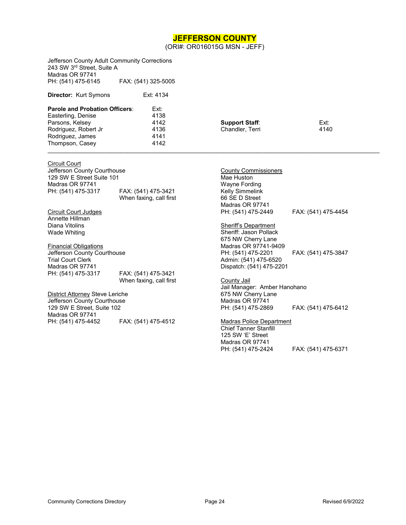### **JEFFERSON COUNTY**

(ORI#: OR016015G MSN - JEFF)

<span id="page-23-0"></span>

| Jefferson County Adult Community Corrections<br>243 SW 3rd Street, Suite A<br>Madras OR 97741<br>PH: (541) 475-6145<br>FAX: (541) 325-5005 |                         |                             |                     |  |
|--------------------------------------------------------------------------------------------------------------------------------------------|-------------------------|-----------------------------|---------------------|--|
| <b>Director: Kurt Symons</b>                                                                                                               | Ext: 4134               |                             |                     |  |
| Parole and Probation Officers:                                                                                                             | Ext:                    |                             |                     |  |
| Easterling, Denise                                                                                                                         | 4138                    |                             |                     |  |
| Parsons, Kelsey                                                                                                                            | 4142                    | <b>Support Staff:</b>       | Ext:                |  |
| Rodriguez, Robert Jr                                                                                                                       | 4136                    | Chandler, Terri             | 4140                |  |
| Rodriguez, James                                                                                                                           | 4141                    |                             |                     |  |
| Thompson, Casey                                                                                                                            | 4142                    |                             |                     |  |
| <b>Circuit Court</b>                                                                                                                       |                         |                             |                     |  |
| Jefferson County Courthouse                                                                                                                |                         | <b>County Commissioners</b> |                     |  |
| 129 SW E Street Suite 101                                                                                                                  |                         | Mae Huston                  |                     |  |
| Madras OR 97741                                                                                                                            |                         | Wayne Fording               |                     |  |
| PH: (541) 475-3317                                                                                                                         | FAX: (541) 475-3421     | Kelly Simmelink             |                     |  |
|                                                                                                                                            | When faxing, call first | 66 SE D Street              |                     |  |
|                                                                                                                                            |                         | Madras OR 97741             |                     |  |
| <b>Circuit Court Judges</b>                                                                                                                |                         | PH: (541) 475-2449          | FAX: (541) 475-4454 |  |
| Annette Hillman                                                                                                                            |                         |                             |                     |  |
| Diana Vitolins                                                                                                                             |                         | Sheriff's Department        |                     |  |
| Wade Whiting                                                                                                                               |                         | Sheriff: Jason Pollack      |                     |  |
|                                                                                                                                            |                         | 675 NW Cherry Lane          |                     |  |
| <b>Financial Obligations</b>                                                                                                               |                         | Madras OR 97741-9409        |                     |  |
| Jefferson County Courthouse                                                                                                                |                         | PH: (541) 475-2201          | FAX: (541) 475-3847 |  |
| <b>Trial Court Clerk</b>                                                                                                                   |                         | Admin: (541) 475-6520       |                     |  |
| Madras OR 97741                                                                                                                            |                         | Dispatch: (541) 475-2201    |                     |  |
| PH: (541) 475-3317                                                                                                                         | FAX: (541) 475-3421     |                             |                     |  |

PH: (541) 475-3317 FAX: (541) 475-3421 When faxing, call first

District Attorney Steve Leriche Jefferson County Courthouse 129 SW E Street, Suite 102 Madras OR 97741<br>PH: (541) 475-4452 FAX: (541) 475-4512

County Jail Jail Manager: Amber Hanohano 675 NW Cherry Lane Madras OR 97741 PH: (541) 475-2869 FAX: (541) 475-6412

#### Madras Police Department

Chief Tanner Stanfill 125 SW 'E' Street Madras OR 97741<br>PH: (541) 475-2424 FAX: (541) 475-6371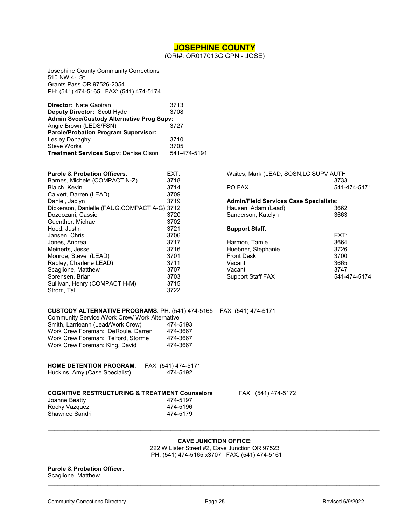### **JOSEPHINE COUNTY**

(ORI#: OR017013G GPN - JOSE)

<span id="page-24-0"></span>Josephine County Community Corrections 510 NW 4<sup>th</sup> St. Grants Pass OR 97526-2054 PH: (541) 474-5165 FAX: (541) 474-5174

| 3713                                             |
|--------------------------------------------------|
| 3708                                             |
| <b>Admin Svce/Custody Alternative Prog Supv:</b> |
| 3727                                             |
|                                                  |
| 3710                                             |
| 3705                                             |
| 541-474-5191                                     |
|                                                  |

| <b>Parole &amp; Probation Officers:</b>      | EXT: |
|----------------------------------------------|------|
| Barnes, Michele (COMPACT N-Z)                | 3718 |
| Blaich, Kevin                                | 3714 |
| Calvert, Darren (LEAD)                       | 3709 |
| Daniel, Jaclyn                               | 3719 |
| Dickerson, Danielle (FAUG, COMPACT A-G) 3712 |      |
| Dozdozani, Cassie                            | 3720 |
| Guenther, Michael                            | 3702 |
| Hood, Justin                                 | 3721 |
| Jansen, Chris                                | 3706 |
| Jones, Andrea                                | 3717 |
| Meinerts, Jesse                              | 3716 |
| Monroe, Steve (LEAD)                         | 3701 |
| Rapley, Charlene LEAD)                       | 3711 |
| Scaglione, Matthew                           | 3707 |
| Sorensen, Brian                              | 3703 |
| Sullivan, Henry (COMPACT H-M)                | 3715 |
| Strom. Tali                                  | 3722 |

| Waites, Mark (LEAD, SOSN, LC SUPV AUTH        |              |  |  |
|-----------------------------------------------|--------------|--|--|
|                                               | 3733         |  |  |
| PO FAX                                        | 541-474-5171 |  |  |
| <b>Admin/Field Services Case Specialists:</b> |              |  |  |
| Hausen, Adam (Lead)                           | 3662         |  |  |
| Sanderson, Katelyn                            | 3663         |  |  |
| <b>Support Staff:</b>                         |              |  |  |
|                                               | FXT:         |  |  |
| Harmon, Tamie                                 | 3664         |  |  |
| Huebner, Stephanie                            | 3726         |  |  |
| <b>Front Desk</b>                             | 3700         |  |  |
| Vacant                                        | 3665         |  |  |
| Vacant                                        | 3747         |  |  |
| <b>Support Staff FAX</b>                      | 541-474-5174 |  |  |

#### **CUSTODY ALTERNATIVE PROGRAMS**: PH: (541) 474-5165 FAX: (541) 474-5171 Community Service /Work Crew/ Work Alternative<br>Smith, Larrieann (Lead/Work Crew) 474-5193 Smith, Larrieann (Lead/Work Crew) 474-5193<br>Work Crew Foreman: DeRoule, Darren 474-3667 Work Crew Foreman: DeRoule, Darren 474-3667<br>Work Crew Foreman: Telford. Storme 474-3667 Work Crew Foreman: Telford, Storme 474-3667<br>Work Crew Foreman: King, David 474-3667

| <b>HOME DETENTION PROGRAM:</b> | FAX: (541) 474-5171 |
|--------------------------------|---------------------|
| Huckins, Amy (Case Specialist) | 474-5192            |

**COGNITY COGNITY** FAX: (541) 474-5172

| <b>COGNITIVE RESTRUCTURING &amp; TREATMENT Counselor</b> |
|----------------------------------------------------------|
| 474-5197                                                 |
| 474-5196                                                 |
| 474-5179                                                 |
|                                                          |

 $\mathcal{L}_\mathcal{L} = \{ \mathcal{L}_\mathcal{L} = \{ \mathcal{L}_\mathcal{L} = \{ \mathcal{L}_\mathcal{L} = \{ \mathcal{L}_\mathcal{L} = \{ \mathcal{L}_\mathcal{L} = \{ \mathcal{L}_\mathcal{L} = \{ \mathcal{L}_\mathcal{L} = \{ \mathcal{L}_\mathcal{L} = \{ \mathcal{L}_\mathcal{L} = \{ \mathcal{L}_\mathcal{L} = \{ \mathcal{L}_\mathcal{L} = \{ \mathcal{L}_\mathcal{L} = \{ \mathcal{L}_\mathcal{L} = \{ \mathcal{L}_\mathcal{$ **CAVE JUNCTION OFFICE**:

222 W Lister Street #2, Cave Junction OR 97523 PH: (541) 474-5165 x3707 FAX: (541) 474-5161

#### **Parole & Probation Officer**: Scaglione, Matthew

Work Crew Foreman: King, David

 $\mathcal{L}_\mathcal{L} = \{ \mathcal{L}_\mathcal{L} = \{ \mathcal{L}_\mathcal{L} = \{ \mathcal{L}_\mathcal{L} = \{ \mathcal{L}_\mathcal{L} = \{ \mathcal{L}_\mathcal{L} = \{ \mathcal{L}_\mathcal{L} = \{ \mathcal{L}_\mathcal{L} = \{ \mathcal{L}_\mathcal{L} = \{ \mathcal{L}_\mathcal{L} = \{ \mathcal{L}_\mathcal{L} = \{ \mathcal{L}_\mathcal{L} = \{ \mathcal{L}_\mathcal{L} = \{ \mathcal{L}_\mathcal{L} = \{ \mathcal{L}_\mathcal{$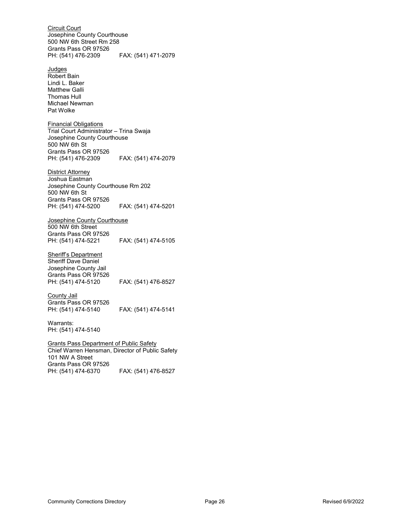Circuit Court Josephine County Courthouse 500 NW 6th Street Rm 258 Grants Pass OR 97526 PH: (541) 476-2309 FAX: (541) 471-2079 **Judges** Robert Bain Lindi L. Baker Matthew Galli Thomas Hull Michael Newman Pat Wolke Financial Obligations Trial Court Administrator – Trina Swaja Josephine County Courthouse 500 NW 6th St Grants Pass OR 97526 PH: (541) 476-2309 FAX: (541) 474-2079 **District Attorney** Joshua Eastman Josephine County Courthouse Rm 202 500 NW 6th St Grants Pass OR 97526 PH: (541) 474-5200 FAX: (541) 474-5201 Josephine County Courthouse 500 NW 6th Street Grants Pass OR 97526 PH: (541) 474-5221 FAX: (541) 474-5105 **Sheriff's Department** Sheriff Dave Daniel Josephine County Jail Grants Pass OR 97526<br>PH: (541) 474-5120 FAX: (541) 476-8527 County Jail Grants Pass OR 97526 PH: (541) 474-5140 FAX: (541) 474-5141 Warrants: PH: (541) 474-5140 Grants Pass Department of Public Safety Chief Warren Hensman, Director of Public Safety 101 NW A Street Grants Pass OR 97526<br>PH: (541) 474-6370 FAX: (541) 476-8527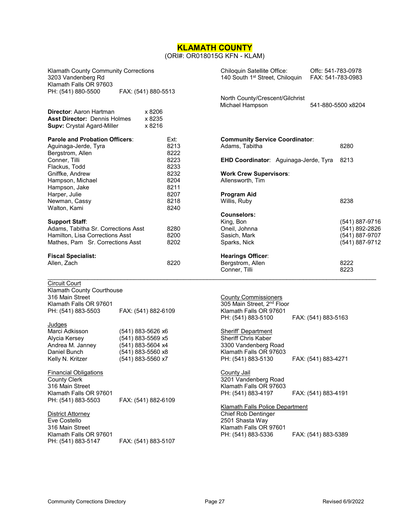# **KLAMATH COUNTY**

### (ORI#: OR018015G KFN - KLAM)

<span id="page-26-0"></span>

| Klamath County Community Corrections<br>3203 Vandenberg Rd<br>Klamath Falls OR 97603                |                            | Chiloquin Satellite Office:<br>140 South 1 <sup>st</sup> Street, Chiloquin | Offc: 541-783-0978<br>FAX: 541-783-0983 |
|-----------------------------------------------------------------------------------------------------|----------------------------|----------------------------------------------------------------------------|-----------------------------------------|
| PH: (541) 880-5500                                                                                  | FAX: (541) 880-5513        |                                                                            |                                         |
|                                                                                                     |                            | North County/Crescent/Gilchrist<br>Michael Hampson                         | 541-880-5500 x8204                      |
| <b>Director: Aaron Hartman</b><br><b>Asst Director: Dennis Holmes</b><br>Supv: Crystal Agard-Miller | x 8206<br>x 8235<br>x 8216 |                                                                            |                                         |
| <b>Parole and Probation Officers:</b>                                                               | Ext:                       | <b>Community Service Coordinator:</b>                                      |                                         |
| Aguinaga-Jerde, Tyra                                                                                | 8213                       | Adams, Tabitha                                                             | 8280                                    |
| Bergstrom, Allen                                                                                    | 8222                       |                                                                            |                                         |
| Conner, Tilli                                                                                       | 8223                       | <b>EHD Coordinator:</b> Aguinaga-Jerde, Tyra                               | 8213                                    |
| Flackus, Todd                                                                                       | 8233                       |                                                                            |                                         |
| Gniffke, Andrew                                                                                     | 8232                       | <b>Work Crew Supervisors:</b>                                              |                                         |
| Hampson, Michael                                                                                    | 8204                       | Allensworth, Tim                                                           |                                         |
| Hampson, Jake                                                                                       | 8211                       |                                                                            |                                         |
| Harper, Julie                                                                                       | 8207                       | <b>Program Aid</b>                                                         |                                         |
| Newman, Cassy                                                                                       | 8218                       | Willis, Ruby                                                               | 8238                                    |
| Walton, Kami                                                                                        | 8240                       | <b>Counselors:</b>                                                         |                                         |
| <b>Support Staff:</b>                                                                               |                            | King, Bon                                                                  | (541) 887-9716                          |
| Adams, Tabitha Sr. Corrections Asst                                                                 | 8280                       | Oneil, Johnna                                                              | (541) 892-2826                          |
| Hamilton, Lisa Corrections Asst                                                                     | 8200                       | Sasich, Mark                                                               | (541) 887-9707                          |
| Mathes, Pam Sr. Corrections Asst                                                                    | 8202                       | Sparks, Nick                                                               | (541) 887-9712                          |
| <b>Fiscal Specialist:</b><br>Allen, Zach                                                            | 8220                       | <b>Hearings Officer:</b><br>Bergstrom, Allen<br>Conner, Tilli              | 8222<br>8223                            |
|                                                                                                     |                            |                                                                            |                                         |
| <b>Circuit Court</b>                                                                                |                            |                                                                            |                                         |
| Klamath County Courthouse<br>316 Main Street                                                        |                            | <b>County Commissioners</b>                                                |                                         |
| Klamath Falls OR 97601                                                                              |                            | 305 Main Street, 2 <sup>nd</sup> Floor                                     |                                         |
| PH: (541) 883-5503                                                                                  | FAX: (541) 882-6109        | Klamath Falls OR 97601                                                     |                                         |
|                                                                                                     |                            | PH: (541) 883-5100                                                         | FAX: (541) 883-5163                     |
| Judges                                                                                              |                            |                                                                            |                                         |
| Marci Adkisson                                                                                      | (541) 883-5626 x6          | Sheriff Department                                                         |                                         |
| Alycia Kersey                                                                                       | (541) 883-5569 x5          | <b>Sheriff Chris Kaber</b>                                                 |                                         |
| Andrea M. Janney                                                                                    | (541) 883-5604 x4          | 3300 Vandenberg Road                                                       |                                         |
| Daniel Bunch                                                                                        | (541) 883-5560 x8          | Klamath Falls OR 97603                                                     |                                         |
| Kelly N. Kritzer                                                                                    | (541) 883-5560 x7          | PH: (541) 883-5130                                                         | FAX: (541) 883-4271                     |
| <b>Financial Obligations</b>                                                                        |                            | County Jail                                                                |                                         |
| <b>County Clerk</b>                                                                                 |                            | 3201 Vandenberg Road                                                       |                                         |
| 316 Main Street                                                                                     |                            | Klamath Falls OR 97603                                                     |                                         |
| Klamath Falls OR 97601                                                                              |                            | PH: (541) 883-4197                                                         | FAX: (541) 883-4191                     |
| PH: (541) 883-5503                                                                                  | FAX: (541) 882-6109        |                                                                            |                                         |
|                                                                                                     |                            | Klamath Falls Police Department                                            |                                         |
| <b>District Attorney</b>                                                                            |                            | <b>Chief Rob Dentinger</b>                                                 |                                         |
| Eve Costello<br>316 Main Street                                                                     |                            | 2501 Shasta Way                                                            |                                         |
| Klamath Falls OR 97601                                                                              |                            | Klamath Falls OR 97601<br>PH: (541) 883-5336                               | FAX: (541) 883-5389                     |
| PH: (541) 883-5147                                                                                  | FAX: (541) 883-5107        |                                                                            |                                         |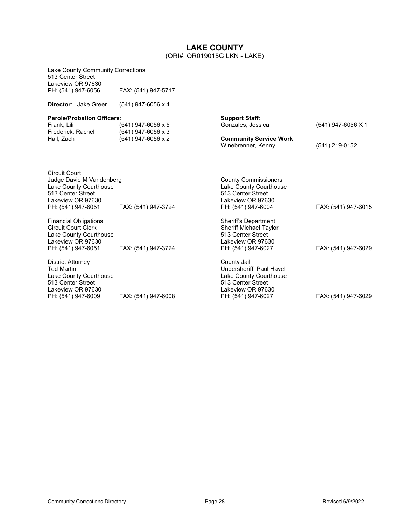### **LAKE COUNTY** (ORI#: OR019015G LKN - LAKE)

<span id="page-27-0"></span>

| <b>Lake County Community Corrections</b><br>513 Center Street<br>Lakeview OR 97630                                                         |                                                                |                                                                                                                                          |                     |
|--------------------------------------------------------------------------------------------------------------------------------------------|----------------------------------------------------------------|------------------------------------------------------------------------------------------------------------------------------------------|---------------------|
| PH: (541) 947-6056                                                                                                                         | FAX: (541) 947-5717                                            |                                                                                                                                          |                     |
| <b>Director:</b> Jake Greer                                                                                                                | $(541)$ 947-6056 x 4                                           |                                                                                                                                          |                     |
| <b>Parole/Probation Officers:</b><br>Frank, Lili<br>Frederick, Rachel<br>Hall, Zach                                                        | (541) 947-6056 x 5<br>(541) 947-6056 x 3<br>(541) 947-6056 x 2 | <b>Support Staff:</b><br>Gonzales, Jessica<br><b>Community Service Work</b>                                                              | (541) 947-6056 X 1  |
|                                                                                                                                            |                                                                | Winebrenner, Kenny                                                                                                                       | (541) 219-0152      |
| <b>Circuit Court</b><br>Judge David M Vandenberg<br>Lake County Courthouse<br>513 Center Street<br>Lakeview OR 97630<br>PH: (541) 947-6051 | FAX: (541) 947-3724                                            | <b>County Commissioners</b><br>Lake County Courthouse<br>513 Center Street<br>Lakeview OR 97630<br>PH: (541) 947-6004                    | FAX: (541) 947-6015 |
| <b>Financial Obligations</b><br><b>Circuit Court Clerk</b><br>Lake County Courthouse<br>Lakeview OR 97630<br>PH: (541) 947-6051            | FAX: (541) 947-3724                                            | Sheriff's Department<br><b>Sheriff Michael Taylor</b><br>513 Center Street<br>Lakeview OR 97630<br>PH: (541) 947-6027                    | FAX: (541) 947-6029 |
| <b>District Attorney</b><br><b>Ted Martin</b><br>Lake County Courthouse<br>513 Center Street<br>Lakeview OR 97630<br>PH: (541) 947-6009    | FAX: (541) 947-6008                                            | <b>County Jail</b><br>Undersheriff: Paul Havel<br>Lake County Courthouse<br>513 Center Street<br>Lakeview OR 97630<br>PH: (541) 947-6027 | FAX: (541) 947-6029 |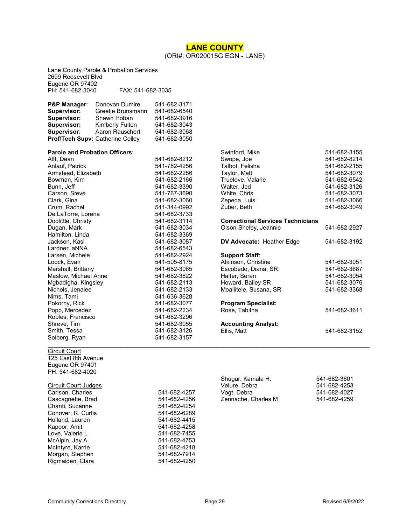#### **LANE COUNTY** (ORI#: OR020015G EGN - LANE)

<span id="page-28-0"></span>Lane County Parole & Probation Services 2699 Roosevelt Blvd Eugene OR 97402<br>PH: 541-682-3040 PH: 541-682-3040 FAX: 541-682-3035

| <b>P&amp;P Manager:</b>          | Donovan Dumire    | 541-682-3171 |
|----------------------------------|-------------------|--------------|
| <b>Supervisor:</b>               | Greetje Brunsmann | 541-682-6540 |
| Supervisor:                      | Shawn Hoban       | 541-682-3916 |
| <b>Supervisor:</b>               | Kimberly Fulton   | 541-682-3043 |
| Supervisor:                      | Aaron Rauschert   | 541-682-3068 |
| Prof/Tech Supv: Catherine Colley |                   | 541-682-3050 |

#### **Parole and Probation Officers**:

| 541-682-8212 |
|--------------|
| 541-782-4256 |
| 541-682-2286 |
| 541-682-2166 |
| 541-682-3390 |
| 541-767-3690 |
| 541-682-3060 |
| 541-344-0992 |
| 541-682-3733 |
| 541-682-3114 |
| 541-682-3034 |
| 541-682-3369 |
| 541-682-3087 |
| 541-682-6543 |
| 541-682-2924 |
| 541-505-8175 |
| 541-682-3065 |
| 541-682-3822 |
| 541-682-2113 |
| 541-682-2133 |
| 541-636-3628 |
| 541-682-3077 |
| 541-682-2234 |
| 541-682-3296 |
| 541-682-3055 |
| 541-682-3126 |
| 541-682-3157 |
|              |

### Swope, Joe 541-682-8214<br>Talbot, Felisha 641-682-2155 Talbot, Felisha<br>Taylor, Matt 541-682-3079<br>541-682-6542 Truelove, Valarie<br>Walter, Jed Walter, Jed 541-682-3126 541-682-3073<br>541-682-3066 Zepeda, Luis<br>Zuber, Beth 541-682-3049 **Correctional Services Technicians** Olson-Shelby, Jeannie 541-682-2927 **DV Advocate: Heather Edge 541-682-3192 Support Staff**: Atkinson, Christine 541-682-3051<br>Escobedo, Diana, SR 541-682-3687 Escobedo, Diana, SR 541-682-3687 Halter, Seran Howard, Bailey SR 541-682-3076 Moaliitele, Susana, SR 541-682-3368 **Program Specialist:** Rose, Tabitha 541-682-3611 **Accounting Analyst:** Ellis, Matt 541-682-3152

Swinford, Mike 541-682-3155

### Circuit Court

125 East 8th Avenue Eugene OR 97401 PH: 541-682-4020

#### Circuit Court Judges Carlson, Charles Cascagnette, Brad Chanti, Suzanne Conover, R. Curtis Holland, Lauren Kapoor, Amit Love, Valerie L McAlpin, Jay A McIntyre, Karrie Morgan, Stephen Rigmaiden, Clara 641-682-4250

| 541-682-4257 |  |
|--------------|--|
| 541-682-4256 |  |
| 541-682-4254 |  |
| 541-682-6289 |  |
| 541-682-4415 |  |
| 541-682-4258 |  |
| 541-682-7455 |  |
| 541-682-4753 |  |
| 541-682-4218 |  |
| 541-682-7914 |  |

| Shugar, Kamala H.   | 541-682-3601 |
|---------------------|--------------|
| Velure, Debra       | 541-682-4253 |
| Vogt, Debra         | 541-682-4027 |
| Zennache, Charles M | 541-682-4259 |

 $\mathcal{L}_\mathcal{L} = \{ \mathcal{L}_\mathcal{L} = \{ \mathcal{L}_\mathcal{L} = \{ \mathcal{L}_\mathcal{L} = \{ \mathcal{L}_\mathcal{L} = \{ \mathcal{L}_\mathcal{L} = \{ \mathcal{L}_\mathcal{L} = \{ \mathcal{L}_\mathcal{L} = \{ \mathcal{L}_\mathcal{L} = \{ \mathcal{L}_\mathcal{L} = \{ \mathcal{L}_\mathcal{L} = \{ \mathcal{L}_\mathcal{L} = \{ \mathcal{L}_\mathcal{L} = \{ \mathcal{L}_\mathcal{L} = \{ \mathcal{L}_\mathcal{$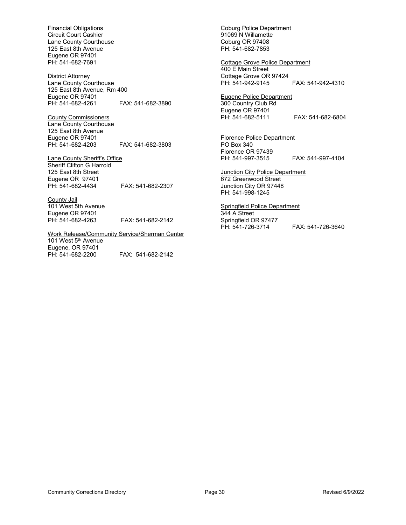Financial Obligations Circuit Court Cashier Lane County Courthouse 125 East 8th Avenue Eugene OR 97401 PH: 541-682-7691

District Attorney Lane County Courthouse 125 East 8th Avenue, Rm 400 Eugene OR 97401<br>PH: 541-682-4261 PH: 541-682-4261 FAX: 541-682-3890

County Commissioners Lane County Courthouse 125 East 8th Avenue Eugene OR 97401 PH: 541-682-4203 FAX: 541-682-3803

Lane County Sheriff's Office Sheriff Clifton G Harrold 125 East 8th Street Eugene OR 97401 PH: 541-682-4434 FAX: 541-682-2307

County Jail 101 West 5th Avenue Eugene OR 97401<br>PH: 541-682-4263 FAX: 541-682-2142

Work Release/Community Service/Sherman Center 101 West 5<sup>th</sup> Avenue Eugene, OR 97401 PH: 541-682-2200 FAX: 541-682-2142

Coburg Police Department 91069 N Willamette Coburg OR 97408 PH: 541-682-7853

Cottage Grove Police Department 400 E Main Street Cottage Grove OR 97424 PH: 541-942-9145 FAX: 541-942-4310

Eugene Police Department 300 Country Club Rd Eugene OR 97401<br>PH: 541-682-5111 FAX: 541-682-6804

Florence Police Department PO Box 340 Florence OR 97439 PH: 541-997-3515 FAX: 541-997-4104

**Junction City Police Department** 672 Greenwood Street Junction City OR 97448 PH: 541-998-1245

Springfield Police Department 344 A Street Springfield OR 97477<br>PH: 541-726-3714 FAX: 541-726-3640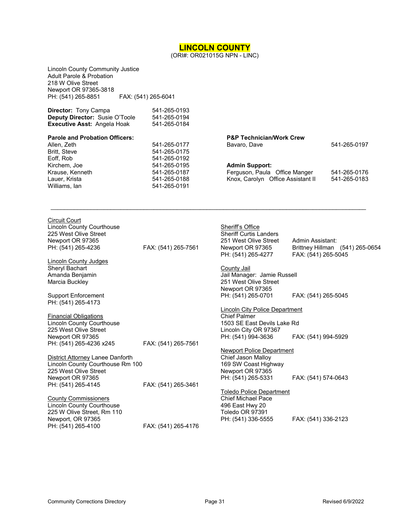<span id="page-30-0"></span>

|                                                                                                                                   |                                              | (ORI#: OR021015G NPN - LINC)                                    |                                         |                                 |
|-----------------------------------------------------------------------------------------------------------------------------------|----------------------------------------------|-----------------------------------------------------------------|-----------------------------------------|---------------------------------|
| Lincoln County Community Justice<br>Adult Parole & Probation<br>218 W Olive Street<br>Newport OR 97365-3818<br>PH: (541) 265-8851 | FAX: (541) 265-6041                          |                                                                 |                                         |                                 |
| Director: Tony Campa<br>Deputy Director: Susie O'Toole<br>Executive Asst: Angela Hoak                                             | 541-265-0193<br>541-265-0194<br>541-265-0184 |                                                                 |                                         |                                 |
| <b>Parole and Probation Officers:</b>                                                                                             |                                              | <b>P&amp;P Technician/Work Crew</b>                             |                                         |                                 |
| Allen, Zeth<br>Britt, Steve<br>Eoff, Rob                                                                                          | 541-265-0177<br>541-265-0175<br>541-265-0192 | Bavaro, Dave                                                    |                                         | 541-265-0197                    |
| Kirchem, Joe<br>Krause, Kenneth                                                                                                   | 541-265-0195<br>541-265-0187                 | <b>Admin Support:</b><br>Ferguson, Paula Office Manger          |                                         | 541-265-0176                    |
| Lauer, Krista<br>Williams, lan                                                                                                    | 541-265-0188<br>541-265-0191                 | Knox, Carolyn Office Assistant II                               |                                         | 541-265-0183                    |
| Circuit Court<br>Lincoln County Courthouse                                                                                        |                                              | Sheriff's Office                                                |                                         |                                 |
| 225 West Olive Street                                                                                                             |                                              | <b>Sheriff Curtis Landers</b>                                   |                                         |                                 |
| Newport OR 97365<br>PH: (541) 265-4236                                                                                            | FAX: (541) 265-7561                          | 251 West Olive Street<br>Newport OR 97365<br>PH: (541) 265-4277 | Admin Assistant:<br>FAX: (541) 265-5045 | Brittney Hillman (541) 265-0654 |
| <b>Lincoln County Judges</b>                                                                                                      |                                              |                                                                 |                                         |                                 |
| Sheryl Bachart<br>Amanda Benjamin                                                                                                 |                                              | <b>County Jail</b><br>Jail Manager: Jamie Russell               |                                         |                                 |
| Marcia Buckley                                                                                                                    |                                              | 251 West Olive Street                                           |                                         |                                 |
|                                                                                                                                   |                                              | Newport OR 97365                                                |                                         |                                 |
| <b>Support Enforcement</b><br>PH: (541) 265-4173                                                                                  |                                              | PH: (541) 265-0701                                              | FAX: (541) 265-5045                     |                                 |
|                                                                                                                                   |                                              | <b>Lincoln City Police Department</b>                           |                                         |                                 |
| <b>Financial Obligations</b><br>Lincoln County Courthouse                                                                         |                                              | <b>Chief Palmer</b><br>1503 SE East Devils Lake Rd              |                                         |                                 |
| 225 West Olive Street                                                                                                             |                                              | Lincoln City OR 97367                                           |                                         |                                 |
| Newport OR 97365                                                                                                                  |                                              | PH: (541) 994-3636                                              | FAX: (541) 994-5929                     |                                 |
| PH: (541) 265-4236 x245                                                                                                           | FAX: (541) 265-7561                          |                                                                 |                                         |                                 |
|                                                                                                                                   |                                              | Newport Police Department                                       |                                         |                                 |
| District Attorney Lanee Danforth                                                                                                  |                                              | Chief Jason Malloy                                              |                                         |                                 |
| Lincoln County Courthouse Rm 100<br>225 West Olive Street                                                                         |                                              | 169 SW Coast Highway<br>Newport OR 97365                        |                                         |                                 |
| Newport OR 97365                                                                                                                  |                                              | PH: (541) 265-5331                                              | FAX: (541) 574-0643                     |                                 |
| PH: (541) 265-4145                                                                                                                | FAX: (541) 265-3461                          |                                                                 |                                         |                                 |
|                                                                                                                                   |                                              | <b>Toledo Police Department</b>                                 |                                         |                                 |
| <b>County Commissioners</b>                                                                                                       |                                              | <b>Chief Michael Pace</b>                                       |                                         |                                 |
| <b>Lincoln County Courthouse</b>                                                                                                  |                                              | 496 East Hwy 20                                                 |                                         |                                 |

**LINCOLN COUNTY**

225 W Olive Street, Rm 110

Newport, OR 97365<br>PH: (541) 265-4100

Toledo OR 97391

PH: (541) 336-5555 FAX: (541) 336-2123

FAX: (541) 265-4176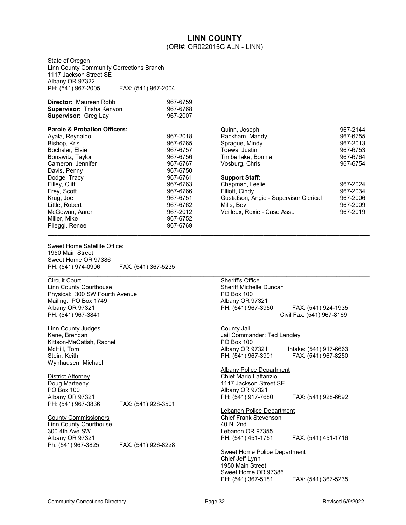### **LINN COUNTY** (ORI#: OR022015G ALN - LINN)

<span id="page-31-0"></span>State of Oregon Linn County Community Corrections Branch 1117 Jackson Street SE Albany OR 97322 PH: (541) 967-2005 FAX: (541) 967-2004

| <b>Director: Maureen Robb</b>     | 967-6759 |
|-----------------------------------|----------|
| <b>Supervisor</b> : Trisha Kenyon | 967-6768 |
| <b>Supervisor:</b> Greg Lay       | 967-2007 |

| <b>Parole &amp; Probation Officers:</b> |          | Quinn, Joseph                          | 967-2144 |
|-----------------------------------------|----------|----------------------------------------|----------|
| Ayala, Reynaldo                         | 967-2018 | Rackham, Mandy                         | 967-6755 |
| Bishop, Kris                            | 967-6765 | Spraque, Mindy                         | 967-2013 |
| Bochsler, Elsie                         | 967-6757 | Toews, Justin                          | 967-6753 |
| Bonawitz, Taylor                        | 967-6756 | Timberlake, Bonnie                     | 967-6764 |
| Cameron, Jennifer                       | 967-6767 | Vosburg, Chris                         | 967-6754 |
| Davis, Penny                            | 967-6750 |                                        |          |
| Dodge, Tracy                            | 967-6761 | <b>Support Staff:</b>                  |          |
| Filley, Cliff                           | 967-6763 | Chapman, Leslie                        | 967-2024 |
| Frey, Scott                             | 967-6766 | Elliott, Cindy                         | 967-2034 |
| Krug, Joe                               | 967-6751 | Gustafson, Angie - Supervisor Clerical | 967-2006 |
| Little, Robert                          | 967-6762 | Mills, Bev                             | 967-2009 |
| McGowan, Aaron                          | 967-2012 | Veilleux. Roxie - Case Asst.           | 967-2019 |
| Miller, Mike                            | 967-6752 |                                        |          |
| Pileggi, Renee                          | 967-6769 |                                        |          |
|                                         |          |                                        |          |

Sweet Home Satellite Office: 1950 Main Street Sweet Home OR 97386 PH: (541) 974-0906 FAX: (541) 367-5235 **\_\_\_\_\_\_\_\_\_\_\_\_\_\_\_\_\_\_\_\_\_\_\_\_\_\_\_\_\_\_\_\_\_\_\_\_\_\_\_\_\_\_\_\_\_\_\_\_\_\_\_\_\_\_\_\_\_\_\_\_\_\_\_\_\_\_\_\_\_\_\_\_\_\_\_\_\_\_\_\_\_\_\_\_\_\_\_\_\_\_\_\_\_\_\_\_\_** 

**Circuit Court** Linn County Courthouse Physical: 300 SW Fourth Avenue Mailing: PO Box 1749 Albany OR 97321 PH: (541) 967-3841

Linn County Judges Kane, Brendan Kittson-MaQatish, Rachel McHill, Tom Stein, Keith Wynhausen, Michael

District Attorney Doug Marteeny PO Box 100 Albany OR 97321 PH: (541) 967-3836 FAX: (541) 928-3501

County Commissioners Linn County Courthouse 300 4th Ave SW Albany OR 97321 Ph: (541) 967-3825 FAX: (541) 926-8228

| Quinn, Joseph<br>Rackham, Mandy<br>Sprague, Mindy<br>Toews, Justin                                                                                 | 967-2144<br>967-6755<br>967-2013<br>967-6753             |
|----------------------------------------------------------------------------------------------------------------------------------------------------|----------------------------------------------------------|
| Timberlake, Bonnie                                                                                                                                 | 967-6764                                                 |
| Vosburg, Chris                                                                                                                                     | 967-6754                                                 |
| <b>Support Staff:</b><br>Chapman, Leslie<br>Elliott, Cindy<br>Gustafson, Angie - Supervisor Clerical<br>Mills, Bev<br>Veilleux. Roxie - Case Asst. | 967-2024<br>967-2034<br>967-2006<br>967-2009<br>967-2019 |

| Sheriff's Office               |                           |
|--------------------------------|---------------------------|
| <b>Sheriff Michelle Duncan</b> |                           |
| PO Box 100                     |                           |
| Albany OR 97321                |                           |
| PH: (541) 967-3950             | FAX: (541) 924-1935       |
|                                | Civil Fax: (541) 967-8169 |
|                                |                           |
| County Jail                    |                           |
| Jail Commander: Ted Langley    |                           |
| PO Box 100                     |                           |
| Albany OR 97321                | Intake: (541) 917-6663    |
| PH: (541) 967-3901             | FAX: (541) 967-8250       |
|                                |                           |

Albany Police Department Chief Mario Lattanzio 1117 Jackson Street SE Albany OR 97321 PH: (541) 917-7680 FAX: (541) 928-6692

Lebanon Police Department Chief Frank Stevenson 40 N. 2nd Lebanon OR 97355 PH: (541) 451-1751 FAX: (541) 451-1716

Sweet Home Police Department Chief Jeff Lynn 1950 Main Street Sweet Home OR 97386 PH: (541) 367-5181 FAX: (541) 367-5235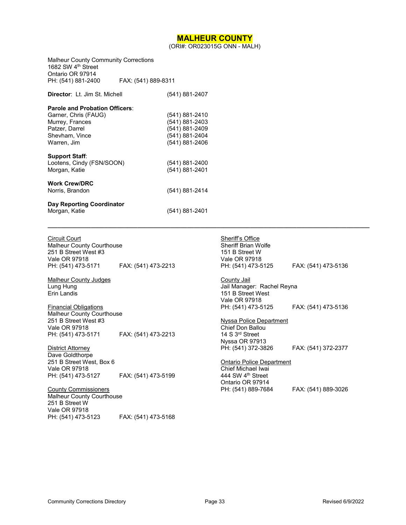### **MALHEUR COUNTY**

(ORI#: OR023015G ONN - MALH)

**\_\_\_\_\_\_\_\_\_\_\_\_\_\_\_\_\_\_\_\_\_\_\_\_\_\_\_\_\_\_\_\_\_\_\_\_\_\_\_\_\_\_\_\_\_\_\_\_\_\_\_\_\_\_\_\_\_\_\_\_\_\_\_\_\_\_\_\_\_\_\_\_\_\_\_\_\_\_\_\_\_\_\_\_\_\_\_\_\_\_\_\_\_\_\_\_\_** 

<span id="page-32-0"></span>

| <b>Malheur County Community Corrections</b><br>1682 SW 4 <sup>th</sup> Street<br>Ontario OR 97914<br>PH: (541) 881-2400             | FAX: (541) 889-8311 |                                                                                        |
|-------------------------------------------------------------------------------------------------------------------------------------|---------------------|----------------------------------------------------------------------------------------|
| <b>Director: Lt. Jim St. Michell</b>                                                                                                |                     | (541) 881-2407                                                                         |
| <b>Parole and Probation Officers:</b><br>Garner, Chris (FAUG)<br>Murrey, Frances<br>Patzer, Darrel<br>Shevham, Vince<br>Warren, Jim |                     | (541) 881-2410<br>(541) 881-2403<br>(541) 881-2409<br>(541) 881-2404<br>(541) 881-2406 |
| <b>Support Staff:</b><br>Lootens, Cindy (FSN/SOON)<br>Morgan, Katie<br><b>Work Crew/DRC</b>                                         |                     | (541) 881-2400<br>(541) 881-2401                                                       |
| Norris, Brandon                                                                                                                     |                     | (541) 881-2414                                                                         |
| Day Reporting Coordinator<br>Morgan, Katie                                                                                          |                     | (541) 881-2401                                                                         |

| <b>Circuit Court</b>             |                     |
|----------------------------------|---------------------|
| <b>Malheur County Courthouse</b> |                     |
| 251 B Street West #3             |                     |
| Vale OR 97918                    |                     |
| PH: (541) 473-5171               | FAX: (541) 473-2213 |

Malheur County Judges Lung Hung Erin Landis

Financial Obligations Malheur County Courthouse 251 B Street West #3 Vale OR 97918 PH: (541) 473-5171 FAX: (541) 473-2213

District Attorney Dave Goldthorpe 251 B Street West, Box 6 Vale OR 97918 PH: (541) 473-5127 FAX: (541) 473-5199

County Commissioners Malheur County Courthouse 251 B Street W Vale OR 97918<br>PH: (541) 473-5123 FAX: (541) 473-5168

Sheriff's Office Sheriff Brian Wolfe 151 B Street W Vale OR 97918<br>PH: (541) 473-5125 PH: (541) 473-5125 FAX: (541) 473-5136

County Jail Jail Manager: Rachel Reyna 151 B Street West Vale OR 97918<br>PH: (541) 473-5125 PH: (541) 473-5125 FAX: (541) 473-5136

Nyssa Police Department Chief Don Ballou 14 S 3rd Street Nyssa OR 97913 PH: (541) 372-3826 FAX: (541) 372-2377

#### Ontario Police Department

Chief Michael Iwai 444 SW 4th Street Ontario OR 97914<br>PH: (541) 889-7684

FAX: (541) 889-3026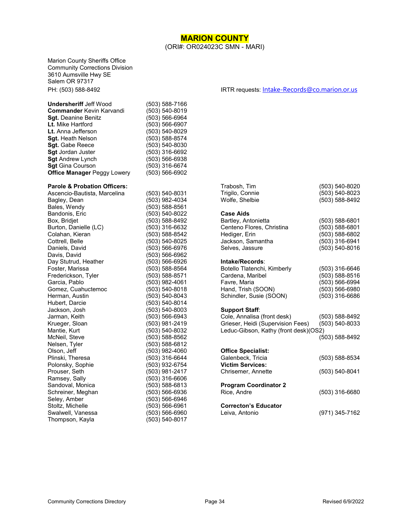### **MARION COUNTY** (ORI#: OR024023C SMN - MARI)

<span id="page-33-0"></span>Marion County Sheriffs Office Community Corrections Division 3610 Aumsville Hwy SE Salem OR 97317

#### **Undersheriff** Jeff Wood (503) 588-7166<br> **Commander** Kevin Karvandi (503) 540-8019 **Commander** Kevin Karvandi (503) 540-8019<br> **Sgt.** Deanine Benitz (503) 566-6964 **Sgt.** Deanine Benitz (503) 566-6964<br> **Lt.** Mike Hartford (503) 566-6907 **Lt.** Mike Hartford **Lt.** Anna Jefferson (503) 540-8029<br> **Sqt.** Heath Nelson (503) 588-8574 **Sgt.** Heath Nelson (503) 588-8574<br> **Sgt.** Gabe Reece (503) 540-8030 **Sgt.** Gabe Reece (503) 540-8030<br> **Sgt** Jordan Juster (503) 316-6692 **Sgt** Jordan Juster **Sgt** Andrew Lynch (503) 566-6938 **Sgt** Gina Courson (503) 316-6674 **Office Manager Peggy Lowery** (503) 566-6902

#### **Parole & Probation Officers:**

Ascencio-Bautista, Marcelina (503) 540-8031 Bagley, Dean (503) 982-4034 Bales, Wendy (503) 588-8561 Bandonis, Eric (503) 540-8022 Burton, Danielle (LC) (503) 316-6632 Colahan, Kieran (503) 588-8542 Cottrell, Belle (503) 540-8025 Daniels, David (503) 566-6976 Day Stutrud, Heather (503) 566-6926 Foster, Marissa (503) 588-8564 Frederickson, Tyler (503) 588-8571 Gomez, Cuahuctemoc Herman, Austin (503) 540-8043 Hubert, Darcie (503) 540-8014 Jackson, Josh (503) 540-8003 Jarman, Keith (503) 566-6943 Mantie, Kurt (503) 540-8032 McNeil, Steve (503) 588-8562 Nelsen, Tyler (503) 588-6812 Plinski, Theresa (503) 316-6644 Polonsky, Sophie (503) 932-6754 Ramsey, Sally Sandoval, Monica (503) 588-6813 Schreiner, Meghan (503) 566-6936 Seley, Amber (503) 566-6946 Stoltz, Michelle (503) 566-6961 Swalwell, Vanessa (503) 566-6960 Thompson, Kayla (503) 540-8017

(503) 588-8492 (503) 566-6962 (503) 982-4061<br>(503) 540-8018 (503) 981-2419 Olson, Jeff (503) 982-4060 (503) 981-2417<br>(503) 316-6606

PH: (503) 588-8492 IRTR requests: [Intake-Records@co.marion.or.us](mailto:Intake-Records@co.marion.or.us)

| Trabosh, Tim<br>Trigilo, Connie<br>Wolfe, Shelbie                                                                                   | (503) 540-8020<br>(503) 540-8023<br>(503) 588-8492                                         |
|-------------------------------------------------------------------------------------------------------------------------------------|--------------------------------------------------------------------------------------------|
| <b>Case Aids</b><br>Bartley, Antonietta<br>Centeno Flores, Christina<br>Hediger, Erin<br>Jackson, Samantha<br>Selves, Jassure       | (503) 588-6801<br>(503) 588-6801<br>(503) 588-6802<br>(503) 316-6941<br>$(503) 540 - 8016$ |
| Intake/Records:<br>Botello Tlatenchi, Kimberly<br>Cardena, Maribel<br>Favre, Maria<br>Hand, Trish (SOON)<br>Schindler, Susie (SOON) | (503) 316-6646<br>(503) 588-8516<br>(503) 566-6994<br>(503) 566-6980<br>(503) 316-6686     |
| Support Staff:<br>Cole, Annalisa (front desk)<br>Grieser, Heidi (Supervision Fees)<br>Leduc-Gibson, Kathy (front desk)(OS2)         | (503) 588-8492<br>(503) 540-8033<br>$(503) 588 - 8492$                                     |
| <b>Office Specialist:</b><br>Galenbeck, Tricia<br><b>Victim Services:</b><br>Chrisemer, Annette                                     | (503) 588-8534<br>(503) 540-8041                                                           |
| <b>Program Coordinator 2</b><br>Rice, Andre                                                                                         | (503) 316-6680                                                                             |
| <b>Correcton's Educator</b><br>Leiva, Antonio                                                                                       | (971) 345-7162                                                                             |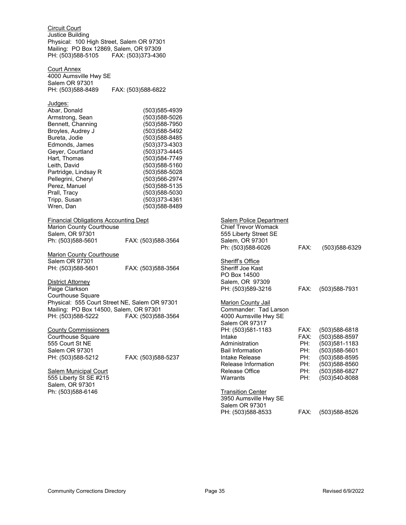| <b>Circuit Court</b><br>Justice Building<br>Physical: 100 High Street, Salem OR 97301<br>Mailing: PO Box 12869, Salem, OR 97309<br>PH: (503)588-5105                                                                                                                       | FAX: (503)373-4360                                                                                                                                                                                                                             |                                                                                               |                            |                                                                      |
|----------------------------------------------------------------------------------------------------------------------------------------------------------------------------------------------------------------------------------------------------------------------------|------------------------------------------------------------------------------------------------------------------------------------------------------------------------------------------------------------------------------------------------|-----------------------------------------------------------------------------------------------|----------------------------|----------------------------------------------------------------------|
| <b>Court Annex</b><br>4000 Aumsville Hwy SE<br>Salem OR 97301                                                                                                                                                                                                              |                                                                                                                                                                                                                                                |                                                                                               |                            |                                                                      |
| PH: (503)588-8489                                                                                                                                                                                                                                                          | FAX: (503)588-6822                                                                                                                                                                                                                             |                                                                                               |                            |                                                                      |
| Judges:<br>Abar, Donald<br>Armstrong, Sean<br>Bennett, Channing<br>Broyles, Audrey J<br>Bureta, Jodie<br>Edmonds, James<br>Geyer, Courtland<br>Hart, Thomas<br>Leith, David<br>Partridge, Lindsay R<br>Pellegrini, Cheryl<br>Perez, Manuel<br>Prall, Tracy<br>Tripp, Susan | (503) 585-4939<br>(503)588-5026<br>$(503)$ 588-7950<br>(503)588-5492<br>(503)588-8485<br>(503)373-4303<br>(503)373-4445<br>(503)584-7749<br>(503)588-5160<br>(503)588-5028<br>(503)566-2974<br>(503)588-5135<br>(503)588-5030<br>(503)373-4361 |                                                                                               |                            |                                                                      |
| Wren, Dan                                                                                                                                                                                                                                                                  | (503)588-8489                                                                                                                                                                                                                                  |                                                                                               |                            |                                                                      |
| <b>Financial Obligations Accounting Dept</b><br>Marion County Courthouse<br>Salem, OR 97301                                                                                                                                                                                |                                                                                                                                                                                                                                                | <b>Salem Police Department</b><br><b>Chief Trevor Womack</b><br>555 Liberty Street SE         |                            |                                                                      |
| Ph: (503)588-5601                                                                                                                                                                                                                                                          | FAX: (503)588-3564                                                                                                                                                                                                                             | Salem, OR 97301<br>Ph: (503)588-6026                                                          | FAX:                       | $(503)$ 588-6329                                                     |
| <b>Marion County Courthouse</b>                                                                                                                                                                                                                                            |                                                                                                                                                                                                                                                |                                                                                               |                            |                                                                      |
| Salem OR 97301<br>PH: (503)588-5601                                                                                                                                                                                                                                        | FAX: (503)588-3564                                                                                                                                                                                                                             | Sheriff's Office<br>Sheriff Joe Kast<br>PO Box 14500                                          |                            |                                                                      |
| <u>District Attorney</u><br>Paige Clarkson<br>Courthouse Square                                                                                                                                                                                                            |                                                                                                                                                                                                                                                | Salem, OR 97309<br>PH: (503)589-3216                                                          | FAX:                       | $(503)$ 588-7931                                                     |
| Physical: 555 Court Street NE, Salem OR 97301<br>Mailing: PO Box 14500, Salem, OR 97301<br>PH: (503)588-5222 FAX: (503)588-3564                                                                                                                                            |                                                                                                                                                                                                                                                | <b>Marion County Jail</b><br>Commander: Tad Larson<br>4000 Aumsville Hwy SE<br>Salem OR 97317 |                            |                                                                      |
| <b>County Commissioners</b><br>Courthouse Square<br>555 Court St NE<br>Salem OR 97301                                                                                                                                                                                      |                                                                                                                                                                                                                                                | PH: (503)581-1183<br>Intake<br>Administration<br><b>Bail Information</b>                      | FAX:<br>FAX:<br>PH:<br>PH: | (503)588-6818<br>(503)588-8597<br>(503)581-1183<br>$(503)588 - 5601$ |
| PH: (503)588-5212                                                                                                                                                                                                                                                          | FAX: (503)588-5237                                                                                                                                                                                                                             | Intake Release<br>Release Information                                                         | PH:<br>PH:                 | (503)588-8595<br>(503)588-8560                                       |
| Salem Municipal Court<br>555 Liberty St SE #215<br>Salem, OR 97301                                                                                                                                                                                                         |                                                                                                                                                                                                                                                | Release Office<br>Warrants                                                                    | PH:<br>PH:                 | (503)588-6827<br>(503)540-8088                                       |
| Ph: (503)588-6146                                                                                                                                                                                                                                                          |                                                                                                                                                                                                                                                | <b>Transition Center</b><br>3950 Aumsville Hwy SE<br>Salem OR 97301                           |                            |                                                                      |
|                                                                                                                                                                                                                                                                            |                                                                                                                                                                                                                                                | PH: (503)588-8533                                                                             | FAX:                       | (503)588-8526                                                        |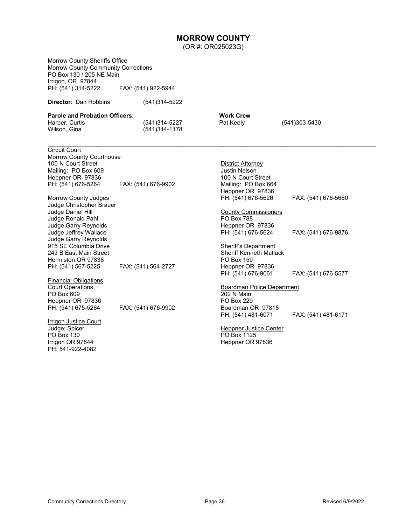## **MORROW COUNTY**

(ORI#: OR025023G)

<span id="page-35-0"></span>

| Morrow County Sheriffs Office                                          |                                     |                                                  |                     |
|------------------------------------------------------------------------|-------------------------------------|--------------------------------------------------|---------------------|
| <b>Morrow County Community Corrections</b><br>PO Box 130 / 205 NE Main |                                     |                                                  |                     |
| Irrigon, OR 97844                                                      |                                     |                                                  |                     |
| PH: (541) 314-5222                                                     | FAX: (541) 922-5944                 |                                                  |                     |
| <b>Director: Dan Robbins</b>                                           | (541)314-5222                       |                                                  |                     |
| <b>Parole and Probation Officers:</b>                                  |                                     | <b>Work Crew</b>                                 |                     |
| Harper, Curtis<br>Wilson, Gina                                         | (541) 314-5227<br>$(541)314 - 1178$ | Pat Keely                                        | $(541)303 - 5430$   |
| <b>Circuit Court</b>                                                   |                                     |                                                  |                     |
| Morrow County Courthouse                                               |                                     |                                                  |                     |
| 100 N Court Street                                                     |                                     | <b>District Attorney</b><br><b>Justin Nelson</b> |                     |
| Mailing: PO Box 609                                                    |                                     |                                                  |                     |
| Heppner OR 97836<br>PH: (541) 676-5264                                 | FAX: (541) 676-9902                 | 100 N Court Street<br>Mailing: PO Box 664        |                     |
|                                                                        |                                     | Heppner OR 97836                                 |                     |
| <b>Morrow County Judges</b>                                            |                                     | PH: (541) 676-5626                               | FAX: (541) 676-5660 |
| Judge Christopher Brauer                                               |                                     |                                                  |                     |
| Judge Daniel Hill                                                      |                                     | <b>County Commissioners</b>                      |                     |
| Judge Ronald Pahl                                                      |                                     | PO Box 788                                       |                     |
| Judge Garry Reynolds                                                   |                                     | Heppner OR 97836                                 |                     |
| Judge Jeffrey Wallace                                                  |                                     | PH: (541) 676-5624                               | FAX: (541) 676-9876 |
| Judge Garry Reynolds                                                   |                                     |                                                  |                     |
| 915 SE Columbia Drive                                                  |                                     | Sheriff's Department                             |                     |
| 243 B East Main Street                                                 |                                     | <b>Sheriff Kenneth Matlack</b>                   |                     |
| Hermiston OR 97838                                                     |                                     | PO Box 159                                       |                     |
| PH: (541) 567-5225                                                     | FAX: (541) 564-2727                 | Heppner OR 97836                                 |                     |
|                                                                        |                                     | PH: (541) 676-9061                               | FAX: (541) 676-5577 |
| <b>Financial Obligations</b>                                           |                                     |                                                  |                     |
| <b>Court Operations</b><br>PO Box 609                                  |                                     | <b>Boardman Police Department</b><br>202 N Main  |                     |
| Heppner OR 97836                                                       |                                     | <b>PO Box 229</b>                                |                     |
| PH: (541) 675-5264                                                     | FAX: (541) 676-9902                 | Boardman OR 97818                                |                     |
|                                                                        |                                     | PH: (541) 481-6071                               | FAX: (541) 481-6171 |
| <b>Irrigon Justice Court</b>                                           |                                     |                                                  |                     |
| Judge: Spicer                                                          |                                     | <b>Heppner Justice Center</b>                    |                     |
| PO Box 130                                                             |                                     | PO Box 1125                                      |                     |
| Irrigon OR 97844                                                       |                                     | Heppner OR 97836                                 |                     |
| PH: 541-922-4082                                                       |                                     |                                                  |                     |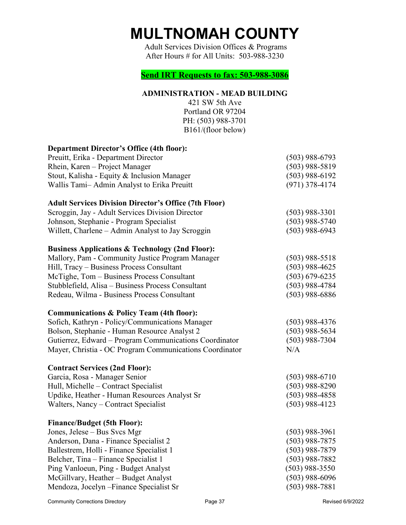# **MULTNOMAH COUNTY**

Adult Services Division Offices & Programs After Hours # for All Units: 503-988-3230

### **Send IRT Requests to fax: 503-988-3086**

### **ADMINISTRATION - MEAD BUILDING**

<span id="page-36-0"></span>

| 421 SW 5th Ave<br>Portland OR 97204<br>PH: (503) 988-3701<br>B161/(floor below) |                    |
|---------------------------------------------------------------------------------|--------------------|
| <b>Department Director's Office (4th floor):</b>                                |                    |
| Preuitt, Erika - Department Director                                            | $(503)$ 988-6793   |
| Rhein, Karen – Project Manager                                                  | $(503)$ 988-5819   |
| Stout, Kalisha - Equity & Inclusion Manager                                     | $(503)$ 988-6192   |
| Wallis Tami-Admin Analyst to Erika Preuitt                                      | $(971)$ 378-4174   |
| <b>Adult Services Division Director's Office (7th Floor)</b>                    |                    |
| Scroggin, Jay - Adult Services Division Director                                | $(503)$ 988-3301   |
| Johnson, Stephanie - Program Specialist                                         | $(503)$ 988-5740   |
| Willett, Charlene – Admin Analyst to Jay Scroggin                               | $(503)$ 988-6943   |
| <b>Business Applications &amp; Technology (2nd Floor):</b>                      |                    |
| Mallory, Pam - Community Justice Program Manager                                | $(503)$ 988-5518   |
| Hill, Tracy - Business Process Consultant                                       | $(503)$ 988-4625   |
| McTighe, Tom – Business Process Consultant                                      | $(503) 679 - 6235$ |
| Stubblefield, Alisa - Business Process Consultant                               | $(503)$ 988-4784   |
| Redeau, Wilma - Business Process Consultant                                     | $(503)$ 988-6886   |
| <b>Communications &amp; Policy Team (4th floor):</b>                            |                    |
| Sofich, Kathryn - Policy/Communications Manager                                 | $(503)$ 988-4376   |
| Bolson, Stephanie - Human Resource Analyst 2                                    | $(503)$ 988-5634   |
| Gutierrez, Edward - Program Communications Coordinator                          | $(503)$ 988-7304   |
| Mayer, Christia - OC Program Communications Coordinator                         | N/A                |
| <b>Contract Services (2nd Floor):</b>                                           |                    |
| Garcia, Rosa - Manager Senior                                                   | $(503)$ 988-6710   |
| Hull, Michelle - Contract Specialist                                            | $(503)$ 988-8290   |
| Updike, Heather - Human Resources Analyst Sr                                    | $(503)$ 988-4858   |
| Walters, Nancy – Contract Specialist                                            | $(503)$ 988-4123   |
| <b>Finance/Budget (5th Floor):</b>                                              |                    |
| Jones, Jelese – Bus Svcs Mgr                                                    | $(503)$ 988-3961   |
| Anderson, Dana - Finance Specialist 2                                           | $(503)$ 988-7875   |
| Ballestrem, Holli - Finance Specialist 1                                        | $(503)$ 988-7879   |
| Belcher, Tina – Finance Specialist 1                                            | $(503)$ 988-7882   |
| Ping Vanloeun, Ping - Budget Analyst                                            | $(503)$ 988-3550   |
| McGillvary, Heather - Budget Analyst                                            | $(503)$ 988-6096   |
| Mendoza, Jocelyn – Finance Specialist Sr                                        | $(503)$ 988-7881   |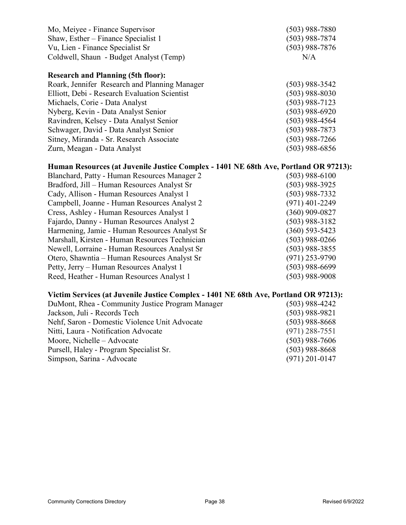| Mo, Meiyee - Finance Supervisor               | $(503)$ 988-7880 |
|-----------------------------------------------|------------------|
| Shaw, Esther – Finance Specialist 1           | $(503)$ 988-7874 |
| Vu, Lien - Finance Specialist Sr              | $(503)$ 988-7876 |
| Coldwell, Shaun - Budget Analyst (Temp)       | N/A              |
| <b>Research and Planning (5th floor):</b>     |                  |
| Roark, Jennifer Research and Planning Manager | $(503)$ 988-3542 |
| Elliott, Debi - Research Evaluation Scientist | $(503)$ 988-8030 |
| Michaels, Corie - Data Analyst                | $(503)$ 988-7123 |
| Nyberg, Kevin - Data Analyst Senior           | $(503)$ 988-6920 |
| Ravindren, Kelsey - Data Analyst Senior       | $(503)$ 988-4564 |
| Schwager, David - Data Analyst Senior         | $(503)$ 988-7873 |
| Sitney, Miranda - Sr. Research Associate      | $(503)$ 988-7266 |
| Zurn, Meagan - Data Analyst                   | $(503)$ 988-6856 |
|                                               |                  |

### **Human Resources (at Juvenile Justice Complex - 1401 NE 68th Ave, Portland OR 97213):**

| $(503)$ 988-6100   |
|--------------------|
| $(503)$ 988-3925   |
| $(503)$ 988-7332   |
| $(971)$ 401-2249   |
| $(360)$ 909-0827   |
| $(503)$ 988-3182   |
| $(360) 593 - 5423$ |
| $(503)$ 988-0266   |
| $(503)$ 988-3855   |
| $(971)$ 253-9790   |
| $(503)$ 988-6699   |
| $(503)$ 988-9008   |
|                    |

# **Victim Services (at Juvenile Justice Complex - 1401 NE 68th Ave, Portland OR 97213):**

| DuMont, Rhea - Community Justice Program Manager | $(503)$ 988-4242 |
|--------------------------------------------------|------------------|
| Jackson, Juli - Records Tech                     | $(503)$ 988-9821 |
| Nehf, Saron - Domestic Violence Unit Advocate    | $(503)$ 988-8668 |
| Nitti, Laura - Notification Advocate             | $(971)$ 288-7551 |
| Moore, Nichelle – Advocate                       | $(503)$ 988-7606 |
| Pursell, Haley - Program Specialist Sr.          | $(503)$ 988-8668 |
| Simpson, Sarina - Advocate                       | $(971)$ 201-0147 |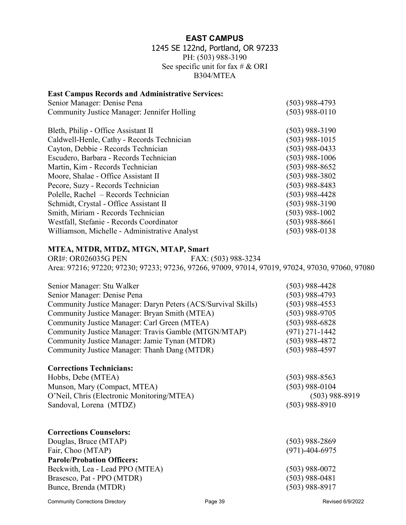### **EAST CAMPUS**

### 1245 SE 122nd, Portland, OR 97233 PH: (503) 988-3190 See specific unit for fax  $\# \& ORI$ B304/MTEA

### <span id="page-38-0"></span>**East Campus Records and Administrative Services:**

| Senior Manager: Denise Pena                   | $(503)$ 988-4793 |
|-----------------------------------------------|------------------|
| Community Justice Manager: Jennifer Holling   | $(503)$ 988-0110 |
|                                               |                  |
| Bleth, Philip - Office Assistant II           | $(503)$ 988-3190 |
| Caldwell-Henle, Cathy - Records Technician    | $(503)$ 988-1015 |
| Cayton, Debbie - Records Technician           | (503) 988-0433   |
| Escudero, Barbara - Records Technician        | $(503)$ 988-1006 |
| Martin, Kim - Records Technician              | (503) 988-8652   |
| Moore, Shalae - Office Assistant II           | (503) 988-3802   |
| Pecore, Suzy - Records Technician             | (503) 988-8483   |
| Polelle, Rachel – Records Technician          | (503) 988-4428   |
| Schmidt, Crystal - Office Assistant II        | (503) 988-3190   |
| Smith, Miriam - Records Technician            | (503) 988-1002   |
| Westfall, Stefanie - Records Coordinator      | (503) 988-8661   |
| Williamson, Michelle - Administrative Analyst | (503) 988-0138   |
|                                               |                  |

### **MTEA, MTDR, MTDZ, MTGN, MTAP, Smart**

ORI#: OR026035G PEN FAX: (503) 988-3234 Area: 97216; 97220; 97230; 97233; 97236, 97266, 97009, 97014, 97019, 97024, 97030, 97060, 97080

| Senior Manager: Stu Walker                                    | $(503)$ 988-4428     |
|---------------------------------------------------------------|----------------------|
| Senior Manager: Denise Pena                                   | $(503)$ 988-4793     |
| Community Justice Manager: Daryn Peters (ACS/Survival Skills) | $(503)$ 988-4553     |
| Community Justice Manager: Bryan Smith (MTEA)                 | $(503)$ 988-9705     |
| Community Justice Manager: Carl Green (MTEA)                  | $(503)$ 988-6828     |
| Community Justice Manager: Travis Gamble (MTGN/MTAP)          | $(971)$ 271-1442     |
| Community Justice Manager: Jamie Tynan (MTDR)                 | $(503)$ 988-4872     |
| Community Justice Manager: Thanh Dang (MTDR)                  | $(503)$ 988-4597     |
| <b>Corrections Technicians:</b>                               |                      |
| Hobbs, Debe (MTEA)                                            | $(503)$ 988-8563     |
| Munson, Mary (Compact, MTEA)                                  | $(503)$ 988-0104     |
| O'Neil, Chris (Electronic Monitoring/MTEA)                    | $(503)$ 988-8919     |
| Sandoval, Lorena (MTDZ)                                       | $(503)$ 988-8910     |
| <b>Corrections Counselors:</b>                                |                      |
| Douglas, Bruce (MTAP)                                         | $(503)$ 988-2869     |
| Fair, Choo (MTAP)                                             | $(971) - 404 - 6975$ |
| <b>Parole/Probation Officers:</b>                             |                      |
| Beckwith, Lea - Lead PPO (MTEA)                               | $(503)$ 988-0072     |
| Brasesco, Pat - PPO (MTDR)                                    | $(503)$ 988-0481     |
| Bunce, Brenda (MTDR)                                          | (503) 988-8917       |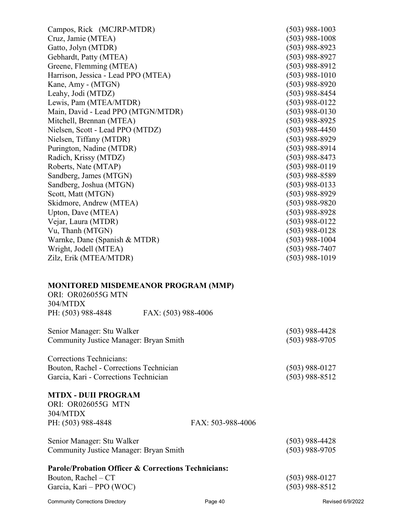| Campos, Rick (MCJRP-MTDR)               |                                            | $(503)$ 988-1003 |
|-----------------------------------------|--------------------------------------------|------------------|
| Cruz, Jamie (MTEA)                      |                                            | $(503)$ 988-1008 |
| Gatto, Jolyn (MTDR)                     |                                            | $(503)$ 988-8923 |
| Gebhardt, Patty (MTEA)                  |                                            | $(503)$ 988-8927 |
| Greene, Flemming (MTEA)                 |                                            | $(503)$ 988-8912 |
| Harrison, Jessica - Lead PPO (MTEA)     |                                            | $(503)$ 988-1010 |
| Kane, Amy - (MTGN)                      |                                            | $(503)$ 988-8920 |
| Leahy, Jodi (MTDZ)                      |                                            | $(503)$ 988-8454 |
| Lewis, Pam (MTEA/MTDR)                  |                                            | $(503)$ 988-0122 |
| Main, David - Lead PPO (MTGN/MTDR)      |                                            | $(503)$ 988-0130 |
| Mitchell, Brennan (MTEA)                |                                            | $(503)$ 988-8925 |
| Nielsen, Scott - Lead PPO (MTDZ)        |                                            | $(503)$ 988-4450 |
| Nielsen, Tiffany (MTDR)                 |                                            | $(503)$ 988-8929 |
| Purington, Nadine (MTDR)                |                                            | $(503)$ 988-8914 |
| Radich, Krissy (MTDZ)                   |                                            | $(503)$ 988-8473 |
| Roberts, Nate (MTAP)                    |                                            | $(503)$ 988-0119 |
| Sandberg, James (MTGN)                  |                                            | $(503)$ 988-8589 |
| Sandberg, Joshua (MTGN)                 |                                            | $(503)$ 988-0133 |
| Scott, Matt (MTGN)                      |                                            | $(503)$ 988-8929 |
| Skidmore, Andrew (MTEA)                 |                                            | $(503)$ 988-9820 |
| Upton, Dave (MTEA)                      |                                            | $(503)$ 988-8928 |
| Vejar, Laura (MTDR)                     |                                            | $(503)$ 988-0122 |
| Vu, Thanh (MTGN)                        |                                            | $(503)$ 988-0128 |
| Warnke, Dane (Spanish & MTDR)           |                                            | $(503)$ 988-1004 |
| Wright, Jodell (MTEA)                   |                                            | $(503)$ 988-7407 |
| Zilz, Erik (MTEA/MTDR)                  |                                            | $(503)$ 988-1019 |
|                                         |                                            |                  |
|                                         | <b>MONITORED MISDEMEANOR PROGRAM (MMP)</b> |                  |
| ORI: OR026055G MTN                      |                                            |                  |
| 304/MTDX                                |                                            |                  |
| PH: (503) 988-4848                      | FAX: (503) 988-4006                        |                  |
| Senior Manager: Stu Walker              |                                            | $(503)$ 988-4428 |
| Community Justice Manager: Bryan Smith  |                                            | $(503)$ 988-9705 |
| Corrections Technicians:                |                                            |                  |
| Bouton, Rachel - Corrections Technician |                                            | $(503)$ 988-0127 |
| Garcia, Kari - Corrections Technician   |                                            | $(503)$ 988-8512 |

### **MTDX - DUII PROGRAM**

| ORI: OR026055G MTN |                   |
|--------------------|-------------------|
| 304/MTDX           |                   |
| PH: (503) 988-4848 | FAX: 503-988-4006 |

| Senior Manager: Stu Walker             | $(503)$ 988-4428 |
|----------------------------------------|------------------|
| Community Justice Manager: Bryan Smith | $(503)$ 988-9705 |

### **Parole/Probation Officer & Corrections Technicians:**

Bouton, Rachel – CT (503) 988-0127 Garcia, Kari – PPO (WOC) (503) 988-8512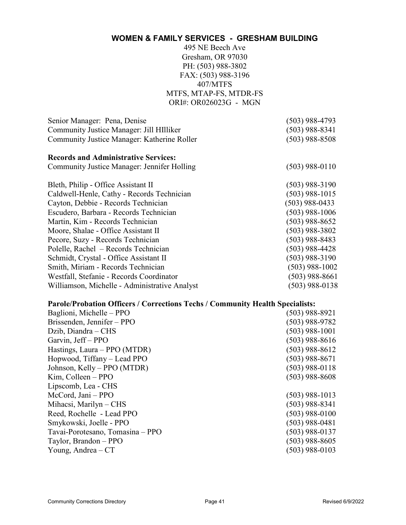## <span id="page-40-0"></span>**WOMEN & FAMILY SERVICES - GRESHAM BUILDING**

495 NE Beech Ave Gresham, OR 97030 PH: (503) 988-3802 FAX: (503) 988-3196 407/MTFS MTFS, MTAP-FS, MTDR-FS ORI#: OR026023G - MGN

| Senior Manager: Pena, Denise                  | $(503)$ 988-4793 |
|-----------------------------------------------|------------------|
| Community Justice Manager: Jill HIlliker      | $(503)$ 988-8341 |
| Community Justice Manager: Katherine Roller   | $(503)$ 988-8508 |
| <b>Records and Administrative Services:</b>   |                  |
| Community Justice Manager: Jennifer Holling   | $(503)$ 988-0110 |
| Bleth, Philip - Office Assistant II           | $(503)$ 988-3190 |
| Caldwell-Henle, Cathy - Records Technician    | $(503)$ 988-1015 |
| Cayton, Debbie - Records Technician           | $(503)$ 988-0433 |
| Escudero, Barbara - Records Technician        | $(503)$ 988-1006 |
| Martin, Kim - Records Technician              | $(503)$ 988-8652 |
| Moore, Shalae - Office Assistant II           | $(503)$ 988-3802 |
| Pecore, Suzy - Records Technician             | $(503)$ 988-8483 |
| Polelle, Rachel - Records Technician          | $(503)$ 988-4428 |
| Schmidt, Crystal - Office Assistant II        | $(503)$ 988-3190 |
| Smith, Miriam - Records Technician            | $(503)$ 988-1002 |
| Westfall, Stefanie - Records Coordinator      | $(503)$ 988-8661 |
| Williamson, Michelle - Administrative Analyst | (503) 988-0138   |
|                                               |                  |

### **Parole/Probation Officers / Corrections Techs / Community Health Specialists:**

| Baglioni, Michelle – PPO         | (503) 988-8921   |
|----------------------------------|------------------|
| Brissenden, Jennifer - PPO       | $(503)$ 988-9782 |
| Dzib, Diandra – CHS              | $(503)$ 988-1001 |
| Garvin, Jeff – PPO               | (503) 988-8616   |
| Hastings, Laura – PPO (MTDR)     | $(503)$ 988-8612 |
| Hopwood, Tiffany – Lead PPO      | $(503)$ 988-8671 |
| Johnson, Kelly – PPO (MTDR)      | (503) 988-0118   |
| $Kim, Collegen - PPO$            | $(503)$ 988-8608 |
| Lipscomb, Lea - CHS              |                  |
| McCord, Jani - PPO               | $(503)$ 988-1013 |
| Mihacsi, Marilyn - CHS           | (503) 988-8341   |
| Reed, Rochelle - Lead PPO        | (503) 988-0100   |
| Smykowski, Joelle - PPO          | (503) 988-0481   |
| Tavai-Porotesano, Tomasina – PPO | (503) 988-0137   |
| Taylor, Brandon - PPO            | $(503)$ 988-8605 |
| Young, Andrea $-CT$              | (503) 988-0103   |
|                                  |                  |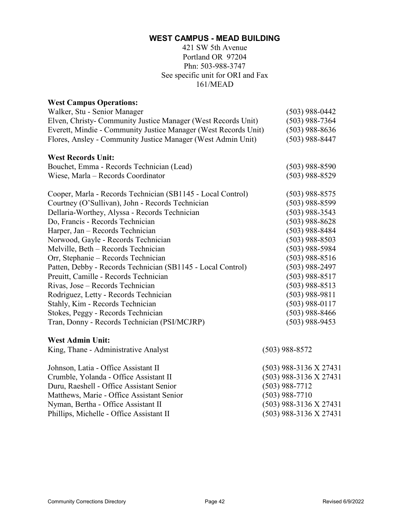421 SW 5th Avenue Portland OR 97204 Phn: 503-988-3747 See specific unit for ORI and Fax 161/MEAD

<span id="page-41-0"></span>

| <b>West Campus Operations:</b>                                  |                  |
|-----------------------------------------------------------------|------------------|
| Walker, Stu - Senior Manager                                    | $(503)$ 988-0442 |
| Elven, Christy- Community Justice Manager (West Records Unit)   | $(503)$ 988-7364 |
| Everett, Mindie - Community Justice Manager (West Records Unit) | $(503)$ 988-8636 |
| Flores, Ansley - Community Justice Manager (West Admin Unit)    | $(503)$ 988-8447 |
| <b>West Records Unit:</b>                                       |                  |
| Bouchet, Emma - Records Technician (Lead)                       | $(503)$ 988-8590 |
| Wiese, Marla - Records Coordinator                              | $(503)$ 988-8529 |
|                                                                 |                  |
| Cooper, Marla - Records Technician (SB1145 - Local Control)     | $(503)$ 988-8575 |
| Courtney (O'Sullivan), John - Records Technician                | $(503)$ 988-8599 |
| Dellaria-Worthey, Alyssa - Records Technician                   | $(503)$ 988-3543 |
| Do, Francis - Records Technician                                | $(503)$ 988-8628 |
| Harper, Jan - Records Technician                                | $(503)$ 988-8484 |
| Norwood, Gayle - Records Technician                             | $(503)$ 988-8503 |
| Melville, Beth - Records Technician                             | $(503)$ 988-5984 |
| Orr, Stephanie – Records Technician                             | $(503)$ 988-8516 |
| Patten, Debby - Records Technician (SB1145 - Local Control)     | $(503)$ 988-2497 |
| Preuitt, Camille - Records Technician                           | $(503)$ 988-8517 |
| Rivas, Jose - Records Technician                                | $(503)$ 988-8513 |
| Rodriguez, Letty - Records Technician                           | $(503)$ 988-9811 |
| Stahly, Kim - Records Technician                                | $(503)$ 988-0117 |
| Stokes, Peggy - Records Technician                              | $(503)$ 988-8466 |
| Tran, Donny - Records Technician (PSI/MCJRP)                    | $(503)$ 988-9453 |
| <b>West Admin Unit:</b>                                         |                  |
| King, Thane - Administrative Analyst                            | $(503)$ 988-8572 |

Johnson, Latia - Office Assistant II (503) 988-3136 X 27431 Crumble, Yolanda - Office Assistant II (503) 988-3136 X 27431 Duru, Raeshell - Office Assistant Senior (503) 988-7712 Matthews, Marie - Office Assistant Senior (503) 988-7710 Nyman, Bertha - Office Assistant II (503) 988-3136 X 27431 Phillips, Michelle - Office Assistant II (503) 988-3136 X 27431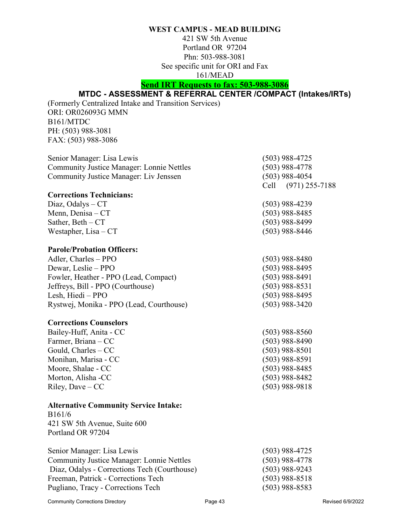421 SW 5th Avenue Portland OR 97204 Phn: 503-988-3081 See specific unit for ORI and Fax 161/MEAD

# **Send IRT Requests to fax: 503-988-3086**

# **MTDC - ASSESSMENT & REFERRAL CENTER /COMPACT (Intakes/IRTs)**

<span id="page-42-0"></span>(Formerly Centralized Intake and Transition Services) ORI: OR026093G MMN B161/MTDC PH: (503) 988-3081 FAX: (503) 988-3086

| Senior Manager: Lisa Lewis                       | $(503)$ 988-4725    |
|--------------------------------------------------|---------------------|
| <b>Community Justice Manager: Lonnie Nettles</b> | $(503)$ 988-4778    |
| Community Justice Manager: Liv Jenssen           | $(503)$ 988-4054    |
|                                                  | Cell (971) 255-7188 |

### **Corrections Technicians:**  $Diaz, Odalys - CT$  (503) 988-4239 Menn, Denisa – CT (503) 988-8485 Sather, Beth – CT (503) 988-8499 Westapher, Lisa –  $CT$  (503) 988-8446

### **Parole/Probation Officers:**

| Adler, Charles – PPO                     | $(503)$ 988-8480 |
|------------------------------------------|------------------|
| Dewar, Leslie – PPO                      | $(503)$ 988-8495 |
| Fowler, Heather - PPO (Lead, Compact)    | $(503)$ 988-8491 |
| Jeffreys, Bill - PPO (Courthouse)        | $(503)$ 988-8531 |
| Lesh, Hiedi – PPO                        | $(503)$ 988-8495 |
| Rystwej, Monika - PPO (Lead, Courthouse) | $(503)$ 988-3420 |

### **Corrections Counselors**

| Bailey-Huff, Anita - CC | $(503)$ 988-8560 |
|-------------------------|------------------|
| Farmer, Briana – CC     | $(503)$ 988-8490 |
| Gould, $Charles - CC$   | $(503)$ 988-8501 |
| Monihan, Marisa - CC    | $(503)$ 988-8591 |
| Moore, Shalae - CC      | $(503)$ 988-8485 |
| Morton, Alisha -CC      | $(503)$ 988-8482 |
| Riley, Dave $-CC$       | $(503)$ 988-9818 |

### **Alternative Community Service Intake:**

B161/6 421 SW 5th Avenue, Suite 600 Portland OR 97204

| Senior Manager: Lisa Lewis                       | $(503)$ 988-4725 |
|--------------------------------------------------|------------------|
| <b>Community Justice Manager: Lonnie Nettles</b> | $(503)$ 988-4778 |
| Diaz, Odalys - Corrections Tech (Courthouse)     | $(503)$ 988-9243 |
| Freeman, Patrick - Corrections Tech              | $(503)$ 988-8518 |
| Pugliano, Tracy - Corrections Tech               | $(503)$ 988-8583 |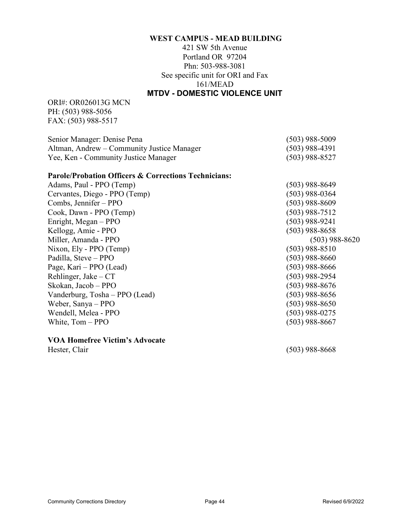421 SW 5th Avenue Portland OR 97204 Phn: 503-988-3081 See specific unit for ORI and Fax 161/MEAD **MTDV - DOMESTIC VIOLENCE UNIT**

<span id="page-43-0"></span>ORI#: OR026013G MCN PH: (503) 988-5056 FAX: (503) 988-5517

| Senior Manager: Denise Pena                | $(503)$ 988-5009 |
|--------------------------------------------|------------------|
| Altman, Andrew – Community Justice Manager | $(503)$ 988-4391 |
| Yee, Ken - Community Justice Manager       | $(503)$ 988-8527 |

#### **Parole/Probation Officers & Corrections Technicians:**

| Adams, Paul - PPO (Temp)       |
|--------------------------------|
| Cervantes, Diego - PPO (Temp)  |
| Combs, Jennifer – PPO          |
| Cook, Dawn - PPO (Temp)        |
| Enright, Megan – PPO           |
| Kellogg, Amie - PPO            |
| Miller, Amanda - PPO           |
| Nixon, Ely - PPO (Temp)        |
| Padilla, Steve - PPO           |
| Page, Kari – PPO (Lead)        |
| Rehlinger, Jake $-CT$          |
| Skokan, Jacob - PPO            |
| Vanderburg, Tosha - PPO (Lead) |
| Weber, Sanya – PPO             |
| Wendell, Melea - PPO           |
| White, Tom - PPO               |

### **VOA Homefree Victim's Advocate**

(503) 988-8649  $(503)$  988-0364 (503) 988-8609  $(503)$  988-7512  $(503)$  988-9241  $(503)$  988-8658  $(503)$  988-8620  $(503)$  988-8510  $(503)$  988-8660  $(503)$  988-8666 (503) 988-2954  $(503)$  988-8676 (503) 988-8656  $(503)$  988-8650 (503) 988-0275  $(503)$  988-8667

Hester, Clair (503) 988-8668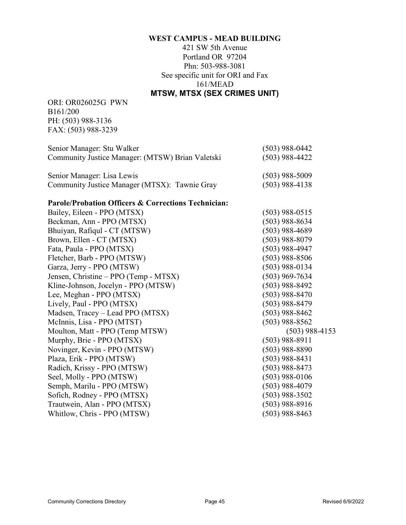421 SW 5th Avenue Portland OR 97204 Phn: 503-988-3081 See specific unit for ORI and Fax 161/MEAD **MTSW, MTSX (SEX CRIMES UNIT)**

<span id="page-44-0"></span>ORI: OR026025G PWN B161/200 PH: (503) 988-3136 FAX: (503) 988-3239

| Senior Manager: Stu Walker                       | $(503)$ 988-0442 |
|--------------------------------------------------|------------------|
| Community Justice Manager: (MTSW) Brian Valetski | $(503)$ 988-4422 |
|                                                  |                  |
| Senior Manager: Lisa Lewis                       | $(503)$ 988-5009 |
| Community Justice Manager (MTSX): Tawnie Gray    | $(503)$ 988-4138 |

### **Parole/Probation Officers & Corrections Technician:**

| Bailey, Eileen - PPO (MTSX)           | $(503)$ 988-0515 |
|---------------------------------------|------------------|
| Beckman, Ann - PPO (MTSX)             | $(503)$ 988-8634 |
| Bhuiyan, Rafiqul - CT (MTSW)          | $(503)$ 988-4689 |
| Brown, Ellen - CT (MTSX)              | (503) 988-8079   |
| Fata, Paula - PPO (MTSX)              | $(503)$ 988-4947 |
| Fletcher, Barb - PPO (MTSW)           | $(503)$ 988-8506 |
| Garza, Jerry - PPO (MTSW)             | $(503)$ 988-0134 |
| Jensen, Christine – PPO (Temp - MTSX) | $(503)$ 969-7634 |
| Kline-Johnson, Jocelyn - PPO (MTSW)   | $(503)$ 988-8492 |
| Lee, Meghan - PPO (MTSX)              | $(503)$ 988-8470 |
| Lively, Paul - PPO (MTSX)             | $(503)$ 988-8479 |
| Madsen, Tracey – Lead PPO (MTSX)      | $(503)$ 988-8462 |
| McInnis, Lisa - PPO (MTST)            | $(503)$ 988-8562 |
| Moulton, Matt - PPO (Temp MTSW)       | $(503)$ 988-4153 |
| Murphy, Brie - PPO (MTSX)             | $(503)$ 988-8911 |
| Novinger, Kevin - PPO (MTSW)          | $(503)$ 988-8890 |
| Plaza, Erik - PPO (MTSW)              | $(503)$ 988-8431 |
| Radich, Krissy - PPO (MTSW)           | $(503)$ 988-8473 |
| Seel, Molly - PPO (MTSW)              | $(503)$ 988-0106 |
| Semph, Marilu - PPO (MTSW)            | $(503)$ 988-4079 |
| Sofich, Rodney - PPO (MTSX)           | $(503)$ 988-3502 |
| Trautwein, Alan - PPO (MTSX)          | (503) 988-8916   |
| Whitlow, Chris - PPO (MTSW)           | (503) 988-8463   |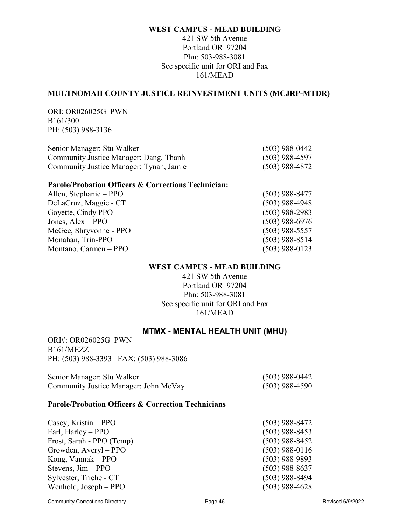### 421 SW 5th Avenue Portland OR 97204 Phn: 503-988-3081 See specific unit for ORI and Fax 161/MEAD

### **MULTNOMAH COUNTY JUSTICE REINVESTMENT UNITS (MCJRP-MTDR)**

ORI: OR026025G PWN B161/300 PH: (503) 988-3136

| Senior Manager: Stu Walker              | $(503)$ 988-0442 |
|-----------------------------------------|------------------|
| Community Justice Manager: Dang, Thanh  | $(503)$ 988-4597 |
| Community Justice Manager: Tynan, Jamie | $(503)$ 988-4872 |

### **Parole/Probation Officers & Corrections Technician:**

| Allen, Stephanie – PPO | $(503)$ 988-8477 |
|------------------------|------------------|
| DeLaCruz, Maggie - CT  | $(503)$ 988-4948 |
| Goyette, Cindy PPO     | $(503)$ 988-2983 |
| Jones, $Alex - PPO$    | $(503)$ 988-6976 |
| McGee, Shryvonne - PPO | $(503)$ 988-5557 |
| Monahan, Trin-PPO      | $(503)$ 988-8514 |
| Montano, Carmen – PPO  | $(503)$ 988-0123 |

### **WEST CAMPUS - MEAD BUILDING**

421 SW 5th Avenue Portland OR 97204 Phn: 503-988-3081 See specific unit for ORI and Fax 161/MEAD

### **MTMX - MENTAL HEALTH UNIT (MHU)**

<span id="page-45-0"></span>ORI#: OR026025G PWN B161/MEZZ PH: (503) 988-3393 FAX: (503) 988-3086

| Senior Manager: Stu Walker            | $(503)$ 988-0442 |
|---------------------------------------|------------------|
| Community Justice Manager: John McVay | $(503)$ 988-4590 |

### **Parole/Probation Officers & Correction Technicians**

| Casey, Kristin $-$ PPO    | $(503)$ 988-8472 |
|---------------------------|------------------|
| Earl, Harley – PPO        | $(503)$ 988-8453 |
| Frost, Sarah - PPO (Temp) | $(503)$ 988-8452 |
| Growden, Averyl – PPO     | $(503)$ 988-0116 |
| Kong, Vannak – PPO        | $(503)$ 988-9893 |
| Stevens, $Jim - PPO$      | $(503)$ 988-8637 |
| Sylvester, Triche - CT    | $(503)$ 988-8494 |
| Wenhold, Joseph – PPO     | $(503)$ 988-4628 |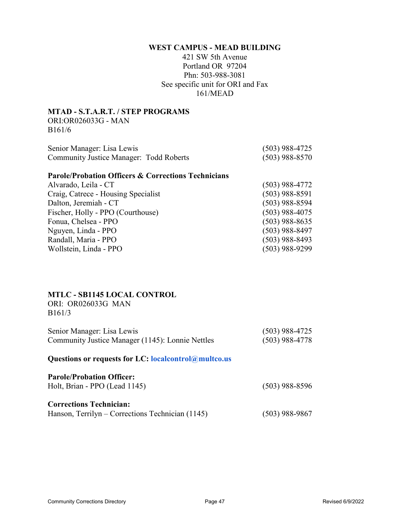421 SW 5th Avenue Portland OR 97204 Phn: 503-988-3081 See specific unit for ORI and Fax 161/MEAD

### **MTAD - S.T.A.R.T. / STEP PROGRAMS**

ORI:OR026033G - MAN B161/6

| Senior Manager: Lisa Lewis                     | $(503)$ 988-4725 |
|------------------------------------------------|------------------|
| <b>Community Justice Manager: Todd Roberts</b> | $(503)$ 988-8570 |

### **Parole/Probation Officers & Corrections Technicians**

| Alvarado, Leila - CT                | (503) 988-4772   |
|-------------------------------------|------------------|
| Craig, Catrece - Housing Specialist | $(503)$ 988-8591 |
| Dalton, Jeremiah - CT               | $(503)$ 988-8594 |
| Fischer, Holly - PPO (Courthouse)   | $(503)$ 988-4075 |
| Fonua, Chelsea - PPO                | $(503)$ 988-8635 |
| Nguyen, Linda - PPO                 | $(503)$ 988-8497 |
| Randall, Maria - PPO                | $(503)$ 988-8493 |
| Wollstein, Linda - PPO              | (503) 988-9299   |

### **MTLC - SB1145 LOCAL CONTROL**

ORI: OR026033G MAN B161/3

| Senior Manager: Lisa Lewis                       | $(503)$ 988-4725 |
|--------------------------------------------------|------------------|
| Community Justice Manager (1145): Lonnie Nettles | $(503)$ 988-4778 |

**Questions or requests for LC: localcontrol@multco.us**

| <b>Parole/Probation Officer:</b><br>Holt, Brian - PPO (Lead 1145) | $(503)$ 988-8596 |
|-------------------------------------------------------------------|------------------|
| <b>Corrections Technician:</b>                                    |                  |
| Hanson, Terrilyn – Corrections Technician (1145)                  | $(503)$ 988-9867 |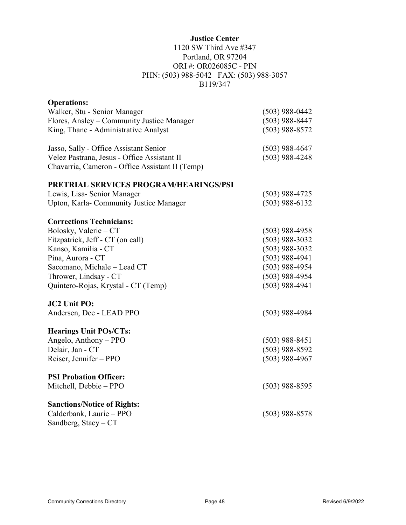### **Justice Center**

### 1120 SW Third Ave #347 Portland, OR 97204 ORI #: OR026085C - PIN PHN: (503) 988-5042 FAX: (503) 988-3057 B119/347

| <b>Operations:</b>                              |                  |
|-------------------------------------------------|------------------|
| Walker, Stu - Senior Manager                    | $(503)$ 988-0442 |
| Flores, Ansley - Community Justice Manager      | $(503)$ 988-8447 |
| King, Thane - Administrative Analyst            | $(503)$ 988-8572 |
| Jasso, Sally - Office Assistant Senior          | $(503)$ 988-4647 |
| Velez Pastrana, Jesus - Office Assistant II     | $(503)$ 988-4248 |
| Chavarria, Cameron - Office Assistant II (Temp) |                  |
| PRETRIAL SERVICES PROGRAM/HEARINGS/PSI          |                  |
| Lewis, Lisa-Senior Manager                      | $(503)$ 988-4725 |
| Upton, Karla-Community Justice Manager          | $(503)$ 988-6132 |
| <b>Corrections Technicians:</b>                 |                  |
| Bolosky, Valerie - CT                           | $(503)$ 988-4958 |
| Fitzpatrick, Jeff - CT (on call)                | $(503)$ 988-3032 |
| Kanso, Kamilia - CT                             | $(503)$ 988-3032 |
| Pina, Aurora - CT                               | $(503)$ 988-4941 |
| Sacomano, Michale - Lead CT                     | $(503)$ 988-4954 |
| Thrower, Lindsay - CT                           | $(503)$ 988-4954 |
| Quintero-Rojas, Krystal - CT (Temp)             | $(503)$ 988-4941 |
| <b>JC2 Unit PO:</b>                             |                  |
| Andersen, Dee - LEAD PPO                        | $(503)$ 988-4984 |
| <b>Hearings Unit POs/CTs:</b>                   |                  |
| Angelo, Anthony - PPO                           | $(503)$ 988-8451 |
| Delair, Jan - CT                                | $(503)$ 988-8592 |
| Reiser, Jennifer - PPO                          | $(503)$ 988-4967 |
| <b>PSI Probation Officer:</b>                   |                  |
| Mitchell, Debbie - PPO                          | $(503)$ 988-8595 |
| <b>Sanctions/Notice of Rights:</b>              |                  |
| Calderbank, Laurie - PPO                        | $(503)$ 988-8578 |
| Sandberg, Stacy - CT                            |                  |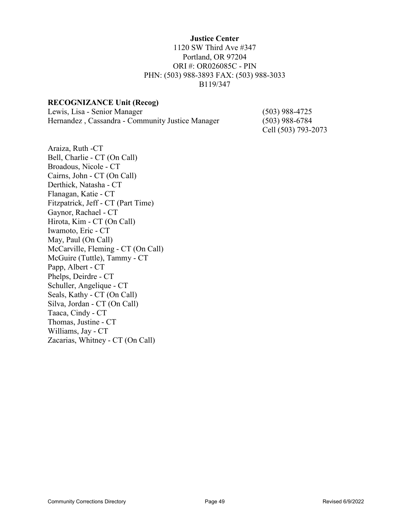#### **Justice Center**

### 1120 SW Third Ave #347 Portland, OR 97204 ORI #: OR026085C - PIN PHN: (503) 988-3893 FAX: (503) 988-3033 B119/347

### **RECOGNIZANCE Unit (Recog)**

Lewis, Lisa - Senior Manager (503) 988-4725 Hernandez , Cassandra - Community Justice Manager (503) 988-6784

Cell (503) 793-2073

Araiza, Ruth -CT Bell, Charlie - CT (On Call) Broadous, Nicole - CT Cairns, John - CT (On Call) Derthick, Natasha - CT Flanagan, Katie - CT Fitzpatrick, Jeff - CT (Part Time) Gaynor, Rachael - CT Hirota, Kim - CT (On Call) Iwamoto, Eric - CT May, Paul (On Call) McCarville, Fleming - CT (On Call) McGuire (Tuttle), Tammy - CT Papp, Albert - CT Phelps, Deirdre - CT Schuller, Angelique - CT Seals, Kathy - CT (On Call) Silva, Jordan - CT (On Call) Taaca, Cindy - CT Thomas, Justine - CT Williams, Jay - CT Zacarias, Whitney - CT (On Call)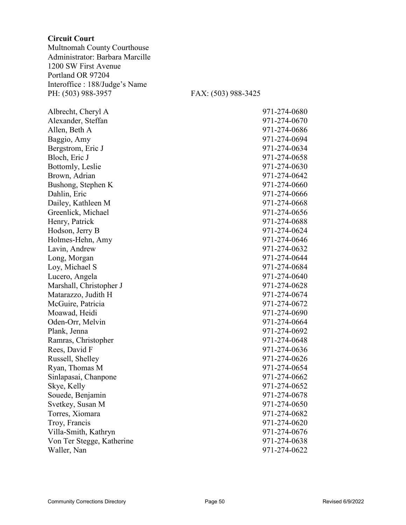#### **Circuit Court**

Multnomah County Courthouse Administrator: Barbara Marcille 1200 SW First Avenue Portland OR 97204 Interoffice : 188/Judge's Name PH: (503) 988-3957 FAX: (503) 988-3425

Albrecht, Cheryl A Alexander, Steffan Allen, Beth A Baggio, Amy Bergstrom, Eric J Bloch, Eric J Bottomly, Leslie Brown, Adrian Bushong, Stephen K Dahlin, Eric Dailey, Kathleen M Greenlick, Michael Henry, Patrick Hodson, Jerry B Holmes-Hehn, Amy Lavin, Andrew Long, Morgan Loy, Michael S Lucero, Angela Marshall, Christopher J Matarazzo, Judith H McGuire, Patricia Moawad, Heidi Oden-Orr, Melvin Plank, Jenna Ramras, Christopher Rees, David F Russell, Shelley Ryan, Thomas M Sinlapasai, Chanpone Skye, Kelly Souede, Benjamin Svetkey, Susan M Torres, Xiomara Troy, Francis Villa-Smith, Kathryn Von Ter Stegge, Katherine Waller, Nan

| 971-274-0680 |
|--------------|
| 971-274-0670 |
| 971-274-0686 |
| 971-274-0694 |
| 971-274-0634 |
| 971-274-0658 |
| 971-274-0630 |
| 971-274-0642 |
| 971-274-0660 |
| 971-274-0666 |
| 971-274-0668 |
| 971-274-0656 |
| 971-274-0688 |
| 971-274-0624 |
| 971-274-0646 |
| 971-274-0632 |
| 971-274-0644 |
| 971-274-0684 |
| 971-274-0640 |
| 971-274-0628 |
| 971-274-0674 |
| 971-274-0672 |
| 971-274-0690 |
| 971-274-0664 |
| 971-274-0692 |
| 971-274-0648 |
| 971-274-0636 |
| 971-274-0626 |
| 971-274-0654 |
| 971-274-0662 |
| 971-274-0652 |
| 971-274-0678 |
| 971-274-0650 |
| 971-274-0682 |
| 971-274-0620 |
| 971-274-0676 |
| 971-274-0638 |
| 971-274-0622 |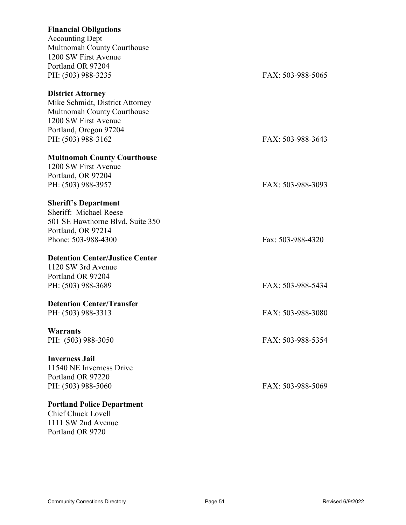# **Financial Obligations** Accounting Dept Multnomah County Courthouse 1200 SW First Avenue Portland OR 97204 PH: (503) 988-3235 FAX: 503-988-5065 **District Attorney** Mike Schmidt, District Attorney Multnomah County Courthouse 1200 SW First Avenue Portland, Oregon 97204 PH: (503) 988-3162 FAX: 503-988-3643 **Multnomah County Courthouse** 1200 SW First Avenue Portland, OR 97204 PH: (503) 988-3957 FAX: 503-988-3093 **Sheriff's Department** Sheriff: Michael Reese 501 SE Hawthorne Blvd, Suite 350 Portland, OR 97214 Phone: 503-988-4300 Fax: 503-988-4320 **Detention Center/Justice Center** 1120 SW 3rd Avenue Portland OR 97204 PH: (503) 988-3689 FAX: 503-988-5434 **Detention Center/Transfer** PH: (503) 988-3313 FAX: 503-988-3080 **Warrants** PH: (503) 988-3050 FAX: 503-988-5354 **Inverness Jail** 11540 NE Inverness Drive Portland OR 97220 PH: (503) 988-5060 FAX: 503-988-5069 **Portland Police Department** Chief Chuck Lovell

1111 SW 2nd Avenue Portland OR 9720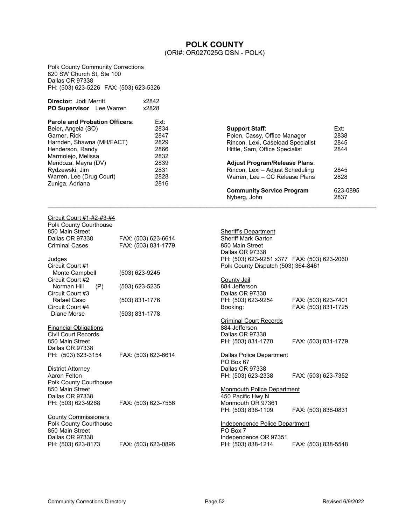# **POLK COUNTY**

(ORI#: OR027025G DSN - POLK)

<span id="page-51-0"></span>Polk County Community Corrections 820 SW Church St, Ste 100 Dallas OR 97338 PH: (503) 623-5226 FAX: (503) 623-5326

| <b>Director: Jodi Merritt</b><br><b>PO Supervisor</b> Lee Warren | x2842<br>x2828 |                                                  |                 |
|------------------------------------------------------------------|----------------|--------------------------------------------------|-----------------|
| <b>Parole and Probation Officers:</b>                            | Ext:           |                                                  |                 |
| Beier, Angela (SO)                                               | 2834           | <b>Support Staff:</b>                            | Ext:            |
| Garner, Rick                                                     | 2847           | Polen, Cassy, Office Manager                     | 2838            |
| Harnden, Shawna (MH/FACT)                                        | 2829           | Rincon, Lexi, Caseload Specialist                | 2845            |
| Henderson, Randy                                                 | 2866           | Hittle, Sam, Office Specialist                   | 2844            |
| Marmolejo, Melissa                                               | 2832           |                                                  |                 |
| Mendoza, Mayra (DV)                                              | 2839           | <b>Adjust Program/Release Plans:</b>             |                 |
| Rydzewski, Jim                                                   | 2831           | Rincon, Lexi - Adjust Scheduling                 | 2845            |
| Warren, Lee (Drug Court)                                         | 2828           | Warren, Lee - CC Release Plans                   | 2828            |
| Zuniga, Adriana                                                  | 2816           |                                                  |                 |
|                                                                  |                | <b>Community Service Program</b><br>Nyberg, John | $623 -$<br>2837 |

 $\mathcal{L}_\mathcal{L} = \{ \mathcal{L}_\mathcal{L} = \{ \mathcal{L}_\mathcal{L} = \{ \mathcal{L}_\mathcal{L} = \{ \mathcal{L}_\mathcal{L} = \{ \mathcal{L}_\mathcal{L} = \{ \mathcal{L}_\mathcal{L} = \{ \mathcal{L}_\mathcal{L} = \{ \mathcal{L}_\mathcal{L} = \{ \mathcal{L}_\mathcal{L} = \{ \mathcal{L}_\mathcal{L} = \{ \mathcal{L}_\mathcal{L} = \{ \mathcal{L}_\mathcal{L} = \{ \mathcal{L}_\mathcal{L} = \{ \mathcal{L}_\mathcal{$ 

| Circuit Court #1-#2-#3-#4<br>Polk County Courthouse        |                     |                                             |                     |
|------------------------------------------------------------|---------------------|---------------------------------------------|---------------------|
| 850 Main Street                                            |                     | Sheriff's Department                        |                     |
| Dallas OR 97338                                            | FAX: (503) 623-6614 | <b>Sheriff Mark Garton</b>                  |                     |
| <b>Criminal Cases</b>                                      | FAX: (503) 831-1779 | 850 Main Street                             |                     |
|                                                            |                     | Dallas OR 97338                             |                     |
| Judges                                                     |                     | PH: (503) 623-9251 x377 FAX: (503) 623-2060 |                     |
| Circuit Court #1                                           |                     | Polk County Dispatch (503) 364-8461         |                     |
| Monte Campbell                                             | (503) 623-9245      |                                             |                     |
| Circuit Court #2                                           |                     | County Jail                                 |                     |
| Norman Hill<br>(P)                                         | $(503)$ 623-5235    | 884 Jefferson                               |                     |
| Circuit Court #3                                           |                     | Dallas OR 97338                             |                     |
| Rafael Caso                                                | (503) 831-1776      | PH: (503) 623-9254                          | FAX: (503) 623-7401 |
| Circuit Court #4                                           |                     | Booking:                                    | FAX: (503) 831-1725 |
| Diane Morse                                                | (503) 831-1778      |                                             |                     |
|                                                            |                     | <b>Criminal Court Records</b>               |                     |
|                                                            |                     | 884 Jefferson                               |                     |
| <b>Financial Obligations</b><br><b>Civil Court Records</b> |                     | Dallas OR 97338                             |                     |
| 850 Main Street                                            |                     |                                             |                     |
|                                                            |                     | PH: (503) 831-1778                          | FAX: (503) 831-1779 |
| Dallas OR 97338                                            |                     |                                             |                     |
| PH: (503) 623-3154                                         | FAX: (503) 623-6614 | Dallas Police Department                    |                     |
|                                                            |                     | PO Box 67                                   |                     |
| <b>District Attorney</b>                                   |                     | Dallas OR 97338                             |                     |
| Aaron Felton                                               |                     | PH: (503) 623-2338                          | FAX: (503) 623-7352 |
| Polk County Courthouse                                     |                     |                                             |                     |
| 850 Main Street                                            |                     | <b>Monmouth Police Department</b>           |                     |
| Dallas OR 97338                                            |                     | 450 Pacific Hwy N                           |                     |
| PH: (503) 623-9268                                         | FAX: (503) 623-7556 | Monmouth OR 97361                           |                     |
|                                                            |                     | PH: (503) 838-1109                          | FAX: (503) 838-0831 |
| <b>County Commissioners</b>                                |                     |                                             |                     |
| Polk County Courthouse                                     |                     | Independence Police Department              |                     |
| 850 Main Street                                            |                     | PO Box 7                                    |                     |
| Dallas OR 97338                                            |                     | Independence OR 97351                       |                     |
| PH: (503) 623-8173                                         | FAX: (503) 623-0896 | PH: (503) 838-1214                          | FAX: (503) 838-5548 |

2838 2845 2844

623-0895<br>2837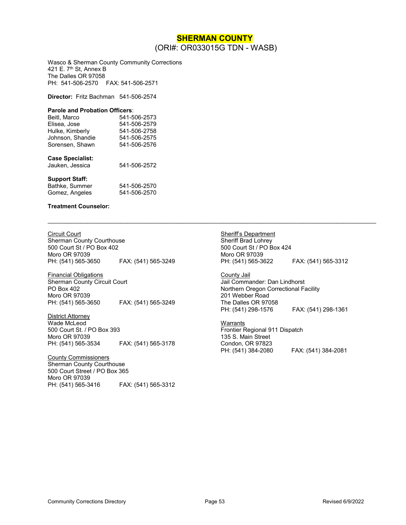### **SHERMAN COUNTY** (ORI#: OR033015G TDN - WASB)

 $\mathcal{L}_\mathcal{L} = \{ \mathcal{L}_\mathcal{L} = \{ \mathcal{L}_\mathcal{L} = \{ \mathcal{L}_\mathcal{L} = \{ \mathcal{L}_\mathcal{L} = \{ \mathcal{L}_\mathcal{L} = \{ \mathcal{L}_\mathcal{L} = \{ \mathcal{L}_\mathcal{L} = \{ \mathcal{L}_\mathcal{L} = \{ \mathcal{L}_\mathcal{L} = \{ \mathcal{L}_\mathcal{L} = \{ \mathcal{L}_\mathcal{L} = \{ \mathcal{L}_\mathcal{L} = \{ \mathcal{L}_\mathcal{L} = \{ \mathcal{L}_\mathcal{$ 

<span id="page-52-0"></span>Wasco & Sherman County Community Corrections 421 E. 7<sup>th</sup> St, Annex B The Dalles OR 97058 PH: 541-506-2570 FAX: 541-506-2571

**Director:** Fritz Bachman 541-506-2574

#### **Parole and Probation Officers**:

| Beitl. Marco     | 541-506-2573 |
|------------------|--------------|
| Elisea, Jose     | 541-506-2579 |
| Hulke, Kimberly  | 541-506-2758 |
| Johnson, Shandie | 541-506-2575 |
| Sorensen, Shawn  | 541-506-2576 |
|                  |              |

#### **Case Specialist:**

| Jauken, Jessica | 541-506-2572 |
|-----------------|--------------|
|                 |              |

#### **Support Staff:**

| Bathke, Summer | 541-506-2570 |
|----------------|--------------|
| Gomez, Angeles | 541-506-2570 |

#### **Treatment Counselor:**

Circuit Court Sherman County Courthouse 500 Court St / PO Box 402

Moro OR 97039<br>PH: (541) 565-3650 FAX: (541) 565-3249

Financial Obligations Sherman County Circuit Court PO Box 402 Moro OR 97039 PH: (541) 565-3650 FAX: (541) 565-3249

District Attorney Wade McLeod 500 Court St. / PO Box 393 Moro OR 97039 PH: (541) 565-3534 FAX: (541) 565-3178

County Commissioners Sherman County Courthouse 500 Court Street / PO Box 365 Moro OR 97039<br>PH: (541) 565-3416 FAX: (541) 565-3312 Sheriff's Department Sheriff Brad Lohrey 500 Court St / PO Box 424 Moro OR 97039<br>PH: (541) 565-3622 FAX: (541) 565-3312

County Jail Jail Commander: Dan Lindhorst Northern Oregon Correctional Facility 201 Webber Road The Dalles OR 97058 PH: (541) 298-1576 FAX: (541) 298-1361

Warrants Frontier Regional 911 Dispatch 135 S. Main Street Condon, OR 97823<br>PH: (541) 384-2080 PH: (541) 384-2080 FAX: (541) 384-2081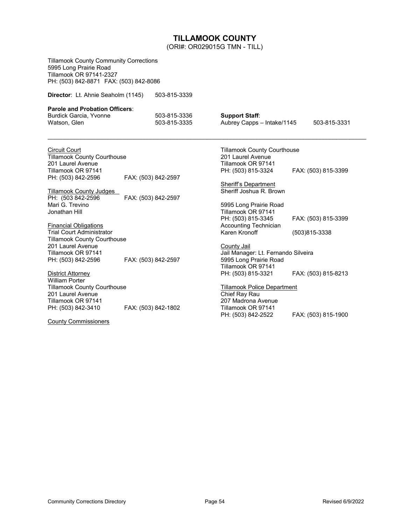### **TILLAMOOK COUNTY**

(ORI#: OR029015G TMN - TILL)

<span id="page-53-0"></span>Tillamook County Community Corrections 5995 Long Prairie Road Tillamook OR 97141-2327 PH: (503) 842-8871 FAX: (503) 842-8086

**Director**: Lt. Ahnie Seaholm (1145) 503-815-3339

#### **Parole and Probation Officers**:

| Burdick Garcia, Yvonne | 503-815-3336 | <b>Support Staff:</b>      |              |
|------------------------|--------------|----------------------------|--------------|
| Watson, Glen           | 503-815-3335 | Aubrey Capps – Intake/1145 | 503-815-3331 |

 $\mathcal{L}_\mathcal{L} = \{ \mathcal{L}_\mathcal{L} = \{ \mathcal{L}_\mathcal{L} = \{ \mathcal{L}_\mathcal{L} = \{ \mathcal{L}_\mathcal{L} = \{ \mathcal{L}_\mathcal{L} = \{ \mathcal{L}_\mathcal{L} = \{ \mathcal{L}_\mathcal{L} = \{ \mathcal{L}_\mathcal{L} = \{ \mathcal{L}_\mathcal{L} = \{ \mathcal{L}_\mathcal{L} = \{ \mathcal{L}_\mathcal{L} = \{ \mathcal{L}_\mathcal{L} = \{ \mathcal{L}_\mathcal{L} = \{ \mathcal{L}_\mathcal{$ 

Circuit Court Tillamook County Courthouse 201 Laurel Avenue Tillamook OR 97141<br>PH: (503) 842-2596 FAX: (503) 842-2597

Jonathan Hill

Tillamook County Judges<br>PH: (503 842-2596 FAX: (503) 842-2597 Mari G. Trevino

Financial Obligations Trial Court Administrator Tillamook County Courthouse 201 Laurel Avenue Tillamook OR 97141<br>PH: (503) 842-2596 FAX: (503) 842-2597

**District Attorney** William Porter Tillamook County Courthouse 201 Laurel Avenue Tillamook OR 97141 PH: (503) 842-3410 FAX: (503) 842-1802

County Commissioners

Tillamook County Courthouse 201 Laurel Avenue Tillamook OR 97141<br>PH: (503) 815-3324 PH: (503) 815-3324 FAX: (503) 815-3399

Sheriff's Department Sheriff Joshua R. Brown

5995 Long Prairie Road Tillamook OR 97141<br>PH: (503) 815-3345 PH: (503) 815-3345 FAX: (503) 815-3399 Accounting Technician Karen Kronoff (503)815-3338

County Jail Jail Manager: Lt. Fernando Silveira 5995 Long Prairie Road Tillamook OR 97141<br>PH: (503) 815-3321 FAX: (503) 815-8213

Tillamook Police Department Chief Ray Rau 207 Madrona Avenue Tillamook OR 97141<br>PH: (503) 842-2522 FAX: (503) 815-1900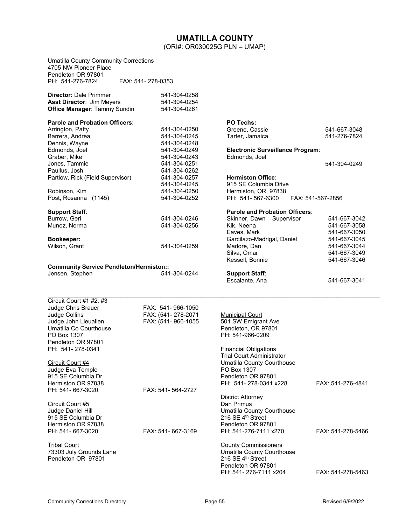### **UMATILLA COUNTY** (ORI#: OR030025G PLN – UMAP)

<span id="page-54-0"></span>

| <b>Umatilla County Community Corrections</b><br>4705 NW Pioneer Place<br>Pendleton OR 97801              |                                              |                                              |                   |
|----------------------------------------------------------------------------------------------------------|----------------------------------------------|----------------------------------------------|-------------------|
| PH: 541-276-7824                                                                                         | FAX: 541-278-0353                            |                                              |                   |
| <b>Director: Dale Primmer</b><br><b>Asst Director: Jim Meyers</b><br><b>Office Manager: Tammy Sundin</b> | 541-304-0258<br>541-304-0254<br>541-304-0261 |                                              |                   |
| <b>Parole and Probation Officers:</b>                                                                    |                                              | <b>PO Techs:</b>                             |                   |
| Arrington, Patty                                                                                         | 541-304-0250                                 | Greene, Cassie                               | 541-667-3048      |
| Barrera, Andrea                                                                                          | 541-304-0245                                 | Tarter, Jamaica                              | 541-276-7824      |
| Dennis, Wayne                                                                                            | 541-304-0248                                 |                                              |                   |
| Edmonds, Joel                                                                                            | 541-304-0249                                 | <b>Electronic Surveillance Program:</b>      |                   |
| Graber, Mike                                                                                             | 541-304-0243                                 | Edmonds, Joel                                |                   |
| Jones, Tammie                                                                                            | 541-304-0251                                 |                                              | 541-304-0249      |
| Paullus, Josh                                                                                            | 541-304-0262                                 |                                              |                   |
| Partlow, Rick (Field Supervisor)                                                                         | 541-304-0257                                 | <b>Hermiston Office:</b>                     |                   |
|                                                                                                          | 541-304-0245<br>541-304-0250                 | 915 SE Columbia Drive<br>Hermiston, OR 97838 |                   |
| Robinson, Kim<br>Post, Rosanna (1145)                                                                    | 541-304-0252                                 | PH: 541-567-6300                             | FAX: 541-567-2856 |
|                                                                                                          |                                              |                                              |                   |
| <b>Support Staff:</b>                                                                                    |                                              | Parole and Probation Officers:               |                   |
| Burrow, Geri                                                                                             | 541-304-0246                                 | Skinner, Dawn - Supervisor                   | 541-667-3042      |
| Munoz, Norma                                                                                             | 541-304-0256                                 | Kik, Neena                                   | 541-667-3058      |
|                                                                                                          |                                              | Eaves, Mark                                  | 541-667-3050      |
| <b>Bookeeper:</b>                                                                                        |                                              | Garcilazo-Madrigal, Daniel                   | 541-667-3045      |
| Wilson, Grant                                                                                            | 541-304-0259                                 | Madore, Dan                                  | 541-667-3044      |
|                                                                                                          |                                              | Silva, Omar                                  | 541-667-3049      |
| <b>Community Service Pendleton/Hermiston::</b>                                                           |                                              | Kessell, Bonnie                              | 541-667-3046      |
| Jensen, Stephen                                                                                          | 541-304-0244                                 | <b>Support Staff:</b><br>Escalante, Ana      | 541-667-3041      |
|                                                                                                          |                                              |                                              |                   |
| Circuit Court #1 #2, #3                                                                                  |                                              |                                              |                   |
| Judge Chris Brauer                                                                                       | FAX: 541-966-1050                            |                                              |                   |
| Judge Collins                                                                                            | FAX: (541-278-2071                           | <b>Municipal Court</b>                       |                   |
| Judge John Lieuallen<br>Umatilla Co Courthouse                                                           | FAX: (541-966-1055                           | 501 SW Emigrant Ave<br>Pendleton, OR 97801   |                   |
| PO Box 1307                                                                                              |                                              | PH: 541-966-0209                             |                   |
| Pendleton OR 97801                                                                                       |                                              |                                              |                   |
| PH: 541-278-0341                                                                                         |                                              | <b>Financial Obligations</b>                 |                   |
|                                                                                                          |                                              | <b>Trial Court Administrator</b>             |                   |
| Circuit Court #4                                                                                         |                                              | <b>Umatilla County Courthouse</b>            |                   |
| Judge Eva Temple                                                                                         |                                              | PO Box 1307                                  |                   |
| 915 SE Columbia Dr                                                                                       |                                              | Pendleton OR 97801                           |                   |
| Hermiston OR 97838                                                                                       |                                              | PH: 541-278-0341 x228                        | FAX: 541-276-4841 |
| PH: 541- 667-3020                                                                                        | FAX: 541- 564-2727                           |                                              |                   |
|                                                                                                          |                                              | District Attorney                            |                   |
| Circuit Court #5                                                                                         |                                              | Dan Primus                                   |                   |
| Judge Daniel Hill                                                                                        |                                              | Umatilla County Courthouse                   |                   |
| 915 SE Columbia Dr                                                                                       |                                              | 216 SE 4 <sup>th</sup> Street                |                   |
| Hermiston OR 97838                                                                                       |                                              | Pendleton OR 97801                           |                   |
| PH: 541- 667-3020                                                                                        | FAX: 541- 667-3169                           | PH: 541-276-7111 x270                        | FAX: 541-278-5466 |
| <b>Tribal Court</b>                                                                                      |                                              | <b>County Commissioners</b>                  |                   |
| 73303 July Grounds Lane                                                                                  |                                              | Umatilla County Courthouse                   |                   |
| Pendleton OR 97801                                                                                       |                                              | 216 SE 4th Street                            |                   |
|                                                                                                          |                                              | Pendleton OR 97801                           |                   |
|                                                                                                          |                                              | PH: 541-276-7111 x204                        | FAX: 541-278-5463 |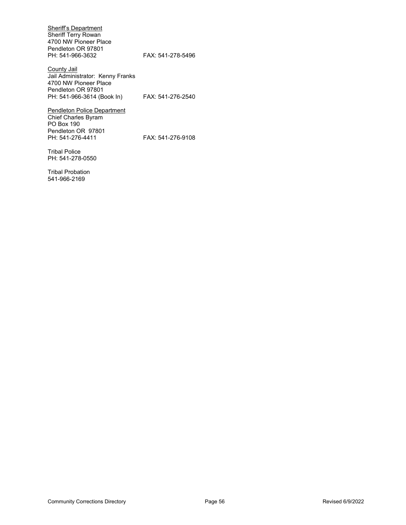Sheriff's Department Sheriff Terry Rowan 4700 NW Pioneer Place Pendleton OR 97801<br>PH: 541-966-3632

FAX: 541-278-5496

**County Jail** Jail Administrator: Kenny Franks 4700 NW Pioneer Place Pendleton OR 97801 PH: 541-966-3614 (Book In) FAX: 541-276-2540

Pendleton Police Department Chief Charles Byram PO Box 190 Pendleton OR 97801<br>PH: 541-276-4411

FAX: 541-276-9108

Tribal Police PH: 541-278-0550

Tribal Probation 541-966-2169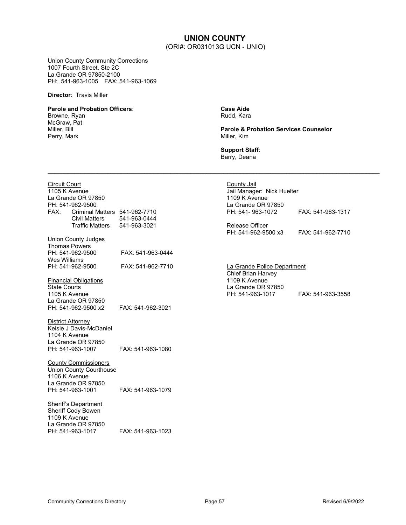### **UNION COUNTY** (ORI#: OR031013G UCN - UNIO)

<span id="page-56-0"></span>Union County Community Corrections 1007 Fourth Street, Ste 2C La Grande OR 97850-2100 PH: 541-963-1005 FAX: 541-963-1069

**Director**: Travis Miller

#### **Parole and Probation Officers**:

Browne, Ryan McGraw, Pat Miller, Bill Perry, Mark

**Case Aide** Rudd, Kara

**Parole & Probation Services Counselor** Miller, Kim

**Support Staff**: Barry, Deana

 $\ldots$  . The contribution of the contribution of the contribution of the contribution of the contribution of the contribution of the contribution of the contribution of the contribution of the contribution of the contribut

| <b>Circuit Court</b><br>FAX: | 1105 K Avenue<br>La Grande OR 97850<br>PH: 541-962-9500<br>Criminal Matters 541-962-7710                                 |                   | County Jail<br>Jail Manager: Nick Huelter<br>1109 K Avenue<br>La Grande OR 97850<br>PH: 541-963-1072 | FAX: 541-963-1317 |
|------------------------------|--------------------------------------------------------------------------------------------------------------------------|-------------------|------------------------------------------------------------------------------------------------------|-------------------|
|                              | <b>Civil Matters</b>                                                                                                     | 541-963-0444      |                                                                                                      |                   |
|                              | Traffic Matters                                                                                                          | 541-963-3021      | <b>Release Officer</b><br>PH: 541-962-9500 x3                                                        | FAX: 541-962-7710 |
|                              | <b>Union County Judges</b>                                                                                               |                   |                                                                                                      |                   |
| Wes Williams                 | <b>Thomas Powers</b><br>PH: 541-962-9500                                                                                 | FAX: 541-963-0444 |                                                                                                      |                   |
|                              | PH: 541-962-9500                                                                                                         | FAX: 541-962-7710 | La Grande Police Department<br>Chief Brian Harvey                                                    |                   |
| <b>State Courts</b>          | <b>Financial Obligations</b><br>1105 K Avenue                                                                            |                   | 1109 K Avenue<br>La Grande OR 97850<br>PH: 541-963-1017                                              | FAX: 541-963-3558 |
|                              | La Grande OR 97850<br>PH: 541-962-9500 x2                                                                                | FAX: 541-962-3021 |                                                                                                      |                   |
|                              | District Attorney<br>Kelsie J Davis-McDaniel<br>1104 K Avenue<br>La Grande OR 97850                                      |                   |                                                                                                      |                   |
|                              | PH: 541-963-1007                                                                                                         | FAX: 541-963-1080 |                                                                                                      |                   |
|                              | <b>County Commissioners</b><br><b>Union County Courthouse</b><br>1106 K Avenue<br>La Grande OR 97850<br>PH: 541-963-1001 | FAX: 541-963-1079 |                                                                                                      |                   |
|                              | Sheriff's Department<br>Sheriff Cody Bowen<br>1109 K Avenue                                                              |                   |                                                                                                      |                   |
|                              | La Grande OR 97850<br>PH: 541-963-1017                                                                                   | FAX: 541-963-1023 |                                                                                                      |                   |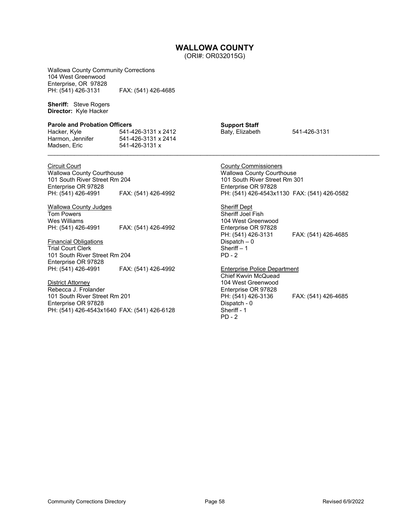### **WALLOWA COUNTY**

(ORI#: OR032015G)

<span id="page-57-0"></span>Wallowa County Community Corrections 104 West Greenwood Enterprise, OR 97828<br>PH: (541) 426-3131 FAX: (541) 426-4685

**Sheriff:** Steve Rogers **Director:** Kyle Hacker

#### **Parole and Probation Officers**

| Hacker, Kyle     | 541-426-3131 x 2412 | Baty, Elizabeth | 541-426-3131 |
|------------------|---------------------|-----------------|--------------|
| Harmon, Jennifer | 541-426-3131 x 2414 |                 |              |
| Madsen, Eric     | 541-426-3131 x      |                 |              |
|                  |                     |                 |              |

Circuit Court

Wallowa County Courthouse 101 South River Street Rm 204 Enterprise OR 97828<br>PH: (541) 426-4991 PH: (541) 426-4991 FAX: (541) 426-4992

Wallowa County Judges Tom Powers Wes Williams<br>PH: (541) 426-4991 PH: (541) 426-4991 FAX: (541) 426-4992

Financial Obligations Trial Court Clerk 101 South River Street Rm 204 Enterprise OR 97828<br>PH: (541) 426-4991 PH: (541) 426-4991 FAX: (541) 426-4992

District Attorney Rebecca J. Frolander 101 South River Street Rm 201 Enterprise OR 97828 PH: (541) 426-4543x1640 FAX: (541) 426-6128 **Support Staff** Baty, Elizabeth 541-426-3131

County Commissioners Wallowa County Courthouse 101 South River Street Rm 301 Enterprise OR 97828 PH: (541) 426-4543x1130 FAX: (541) 426-0582

**Sheriff Dept** Sheriff Joel Fish 104 West Greenwood Enterprise OR 97828<br>PH: (541) 426-3131 FAX: (541) 426-4685 Dispatch – 0 Sheriff – 1 PD - 2

Enterprise Police Department

Chief Kwvin McQuead 104 West Greenwood Enterprise OR 97828 PH: (541) 426-3136 FAX: (541) 426-4685 Dispatch - 0 Sheriff - 1 PD - 2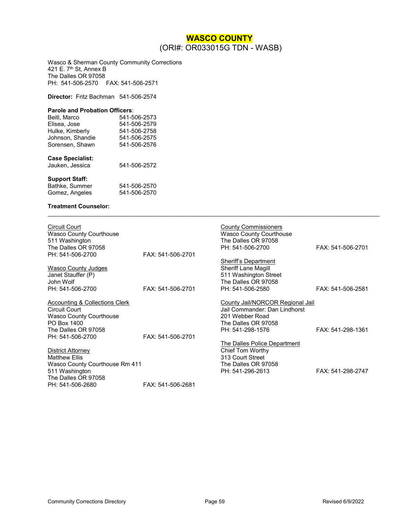### **WASCO COUNTY** (ORI#: OR033015G TDN - WASB)

<span id="page-58-0"></span>Wasco & Sherman County Community Corrections 421 E. 7<sup>th</sup> St, Annex B The Dalles OR 97058 PH: 541-506-2570 FAX: 541-506-2571

**Director:** Fritz Bachman 541-506-2574

#### **Parole and Probation Officers**:

| Beitl, Marco            | 541-506-2573 |
|-------------------------|--------------|
| Elisea, Jose            | 541-506-2579 |
| Hulke, Kimberly         | 541-506-2758 |
| Johnson, Shandie        | 541-506-2575 |
| Sorensen, Shawn         | 541-506-2576 |
| <b>Case Specialist:</b> |              |
| Jauken, Jessica         | 541-506-2572 |
| <b>Support Staff:</b>   |              |
| Bathke, Summer          | 541-506-2570 |
| Gomez, Angeles          | 541-506-2570 |

#### **Treatment Counselor:**

| <b>Circuit Court</b><br><b>Wasco County Courthouse</b><br>511 Washington<br>The Dalles OR 97058<br>PH: 541-506-2700                                | FAX: 541-506-2701 | <b>County Commissioners</b><br><b>Wasco County Courthouse</b><br>The Dalles OR 97058<br>PH: 541-506-2700                        | FAX: 541-506-2701 |
|----------------------------------------------------------------------------------------------------------------------------------------------------|-------------------|---------------------------------------------------------------------------------------------------------------------------------|-------------------|
| <b>Wasco County Judges</b><br>Janet Stauffer (P)<br>John Wolf<br>PH: 541-506-2700                                                                  | FAX: 541-506-2701 | Sheriff's Department<br><b>Sheriff Lane Magill</b><br>511 Washington Street<br>The Dalles OR 97058<br>PH: 541-506-2580          | FAX: 541-506-2581 |
| Accounting & Collections Clerk<br><b>Circuit Court</b><br><b>Wasco County Courthouse</b><br>PO Box 1400<br>The Dalles OR 97058<br>PH: 541-506-2700 | FAX: 541-506-2701 | County Jail/NORCOR Regional Jail<br>Jail Commander: Dan Lindhorst<br>201 Webber Road<br>The Dalles OR 97058<br>PH: 541-298-1576 | FAX: 541-298-1361 |
| District Attorney<br><b>Matthew Ellis</b><br>Wasco County Courthouse Rm 411<br>511 Washington<br>The Dalles OR 97058<br>PH: 541-506-2680           | FAX: 541-506-2681 | The Dalles Police Department<br>Chief Tom Worthy<br>313 Court Street<br>The Dalles OR 97058<br>PH: 541-296-2613                 | FAX: 541-298-2747 |

 $\mathcal{L}_\mathcal{L} = \{ \mathcal{L}_\mathcal{L} = \{ \mathcal{L}_\mathcal{L} = \{ \mathcal{L}_\mathcal{L} = \{ \mathcal{L}_\mathcal{L} = \{ \mathcal{L}_\mathcal{L} = \{ \mathcal{L}_\mathcal{L} = \{ \mathcal{L}_\mathcal{L} = \{ \mathcal{L}_\mathcal{L} = \{ \mathcal{L}_\mathcal{L} = \{ \mathcal{L}_\mathcal{L} = \{ \mathcal{L}_\mathcal{L} = \{ \mathcal{L}_\mathcal{L} = \{ \mathcal{L}_\mathcal{L} = \{ \mathcal{L}_\mathcal{$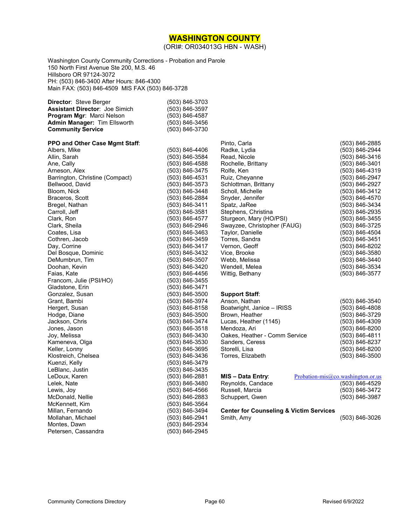#### **WASHINGTON COUNTY**

(ORI#: OR034013G HBN - WASH)

<span id="page-59-0"></span>Washington County Community Corrections - Probation and Parole 150 North First Avenue Ste 200, M.S. 46 Hillsboro OR 97124-3072 PH: (503) 846-3400 After Hours: 846-4300 Main FAX: (503) 846-4509 MIS FAX (503) 846-3728

| <b>Director: Steve Berger</b>         | (503) 846-3703     |
|---------------------------------------|--------------------|
| <b>Assistant Director: Joe Simich</b> | $(503) 846 - 3597$ |
| <b>Program Mgr: Marci Nelson</b>      | $(503) 846 - 4587$ |
| <b>Admin Manager: Tim Ellsworth</b>   | (503) 846-3456     |
| <b>Community Service</b>              | (503) 846-3730     |

#### **PPO and Other Case Mgmt Staff**:

| <b>PPO and Other Case Mgmt Staff:</b> |                |
|---------------------------------------|----------------|
| Albers, Mike                          | (503) 846-4406 |
| Allin, Sarah                          | (503) 846-3584 |
| Ane, Cally                            | (503) 846-4588 |
| Arneson, Alex                         | (503) 846-3475 |
| Barrington, Christine (Compact)       | (503) 846-4531 |
| Bellwood, David                       | (503) 846-3573 |
| Bloom, Nick                           | (503) 846-3448 |
| Braceros, Scott                       | (503) 846-2884 |
| Bregel, Nathan                        | (503) 846-3411 |
| Carroll, Jeff                         | (503) 846-3581 |
| Clark, Ron                            | (503) 846-4577 |
| Clark, Sheila                         | (503) 846-2946 |
| Coates, Lisa                          | (503) 846-3463 |
| Cothren, Jacob                        | (503) 846-3459 |
| Day, Corrine                          | (503) 846-3417 |
| Del Bosque, Dominic                   | (503) 846-3432 |
| DeMumbrun, Tim                        | (503) 846-3507 |
| Doohan, Kevin                         | (503) 846-3420 |
| Faias, Kate                           | (503) 846-4456 |
| Francom, Julie (PSI/HO)               | (503) 846-3455 |
| Gladstone, Erin                       | (503) 846-3471 |
| Gonzalez, Susan                       | (503) 846-3500 |
| Grant, Bambi                          | (503) 846-3974 |
| Hergert, Susan                        | (503) 846-8158 |
| Hodge, Diane                          | (503) 846-3500 |
| Jackson, Chris                        | (503) 846-3474 |
| Jones, Jason                          | (503) 846-3518 |
| Joy, Melissa                          | (503) 846-3430 |
| Kameneva, Olga                        | (503) 846-3530 |
| Keller, Lonny                         | (503) 846-3695 |
| Klostreich, Chelsea                   | (503) 846-3436 |
| Kuenzi, Kelly                         | (503) 846-3479 |
| LeBlanc, Justin                       | (503) 846-3435 |
| LeDoux, Karen                         | (503) 846-2881 |
| Lelek, Nate                           | (503) 846-3480 |
| Lewis, Joy                            | (503) 846-4566 |
| McDonald, Nellie                      | (503) 846-2883 |
| McKennett, Kim                        | (503) 846-3564 |
| Millan, Fernando                      | (503) 846-3494 |
| Mollahan, Michael                     | (503) 846-2941 |
| Montes, Dawn                          | (503) 846-2934 |
| Petersen, Cassandra                   | (503) 846-2945 |

| Pinto, Carla                | (503) 846-2885 |
|-----------------------------|----------------|
| Radke, Lydia                | (503) 846-2944 |
| Read, Nicole                | (503) 846-3416 |
| Rochelle, Brittany          | (503) 846-3401 |
| Rolfe, Ken                  | (503) 846-4319 |
| Ruiz, Cheyanne              | (503) 846-2947 |
| Schlottman, Brittany        | (503) 846-2927 |
| Scholl, Michelle            | (503) 846-3412 |
| Snyder, Jennifer            | (503) 846-4570 |
| Spatz, JaRee                | (503) 846-3434 |
| Stephens, Christina         | (503) 846-2935 |
| Sturgeon, Mary (HO/PSI)     | (503) 846-3455 |
| Swayzee, Christopher (FAUG) | (503) 846-3725 |
| Taylor, Danielle            | (503) 846-4504 |
| Torres, Sandra              | (503) 846-3451 |
| Vernon, Geoff               | (503) 846-8202 |
| Vice, Brooke                | (503) 846-3580 |
| Webb, Melissa               | (503) 846-3440 |
| Wendell, Melea              | (503) 846-3534 |
| Wittig, Bethany             | (503) 846-3577 |
|                             |                |

#### **Support Staff**:

| Anson, Nathan                 | (503) 846-3540 |
|-------------------------------|----------------|
| Boatwright, Janice - IRISS    | (503) 846-4808 |
| Brown, Heather                | (503) 846-3729 |
| Lucas, Heather (1145)         | (503) 846-4309 |
| Mendoza, Ari                  | (503) 846-8200 |
| Oakes, Heather - Comm Service | (503) 846-4811 |
| Sanders, Ceress               | (503) 846-8237 |
| Storelli, Lisa                | (503) 846-8200 |
| Torres, Elizabeth             | (503) 846-3500 |

| MIS - Data Entry: | Probation-mis@co.washington.or.us |
|-------------------|-----------------------------------|
| Reynolds, Candace | (503) 846-4529                    |
| Russell, Marcia   | (503) 846-3472                    |
| Schuppert, Gwen   | (503) 846-3987                    |

# **Center for Counseling & Victim Services**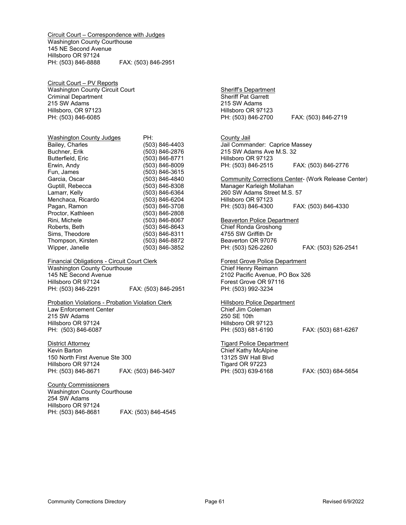Circuit Court – Correspondence with Judges Washington County Courthouse 145 NE Second Avenue Hillsboro OR 97124 PH: (503) 846-8888 FAX: (503) 846-2951

Circuit Court – PV Reports Washington County Circuit Court Criminal Department 215 SW Adams Hillsboro, OR 97123 PH: (503) 846-6085

| <b>Washington County Judges</b> | PH:            |
|---------------------------------|----------------|
| Bailey, Charles                 | (503) 846-4403 |
| Buchner, Erik                   | (503) 846-2876 |
| Butterfield, Eric               | (503) 846-8771 |
| Erwin, Andy                     | (503) 846-8009 |
| Fun, James                      | (503) 846-3615 |
| Garcia, Oscar                   | (503) 846-4840 |
| Guptill, Rebecca                | (503) 846-8308 |
| Lamarr, Kelly                   | (503) 846-6364 |
| Menchaca, Ricardo               | (503) 846-6204 |
| Pagan, Ramon                    | (503) 846-3708 |
| Proctor, Kathleen               | (503) 846-2808 |
| Rini, Michele                   | (503) 846-8067 |
| Roberts, Beth                   | (503) 846-8643 |
| Sims, Theodore                  | (503) 846-8311 |
| Thompson, Kirsten               | (503) 846-8872 |
| Wipper, Janelle                 | (503) 846-3852 |

Financial Obligations - Circuit Court Clerk Washington County Courthouse 145 NE Second Avenue Hillsboro OR 97124<br>PH: (503) 846-2291 PH: (503) 846-2291 FAX: (503) 846-2951

Probation Violations - Probation Violation Clerk Law Enforcement Center 215 SW Adams Hillsboro OR 97124 PH: (503) 846-6087

District Attorney Kevin Barton 150 North First Avenue Ste 300 Hillsboro OR 97124<br>PH: (503) 846-8671 FAX: (503) 846-3407

County Commissioners Washington County Courthouse 254 SW Adams Hillsboro OR 97124<br>PH: (503) 846-8681 FAX: (503) 846-4545 Sheriff's Department Sheriff Pat Garrett 215 SW Adams Hillsboro OR 97123<br>PH: (503) 846-2700

PH: (503) 846-2700 FAX: (503) 846-2719

County Jail Jail Commander: Caprice Massey 215 SW Adams Ave M.S. 32 Hillsboro OR 97123 PH: (503) 846-2515 FAX: (503) 846-2776

Community Corrections Center- (Work Release Center) Manager Karleigh Mollahan 260 SW Adams Street M.S. 57 Hillsboro OR 97123 PH: (503) 846-4300 FAX: (503) 846-4330

#### Beaverton Police Department Chief Ronda Groshong 4755 SW Griffith Dr

Beaverton OR 97076<br>PH: (503) 526-2260 FAX: (503) 526-2541

Forest Grove Police Department Chief Henry Reimann 2102 Pacific Avenue, PO Box 326 Forest Grove OR 97116 PH: (503) 992-3234

Hillsboro Police Department Chief Jim Coleman 250 SE 10th Hillsboro OR 97123 PH: (503) 681-6190 FAX: (503) 681-6267

Tigard Police Department Chief Kathy McAlpine 13125 SW Hall Blvd Tigard OR 97223 PH: (503) 639-6168 FAX: (503) 684-5654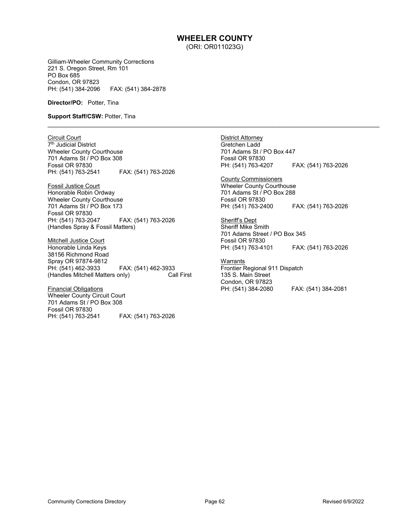### **WHEELER COUNTY**

(ORI: OR011023G)

\_\_\_\_\_\_\_\_\_\_\_\_\_\_\_\_\_\_\_\_\_\_\_\_\_\_\_\_\_\_\_\_\_\_\_\_\_\_\_\_\_\_\_\_\_\_\_\_\_\_\_\_\_\_\_\_\_\_\_\_\_\_\_\_\_\_\_\_\_\_\_\_\_\_\_\_\_\_\_\_\_\_\_\_\_\_\_\_\_\_

<span id="page-61-0"></span>Gilliam-Wheeler Community Corrections 221 S. Oregon Street, Rm 101 PO Box 685 Condon, OR 97823 PH: (541) 384-2096 FAX: (541) 384-2878

#### **Director/PO:** Potter, Tina

#### **Support Staff/CSW:** Potter, Tina

Circuit Court

7<sup>th</sup> Judicial District Wheeler County Courthouse 701 Adams St / PO Box 308 Fossil OR 97830 PH: (541) 763-2541 FAX: (541) 763-2026

Fossil Justice Court Honorable Robin Ordway Wheeler County Courthouse 701 Adams St / PO Box 173 Fossil OR 97830<br>PH: (541) 763-2047 PH: (541) 763-2047 FAX: (541) 763-2026 (Handles Spray & Fossil Matters)

Mitchell Justice Court Honorable Linda Keys 38156 Richmond Road Spray OR 97874-9812 PH: (541) 462-3933 FAX: (541) 462-3933 (Handles Mitchell Matters only)

Financial Obligations Wheeler County Circuit Court 701 Adams St / PO Box 308 Fossil OR 97830 FAX: (541) 763-2026 District Attorney Gretchen Ladd 701 Adams St / PO Box 447 Fossil OR 97830 PH: (541) 763-4207 FAX: (541) 763-2026

County Commissioners Wheeler County Courthouse 701 Adams St / PO Box 288 Fossil OR 97830 PH: (541) 763-2400 FAX: (541) 763-2026

Sheriff's Dept Sheriff Mike Smith 701 Adams Street / PO Box 345 Fossil OR 97830<br>PH: (541) 763-4101 FAX: (541) 763-2026

**Warrants** Frontier Regional 911 Dispatch 135 S. Main Street Condon, OR 97823<br>PH: (541) 384-2080 PH: (541) 384-2080 FAX: (541) 384-2081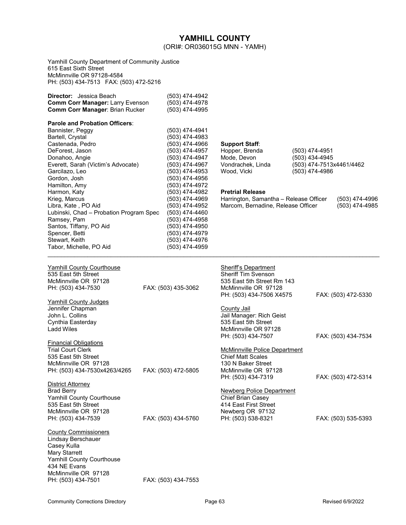<span id="page-62-0"></span>

|                                                                                                                                                                                                                          |                                                                                                                                                                | YAMHILL COUNTY<br>(ORI#: OR036015G MNN - YAMH)                                                                                       |                                                                                |                                  |
|--------------------------------------------------------------------------------------------------------------------------------------------------------------------------------------------------------------------------|----------------------------------------------------------------------------------------------------------------------------------------------------------------|--------------------------------------------------------------------------------------------------------------------------------------|--------------------------------------------------------------------------------|----------------------------------|
| Yamhill County Department of Community Justice<br>615 East Sixth Street<br>McMinnville OR 97128-4584                                                                                                                     |                                                                                                                                                                |                                                                                                                                      |                                                                                |                                  |
| <b>Director:</b> Jessica Beach<br><b>Comm Corr Manager: Larry Evenson</b><br>Comm Corr Manager: Brian Rucker                                                                                                             | (503) 474-4942<br>(503) 474-4978<br>(503) 474-4995                                                                                                             |                                                                                                                                      |                                                                                |                                  |
| Parole and Probation Officers:<br>Bannister, Peggy<br>Bartell, Crystal<br>Castenada, Pedro<br>DeForest, Jason<br>Donahoo, Angie<br>Everett, Sarah (Victim's Advocate)<br>Garcilazo, Leo<br>Gordon, Josh<br>Hamilton, Amy | (503) 474-4941<br>(503) 474-4983<br>(503) 474-4966<br>(503) 474-4957<br>(503) 474-4947<br>(503) 474-4967<br>(503) 474-4953<br>(503) 474-4956<br>(503) 474-4972 | <b>Support Staff:</b><br>Hopper, Brenda<br>Mode, Devon<br>Vondrachek, Linda<br>Wood, Vicki                                           | (503) 474-4951<br>(503) 434-4945<br>(503) 474-7513x4461/4462<br>(503) 474-4986 |                                  |
| Harmon, Katy<br>Krieg, Marcus<br>Libra, Kate , PO Aid<br>Lubinski, Chad – Probation Program Spec<br>Ramsey, Pam<br>Santos, Tiffany, PO Aid<br>Spencer, Betti<br>Stewart, Keith<br>Tabor, Michelle, PO Aid                | (503) 474-4982<br>(503) 474-4969<br>(503) 474-4952<br>(503) 474-4460<br>(503) 474-4958<br>(503) 474-4950<br>(503) 474-4979<br>(503) 474-4976<br>(503) 474-4959 | <b>Pretrial Release</b><br>Harrington, Samantha - Release Officer<br>Marcom, Bernadine, Release Officer                              |                                                                                | (503) 474-4996<br>(503) 474-4985 |
| <b>Yamhill County Courthouse</b><br>535 East 5th Street<br>McMinnville OR 97128<br>PH: (503) 434-7530<br>Yamhill County Judges                                                                                           | FAX: (503) 435-3062                                                                                                                                            | Sheriff's Department<br><b>Sheriff Tim Svenson</b><br>535 East 5th Street Rm 143<br>McMinnville OR 97128<br>PH: (503) 434-7506 X4575 |                                                                                | FAX: (503) 472-5330              |

| JJJ EdSLJIH JIHEEL<br>McMinnville OR 97128           |                     | <u>JIBIIII IIIII JVEIISUIT</u><br>535 East 5th Street Rm 143<br>McMinnville OR 97128 |                     |
|------------------------------------------------------|---------------------|--------------------------------------------------------------------------------------|---------------------|
| PH: (503) 434-7530                                   | FAX: (503) 435-3062 | PH: (503) 434-7506 X4575                                                             | FAX: (503) 472-5330 |
| <b>Yamhill County Judges</b>                         |                     |                                                                                      |                     |
| Jennifer Chapman                                     |                     | County Jail                                                                          |                     |
| John L. Collins                                      |                     | Jail Manager: Rich Geist                                                             |                     |
| Cynthia Easterday                                    |                     | 535 East 5th Street                                                                  |                     |
| Ladd Wiles                                           |                     | McMinnville OR 97128                                                                 |                     |
|                                                      |                     | PH: (503) 434-7507                                                                   | FAX: (503) 434-7534 |
| <b>Financial Obligations</b>                         |                     |                                                                                      |                     |
| <b>Trial Court Clerk</b>                             |                     | McMinnville Police Department                                                        |                     |
| 535 East 5th Street                                  |                     | <b>Chief Matt Scales</b>                                                             |                     |
| McMinnville OR 97128<br>PH: (503) 434-7530x4263/4265 | FAX: (503) 472-5805 | 130 N Baker Street<br>McMinnville OR 97128                                           |                     |
|                                                      |                     | PH: (503) 434-7319                                                                   | FAX: (503) 472-5314 |
| <b>District Attorney</b>                             |                     |                                                                                      |                     |
| <b>Brad Berry</b>                                    |                     | <b>Newberg Police Department</b>                                                     |                     |
| <b>Yamhill County Courthouse</b>                     |                     | Chief Brian Casey                                                                    |                     |
| 535 East 5th Street                                  |                     | 414 East First Street                                                                |                     |
| McMinnville OR 97128                                 |                     | Newberg OR 97132                                                                     |                     |
| PH: (503) 434-7539                                   | FAX: (503) 434-5760 | PH: (503) 538-8321                                                                   | FAX: (503) 535-5393 |
| <b>County Commissioners</b>                          |                     |                                                                                      |                     |
| Lindsay Berschauer                                   |                     |                                                                                      |                     |
| Casey Kulla                                          |                     |                                                                                      |                     |
| Mary Starrett                                        |                     |                                                                                      |                     |
| Yamhill County Courthouse                            |                     |                                                                                      |                     |
| 434 NE Evans                                         |                     |                                                                                      |                     |
| McMinnville OR 97128                                 |                     |                                                                                      |                     |
| PH: (503) 434-7501                                   | FAX: (503) 434-7553 |                                                                                      |                     |